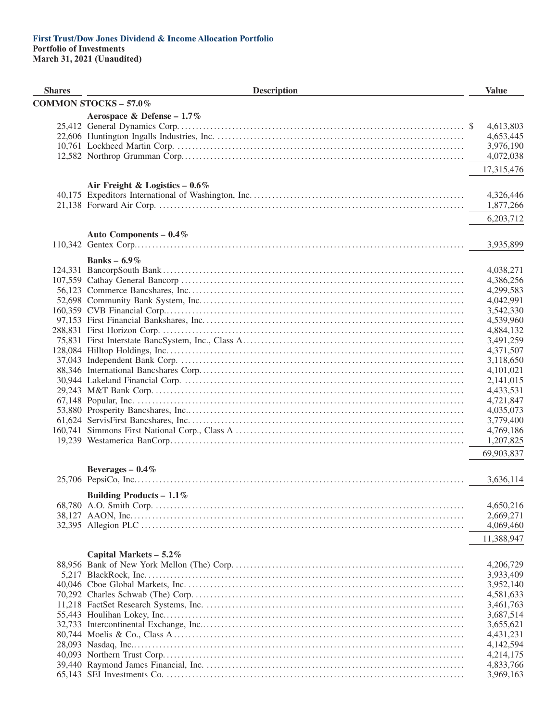| <b>Shares</b> | <b>Description</b>               | <b>Value</b>           |
|---------------|----------------------------------|------------------------|
|               | <b>COMMON STOCKS - 57.0%</b>     |                        |
|               | Aerospace & Defense - $1.7\%$    |                        |
|               |                                  | 4,613,803              |
|               |                                  | 4,653,445              |
|               |                                  | 3,976,190              |
|               |                                  | 4,072,038              |
|               |                                  | 17,315,476             |
|               |                                  |                        |
|               | Air Freight & Logistics $-0.6\%$ |                        |
|               |                                  | 4,326,446              |
|               |                                  | 1,877,266              |
|               |                                  | 6,203,712              |
|               | Auto Components - 0.4%           |                        |
|               |                                  | 3,935,899              |
|               | Banks – $6.9\%$                  |                        |
|               |                                  | 4,038,271              |
|               |                                  | 4,386,256              |
|               |                                  | 4,299,583              |
|               |                                  | 4,042,991              |
|               |                                  | 3,542,330              |
|               |                                  | 4,539,960              |
|               |                                  | 4,884,132              |
|               |                                  | 3,491,259              |
|               |                                  | 4,371,507              |
|               |                                  | 3,118,650              |
|               |                                  | 4,101,021              |
|               |                                  | 2,141,015              |
|               |                                  | 4,433,531              |
|               |                                  | 4,721,847              |
|               |                                  | 4,035,073              |
|               |                                  | 3,779,400              |
|               |                                  | 4,769,186              |
|               |                                  | 1,207,825              |
|               |                                  | 69,903,837             |
|               | Beverages $-0.4\%$               |                        |
|               |                                  | 3,636,114              |
|               |                                  |                        |
|               | Building Products - $1.1\%$      | 4,650,216              |
|               |                                  | 2,669,271              |
|               |                                  | 4,069,460              |
|               |                                  |                        |
|               |                                  | 11,388,947             |
|               | Capital Markets $-5.2\%$         |                        |
|               |                                  | 4,206,729              |
|               |                                  | 3,933,409              |
|               |                                  | 3,952,140              |
|               |                                  | 4,581,633              |
|               |                                  | 3,461,763              |
|               |                                  | 3,687,514              |
|               |                                  | 3,655,621              |
|               |                                  | 4,431,231              |
|               |                                  | 4,142,594              |
|               |                                  | 4,214,175              |
|               |                                  | 4,833,766<br>3,969,163 |
|               |                                  |                        |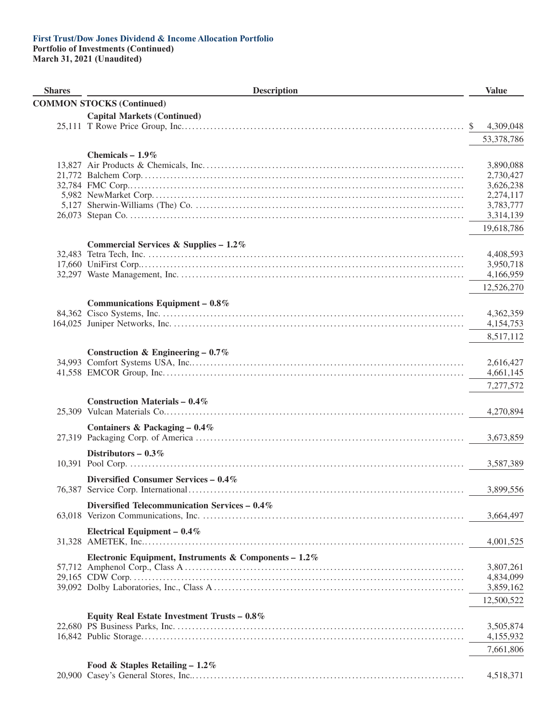#### **First Trust/Dow Jones Dividend & Income Allocation Portfolio Portfolio of Investments (Continued)**

| <b>Shares</b> | <b>Description</b>                                    |    | <b>Value</b>           |
|---------------|-------------------------------------------------------|----|------------------------|
|               | <b>COMMON STOCKS (Continued)</b>                      |    |                        |
|               | <b>Capital Markets (Continued)</b>                    |    |                        |
|               |                                                       | S. | 4,309,048              |
|               |                                                       |    | 53,378,786             |
|               | Chemicals $-1.9\%$                                    |    |                        |
|               |                                                       |    | 3,890,088              |
|               |                                                       |    | 2,730,427              |
|               |                                                       |    | 3,626,238              |
|               |                                                       |    | 2,274,117              |
|               |                                                       |    | 3,783,777              |
|               |                                                       |    | 3,314,139              |
|               |                                                       |    | 19,618,786             |
|               | Commercial Services & Supplies - $1.2\%$              |    |                        |
|               |                                                       |    | 4,408,593              |
|               |                                                       |    | 3,950,718              |
|               |                                                       |    | 4,166,959              |
|               |                                                       |    | 12,526,270             |
|               | Communications Equipment $-0.8\%$                     |    |                        |
|               |                                                       |    | 4,362,359              |
|               |                                                       |    | 4,154,753              |
|               |                                                       |    | 8,517,112              |
|               |                                                       |    |                        |
|               | Construction & Engineering – $0.7\%$                  |    |                        |
|               |                                                       |    | 2,616,427<br>4,661,145 |
|               |                                                       |    |                        |
|               |                                                       |    | 7,277,572              |
|               | <b>Construction Materials - 0.4%</b>                  |    |                        |
|               |                                                       |    | 4,270,894              |
|               | Containers & Packaging $-0.4\%$                       |    |                        |
|               |                                                       |    | 3,673,859              |
|               | Distributors – $0.3\%$                                |    |                        |
|               |                                                       |    | 3,587,389              |
|               |                                                       |    |                        |
|               | Diversified Consumer Services - 0.4%                  |    | 3,899,556              |
|               |                                                       |    |                        |
|               | Diversified Telecommunication Services $-0.4\%$       |    |                        |
|               |                                                       |    | 3,664,497              |
|               | Electrical Equipment $-0.4\%$                         |    |                        |
|               |                                                       |    | 4,001,525              |
|               | Electronic Equipment, Instruments & Components - 1.2% |    |                        |
|               |                                                       |    | 3,807,261              |
|               |                                                       |    | 4,834,099              |
|               |                                                       |    | 3,859,162              |
|               |                                                       |    | 12,500,522             |
|               | Equity Real Estate Investment Trusts - 0.8%           |    |                        |
|               |                                                       |    | 3,505,874              |
|               |                                                       |    | 4,155,932              |
|               |                                                       |    | 7,661,806              |
|               |                                                       |    |                        |
|               | Food & Staples Retailing - $1.2\%$                    |    | 4,518,371              |
|               |                                                       |    |                        |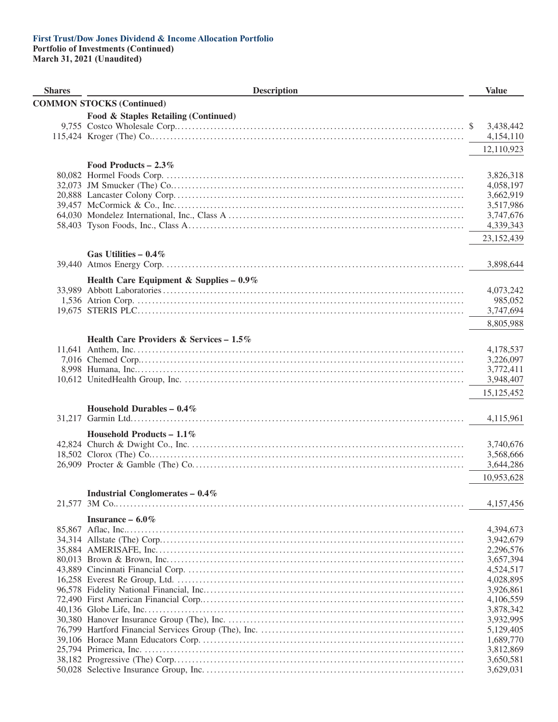**Portfolio of Investments (Continued)**

| <b>Shares</b> | <b>Description</b>                         | <b>Value</b>           |
|---------------|--------------------------------------------|------------------------|
|               | <b>COMMON STOCKS (Continued)</b>           |                        |
|               | Food & Staples Retailing (Continued)       |                        |
|               |                                            | 3,438,442              |
|               |                                            | 4,154,110              |
|               |                                            | 12,110,923             |
|               |                                            |                        |
|               | Food Products – $2.3\%$                    | 3,826,318              |
|               |                                            | 4,058,197              |
|               |                                            | 3,662,919              |
|               |                                            | 3,517,986              |
|               |                                            | 3,747,676              |
|               |                                            | 4,339,343              |
|               |                                            | 23,152,439             |
|               | Gas Utilities – $0.4\%$                    |                        |
|               |                                            | 3,898,644              |
|               |                                            |                        |
|               | Health Care Equipment & Supplies - $0.9\%$ | 4,073,242              |
|               |                                            | 985,052                |
|               |                                            | 3,747,694              |
|               |                                            | 8,805,988              |
|               |                                            |                        |
|               | Health Care Providers & Services - 1.5%    |                        |
|               |                                            | 4,178,537              |
|               |                                            | 3,226,097<br>3,772,411 |
|               |                                            | 3,948,407              |
|               |                                            | 15,125,452             |
|               |                                            |                        |
|               | Household Durables $-0.4\%$                | 4,115,961              |
|               |                                            |                        |
|               | Household Products - $1.1\%$               |                        |
|               |                                            | 3,740,676              |
|               |                                            | 3,568,666              |
|               |                                            | 3,644,286              |
|               |                                            | 10,953,628             |
|               | <b>Industrial Conglomerates - 0.4%</b>     |                        |
|               |                                            | 4,157,456              |
|               | Insurance $-6.0\%$                         |                        |
|               |                                            | 4,394,673              |
|               |                                            | 3,942,679              |
|               |                                            | 2,296,576              |
|               |                                            | 3,657,394              |
|               |                                            | 4,524,517<br>4,028,895 |
|               |                                            | 3,926,861              |
|               |                                            | 4,106,559              |
|               |                                            | 3,878,342              |
|               |                                            | 3,932,995              |
|               |                                            | 5,129,405              |
|               |                                            | 1,689,770              |
|               |                                            | 3,812,869              |
|               |                                            | 3,650,581<br>3,629,031 |
|               |                                            |                        |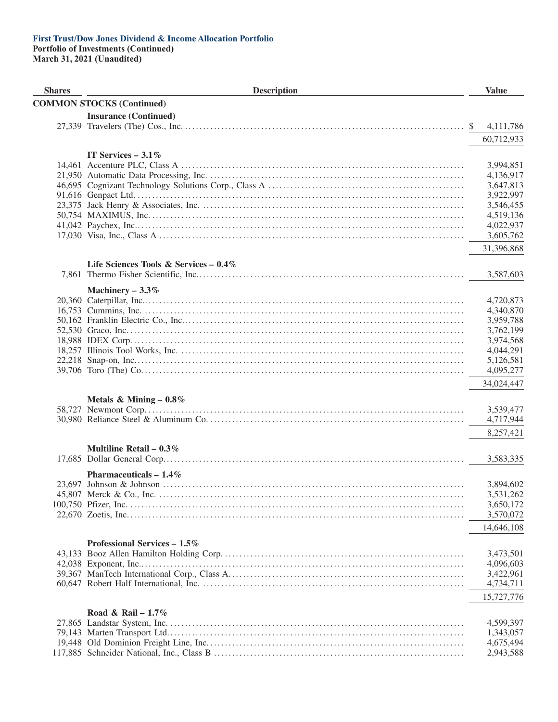#### **First Trust/Dow Jones Dividend & Income Allocation Portfolio Portfolio of Investments (Continued)**

| <b>Shares</b> | <b>Description</b>                    | <b>Value</b>           |
|---------------|---------------------------------------|------------------------|
|               | <b>COMMON STOCKS (Continued)</b>      |                        |
|               | <b>Insurance (Continued)</b>          |                        |
|               |                                       | 4,111,786<br>SS.       |
|               |                                       |                        |
|               |                                       | 60,712,933             |
|               | IT Services $-3.1\%$                  |                        |
|               |                                       | 3,994,851              |
|               |                                       | 4,136,917              |
|               |                                       | 3,647,813              |
|               |                                       | 3,922,997              |
|               |                                       | 3,546,455              |
|               |                                       | 4,519,136              |
|               |                                       | 4,022,937              |
|               |                                       | 3,605,762              |
|               |                                       | 31,396,868             |
|               | Life Sciences Tools & Services - 0.4% |                        |
|               |                                       | 3,587,603              |
|               |                                       |                        |
|               | Machinery $-3.3\%$                    |                        |
|               |                                       | 4,720,873              |
|               |                                       | 4,340,870              |
|               |                                       | 3,959,788              |
|               |                                       | 3,762,199              |
|               |                                       | 3,974,568              |
|               |                                       | 4,044,291              |
|               |                                       | 5,126,581              |
|               |                                       | 4,095,277              |
|               |                                       | 34,024,447             |
|               | Metals & Mining $-0.8\%$              |                        |
|               |                                       | 3,539,477              |
|               |                                       | 4,717,944              |
|               |                                       | 8,257,421              |
|               | Multiline Retail – $0.3\%$            |                        |
|               |                                       | 3,583,335              |
|               |                                       |                        |
|               | Pharmaceuticals $-1.4\%$              |                        |
|               |                                       | 3,894,602              |
|               |                                       | 3,531,262              |
|               |                                       | 3,650,172              |
|               |                                       | 3,570,072              |
|               |                                       | 14,646,108             |
|               | Professional Services $-1.5\%$        |                        |
|               |                                       | 3,473,501              |
|               |                                       | 4,096,603              |
|               |                                       | 3,422,961              |
|               |                                       | 4,734,711              |
|               |                                       | 15,727,776             |
|               |                                       |                        |
|               | Road & Rail – $1.7\%$                 |                        |
|               |                                       | 4,599,397              |
|               |                                       | 1,343,057              |
|               |                                       | 4,675,494<br>2,943,588 |
|               |                                       |                        |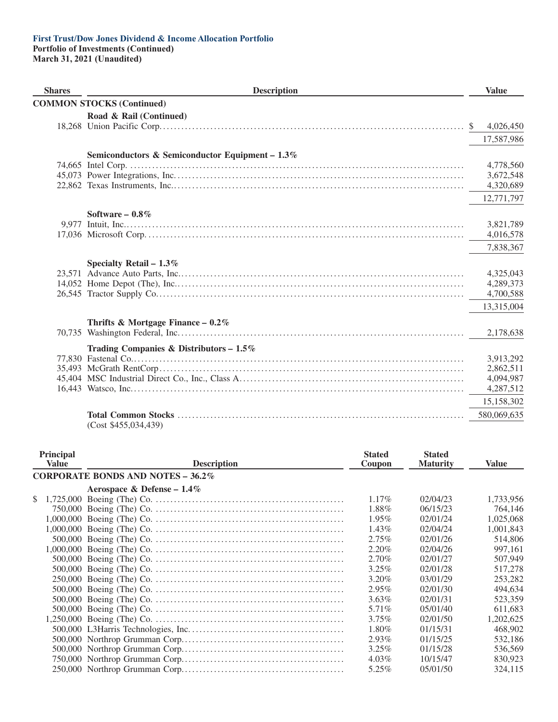**Portfolio of Investments (Continued) March 31, 2021 (Unaudited)**

| <b>Shares</b> | <b>Description</b>                                 | <b>Value</b> |
|---------------|----------------------------------------------------|--------------|
|               | <b>COMMON STOCKS (Continued)</b>                   |              |
|               | Road & Rail (Continued)                            |              |
|               |                                                    | 4,026,450    |
|               |                                                    | 17,587,986   |
|               | Semiconductors & Semiconductor Equipment - $1.3\%$ |              |
|               |                                                    | 4,778,560    |
|               |                                                    | 3,672,548    |
|               |                                                    | 4,320,689    |
|               |                                                    | 12,771,797   |
|               | Software $-0.8\%$                                  |              |
|               |                                                    | 3,821,789    |
|               |                                                    | 4,016,578    |
|               |                                                    | 7,838,367    |
|               | Specialty Retail $-1.3\%$                          |              |
|               |                                                    | 4,325,043    |
|               |                                                    | 4,289,373    |
|               |                                                    | 4,700,588    |
|               |                                                    | 13,315,004   |
|               | Thrifts & Mortgage Finance - $0.2\%$               |              |
|               |                                                    | 2,178,638    |
|               | Trading Companies & Distributors - $1.5\%$         |              |
|               |                                                    | 3,913,292    |
|               |                                                    | 2,862,511    |
|               |                                                    | 4,094,987    |
|               |                                                    | 4,287,512    |
|               |                                                    | 15,158,302   |
|               | (Cost \$455,034,439)                               | 580,069,635  |

| Principal<br><b>Value</b> | <b>Description</b>                  | <b>Stated</b><br>Coupon | <b>Stated</b><br><b>Maturity</b> | Value     |
|---------------------------|-------------------------------------|-------------------------|----------------------------------|-----------|
|                           | CORPORATE BONDS AND NOTES $-36.2\%$ |                         |                                  |           |
|                           | Aerospace & Defense – $1.4\%$       |                         |                                  |           |
| \$                        |                                     | $1.17\%$                | 02/04/23                         | 1,733,956 |
|                           |                                     | 1.88%                   | 06/15/23                         | 764,146   |
|                           |                                     | 1.95%                   | 02/01/24                         | 1,025,068 |
|                           |                                     | $1.43\%$                | 02/04/24                         | 1,001,843 |
|                           |                                     | 2.75%                   | 02/01/26                         | 514,806   |
|                           |                                     | 2.20%                   | 02/04/26                         | 997,161   |
|                           |                                     | $2.70\%$                | 02/01/27                         | 507,949   |
|                           |                                     | 3.25%                   | 02/01/28                         | 517,278   |
|                           |                                     | 3.20%                   | 03/01/29                         | 253,282   |
|                           |                                     | $2.95\%$                | 02/01/30                         | 494,634   |
|                           |                                     | $3.63\%$                | 02/01/31                         | 523,359   |
|                           |                                     | 5.71%                   | 05/01/40                         | 611,683   |
|                           |                                     | $3.75\%$                | 02/01/50                         | 1.202.625 |
|                           |                                     | $1.80\%$                | 01/15/31                         | 468,902   |
|                           |                                     | 2.93%                   | 01/15/25                         | 532,186   |
|                           |                                     | $3.25\%$                | 01/15/28                         | 536,569   |
|                           |                                     | $4.03\%$                | 10/15/47                         | 830,923   |
|                           |                                     | 5.25%                   | 05/01/50                         | 324,115   |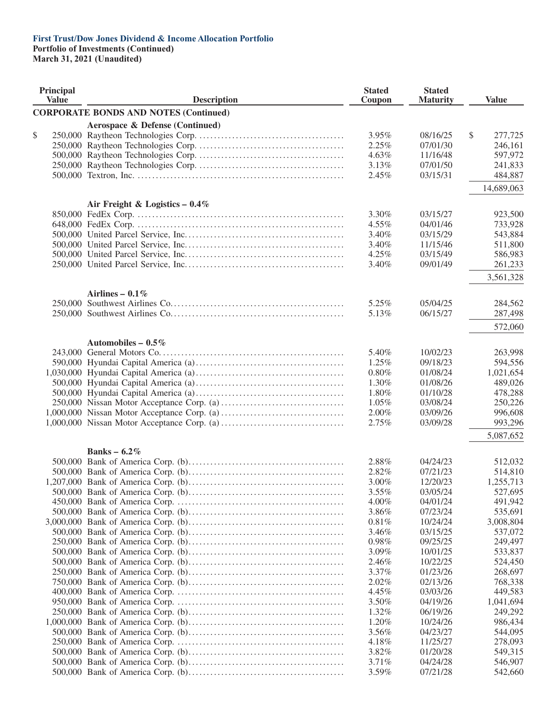#### **First Trust/Dow Jones Dividend & Income Allocation Portfolio Portfolio of Investments (Continued)**

| <b>Principal</b><br><b>Value</b> | <b>Description</b>                           | <b>Stated</b><br>Coupon | <b>Stated</b><br><b>Maturity</b> | <b>Value</b>  |
|----------------------------------|----------------------------------------------|-------------------------|----------------------------------|---------------|
|                                  | <b>CORPORATE BONDS AND NOTES (Continued)</b> |                         |                                  |               |
|                                  | Aerospace & Defense (Continued)              |                         |                                  |               |
| \$                               |                                              | 3.95%                   | 08/16/25                         | \$<br>277,725 |
|                                  |                                              | 2.25%                   | 07/01/30                         | 246,161       |
|                                  |                                              | 4.63%                   | 11/16/48                         | 597,972       |
|                                  |                                              | 3.13%                   | 07/01/50                         | 241,833       |
|                                  |                                              | 2.45%                   | 03/15/31                         | 484,887       |
|                                  |                                              |                         |                                  | 14,689,063    |
|                                  | Air Freight & Logistics - $0.4\%$            |                         |                                  |               |
|                                  |                                              | 3.30%                   | 03/15/27                         | 923,500       |
|                                  |                                              | 4.55%                   | 04/01/46                         | 733,928       |
|                                  |                                              | 3.40%                   | 03/15/29                         | 543,884       |
|                                  |                                              | 3.40%                   | 11/15/46                         | 511,800       |
|                                  |                                              | 4.25%                   | 03/15/49                         | 586,983       |
|                                  |                                              | 3.40%                   | 09/01/49                         | 261,233       |
|                                  |                                              |                         |                                  | 3,561,328     |
|                                  | Airlines – $0.1\%$                           |                         |                                  |               |
|                                  |                                              | 5.25%                   | 05/04/25                         | 284,562       |
|                                  |                                              | 5.13%                   | 06/15/27                         | 287,498       |
|                                  |                                              |                         |                                  | 572,060       |
|                                  | Automobiles – $0.5\%$                        |                         |                                  |               |
|                                  |                                              | 5.40%                   | 10/02/23                         | 263,998       |
|                                  |                                              | 1.25%                   | 09/18/23                         | 594,556       |
|                                  |                                              | 0.80%                   | 01/08/24                         | 1,021,654     |
|                                  |                                              | 1.30%                   | 01/08/26                         | 489,026       |
|                                  |                                              | 1.80%                   | 01/10/28                         | 478,288       |
|                                  |                                              | 1.05%                   | 03/08/24                         | 250,226       |
|                                  |                                              | 2.00%                   | 03/09/26                         | 996,608       |
|                                  |                                              | 2.75%                   | 03/09/28                         | 993,296       |
|                                  |                                              |                         |                                  | 5,087,652     |
|                                  | Banks – $6.2\%$                              |                         |                                  |               |
|                                  |                                              | 2.88%                   | 04/24/23                         | 512,032       |
|                                  |                                              | 2.82%                   | 07/21/23                         | 514,810       |
|                                  |                                              | 3.00%                   | 12/20/23                         | 1,255,713     |
|                                  |                                              | 3.55%                   | 03/05/24                         | 527,695       |
|                                  |                                              | 4.00%                   | 04/01/24                         | 491,942       |
|                                  |                                              | $3.86\%$                | 07/23/24                         | 535,691       |
|                                  |                                              | 0.81%                   | 10/24/24                         | 3,008,804     |
|                                  |                                              | 3.46%                   | 03/15/25                         | 537,072       |
|                                  |                                              | 0.98%                   | 09/25/25                         | 249,497       |
|                                  |                                              | 3.09%                   | 10/01/25                         | 533,837       |
|                                  |                                              | 2.46%                   | 10/22/25                         | 524,450       |
|                                  |                                              | 3.37%                   | 01/23/26                         | 268,697       |
|                                  |                                              | 2.02%                   | 02/13/26                         | 768,338       |
|                                  |                                              | 4.45%                   | 03/03/26                         | 449,583       |
|                                  |                                              | 3.50%                   | 04/19/26                         | 1,041,694     |
|                                  |                                              | 1.32%                   | 06/19/26                         | 249,292       |
|                                  |                                              | 1.20%                   | 10/24/26                         | 986,434       |
|                                  |                                              | 3.56%                   | 04/23/27                         | 544,095       |
|                                  |                                              | 4.18%                   | 11/25/27                         | 278,093       |
|                                  |                                              | 3.82%                   | 01/20/28                         | 549,315       |
|                                  |                                              | 3.71%                   | 04/24/28                         | 546,907       |
|                                  |                                              | 3.59%                   | 07/21/28                         | 542,660       |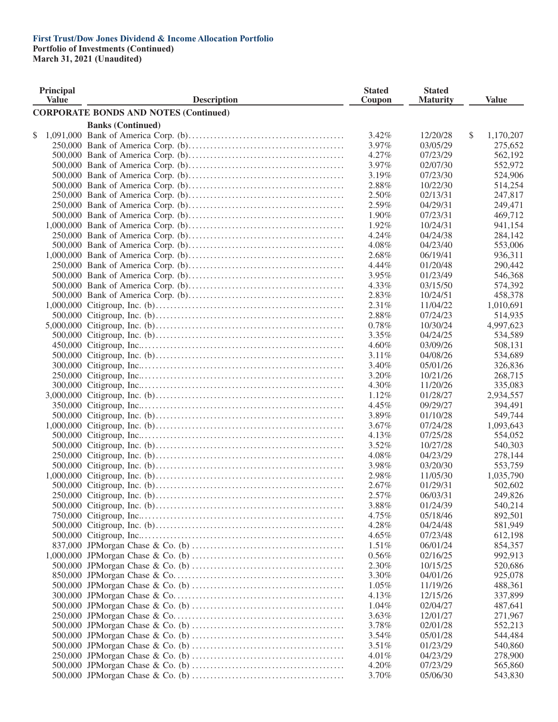**Portfolio of Investments (Continued)**

| <b>Principal</b><br><b>Value</b> | <b>Description</b>                                                        | <b>Stated</b><br>Coupon | <b>Stated</b><br><b>Maturity</b> |               | <b>Value</b> |
|----------------------------------|---------------------------------------------------------------------------|-------------------------|----------------------------------|---------------|--------------|
|                                  | <b>CORPORATE BONDS AND NOTES (Continued)</b>                              |                         |                                  |               |              |
|                                  | <b>Banks (Continued)</b>                                                  |                         |                                  |               |              |
| \$                               |                                                                           | 3.42%                   | 12/20/28                         | $\mathcal{S}$ | 1,170,207    |
|                                  |                                                                           | 3.97%                   | 03/05/29                         |               | 275,652      |
|                                  |                                                                           | 4.27%                   | 07/23/29                         |               | 562,192      |
|                                  |                                                                           | 3.97%                   | 02/07/30                         |               | 552,972      |
|                                  |                                                                           | 3.19%                   | 07/23/30                         |               | 524,906      |
|                                  |                                                                           | 2.88%                   | 10/22/30                         |               | 514,254      |
|                                  |                                                                           | 2.50%                   | 02/13/31                         |               | 247,817      |
|                                  |                                                                           | 2.59%                   | 04/29/31                         |               | 249,471      |
|                                  |                                                                           | 1.90%                   | 07/23/31                         |               | 469,712      |
|                                  |                                                                           | 1.92%                   | 10/24/31                         |               | 941,154      |
|                                  |                                                                           | 4.24%                   | 04/24/38                         |               | 284,142      |
|                                  |                                                                           | 4.08%                   | 04/23/40                         |               | 553,006      |
|                                  |                                                                           | 2.68%                   | 06/19/41                         |               | 936,311      |
|                                  |                                                                           | 4.44%                   | 01/20/48                         |               | 290,442      |
|                                  |                                                                           | 3.95%                   | 01/23/49                         |               | 546,368      |
|                                  |                                                                           | 4.33%                   | 03/15/50                         |               | 574,392      |
|                                  |                                                                           | 2.83%                   | 10/24/51                         |               | 458,378      |
|                                  |                                                                           |                         |                                  |               |              |
|                                  |                                                                           | 2.31%<br>2.88%          | 11/04/22                         |               | 1,010,691    |
|                                  |                                                                           |                         | 07/24/23                         |               | 514,935      |
|                                  |                                                                           | 0.78%                   | 10/30/24                         |               | 4,997,623    |
|                                  |                                                                           | 3.35%                   | 04/24/25                         |               | 534,589      |
|                                  |                                                                           | 4.60%                   | 03/09/26                         |               | 508,131      |
|                                  |                                                                           | 3.11%                   | 04/08/26                         |               | 534,689      |
|                                  |                                                                           | 3.40%                   | 05/01/26                         |               | 326,836      |
|                                  |                                                                           | 3.20%                   | 10/21/26                         |               | 268,715      |
|                                  |                                                                           | 4.30%                   | 11/20/26                         |               | 335,083      |
|                                  |                                                                           | 1.12%                   | 01/28/27                         |               | 2,934,557    |
|                                  |                                                                           | 4.45%                   | 09/29/27                         |               | 394,491      |
|                                  |                                                                           | 3.89%                   | 01/10/28                         |               | 549,744      |
|                                  |                                                                           | 3.67%                   | 07/24/28                         |               | 1,093,643    |
|                                  |                                                                           | 4.13%                   | 07/25/28                         |               | 554,052      |
|                                  |                                                                           | 3.52%                   | 10/27/28                         |               | 540,303      |
|                                  |                                                                           | 4.08%                   | 04/23/29                         |               | 278,144      |
|                                  |                                                                           | 3.98%                   | 03/20/30                         |               | 553,759      |
|                                  |                                                                           | 2.98%                   | 11/05/30                         |               | 1,035,790    |
|                                  |                                                                           | 2.67%                   | 01/29/31                         |               | 502,602      |
|                                  |                                                                           | 2.57%                   | 06/03/31                         |               | 249,826      |
|                                  |                                                                           | 3.88%                   | 01/24/39                         |               | 540,214      |
|                                  |                                                                           | 4.75%                   | 05/18/46                         |               | 892,501      |
|                                  |                                                                           | 4.28%                   | 04/24/48                         |               | 581,949      |
|                                  |                                                                           | $4.65\%$                | 07/23/48                         |               | 612,198      |
|                                  |                                                                           | 1.51%                   | 06/01/24                         |               | 854,357      |
|                                  |                                                                           | 0.56%                   | 02/16/25                         |               | 992,913      |
|                                  |                                                                           | 2.30%                   | 10/15/25                         |               | 520,686      |
|                                  |                                                                           | 3.30%                   | 04/01/26                         |               | 925,078      |
|                                  |                                                                           | $1.05\%$                | 11/19/26                         |               | 488,361      |
|                                  |                                                                           | 4.13%                   | 12/15/26                         |               | 337,899      |
|                                  |                                                                           | 1.04%                   | 02/04/27                         |               | 487,641      |
|                                  |                                                                           | 3.63%                   | 12/01/27                         |               | 271,967      |
|                                  | 500,000 JPM organ Chase & Co. (b) $\dots$ $\dots$ $\dots$ $\dots$ $\dots$ | 3.78%                   | 02/01/28                         |               | 552,213      |
|                                  |                                                                           | 3.54%                   | 05/01/28                         |               | 544,484      |
|                                  |                                                                           | 3.51%                   | 01/23/29                         |               | 540,860      |
|                                  |                                                                           | $4.01\%$                | 04/23/29                         |               | 278,900      |
|                                  |                                                                           | 4.20%                   | 07/23/29                         |               | 565,860      |
|                                  |                                                                           | 3.70%                   | 05/06/30                         |               | 543,830      |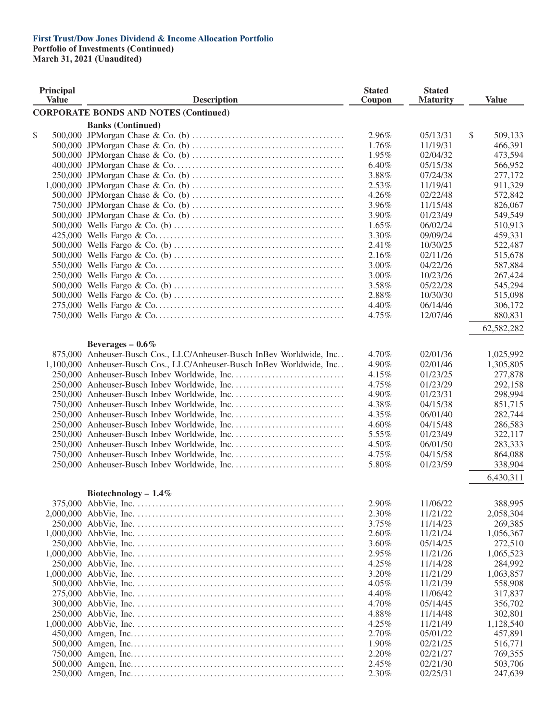**Portfolio of Investments (Continued)**

| Principal<br><b>Value</b> | <b>Description</b>                                                     | <b>Stated</b><br>Coupon | <b>Stated</b><br><b>Maturity</b> | <b>Value</b>  |
|---------------------------|------------------------------------------------------------------------|-------------------------|----------------------------------|---------------|
|                           | <b>CORPORATE BONDS AND NOTES (Continued)</b>                           |                         |                                  |               |
|                           | <b>Banks (Continued)</b>                                               |                         |                                  |               |
| \$                        |                                                                        | 2.96%                   | 05/13/31                         | \$<br>509,133 |
|                           |                                                                        | 1.76%                   | 11/19/31                         | 466,391       |
|                           |                                                                        | 1.95%                   | 02/04/32                         | 473,594       |
|                           |                                                                        | 6.40%                   | 05/15/38                         | 566,952       |
|                           |                                                                        | 3.88%                   | 07/24/38                         | 277,172       |
|                           |                                                                        | 2.53%                   | 11/19/41                         | 911,329       |
|                           |                                                                        | 4.26%                   | 02/22/48                         | 572,842       |
|                           |                                                                        | 3.96%                   | 11/15/48                         | 826,067       |
|                           |                                                                        | 3.90%                   | 01/23/49                         | 549,549       |
|                           |                                                                        | 1.65%                   | 06/02/24                         | 510,913       |
|                           |                                                                        | 3.30%                   | 09/09/24                         | 459,331       |
|                           |                                                                        | 2.41%                   | 10/30/25                         | 522,487       |
|                           |                                                                        | 2.16%                   | 02/11/26                         | 515,678       |
|                           |                                                                        | 3.00%                   | 04/22/26                         | 587,884       |
|                           |                                                                        | 3.00%                   | 10/23/26                         | 267,424       |
|                           |                                                                        | 3.58%                   | 05/22/28                         | 545,294       |
|                           |                                                                        | 2.88%                   | 10/30/30                         | 515,098       |
|                           |                                                                        | 4.40%                   | 06/14/46                         | 306,172       |
|                           |                                                                        | 4.75%                   | 12/07/46                         | 880,831       |
|                           |                                                                        |                         |                                  |               |
|                           |                                                                        |                         |                                  | 62,582,282    |
|                           | Beverages $-0.6\%$                                                     |                         |                                  |               |
|                           | 875,000 Anheuser-Busch Cos., LLC/Anheuser-Busch InBev Worldwide, Inc   | 4.70%                   | 02/01/36                         | 1,025,992     |
|                           | 1,100,000 Anheuser-Busch Cos., LLC/Anheuser-Busch InBev Worldwide, Inc | 4.90%                   | 02/01/46                         | 1,305,805     |
|                           |                                                                        | 4.15%                   | 01/23/25                         | 277,878       |
|                           |                                                                        | 4.75%                   | 01/23/29                         | 292,158       |
|                           |                                                                        | 4.90%                   | 01/23/31                         | 298,994       |
|                           |                                                                        | 4.38%                   | 04/15/38                         | 851,715       |
|                           |                                                                        | 4.35%                   | 06/01/40                         | 282,744       |
|                           |                                                                        | 4.60%                   | 04/15/48                         | 286,583       |
|                           |                                                                        | 5.55%                   | 01/23/49                         | 322,117       |
|                           |                                                                        | 4.50%                   | 06/01/50                         | 283,333       |
|                           |                                                                        | 4.75%                   | 04/15/58                         | 864,088       |
|                           |                                                                        | 5.80%                   | 01/23/59                         | 338,904       |
|                           |                                                                        |                         |                                  | 6,430,311     |
|                           |                                                                        |                         |                                  |               |
|                           | Biotechnology $-1.4\%$                                                 |                         |                                  |               |
|                           |                                                                        | 2.90%                   | 11/06/22                         | 388,995       |
|                           |                                                                        | 2.30%                   | 11/21/22                         | 2,058,304     |
|                           |                                                                        | 3.75%                   | 11/14/23                         | 269,385       |
|                           |                                                                        | 2.60%                   | 11/21/24                         | 1,056,367     |
|                           |                                                                        | 3.60%                   | 05/14/25                         | 272,510       |
|                           |                                                                        | 2.95%                   | 11/21/26                         | 1,065,523     |
|                           |                                                                        | 4.25%                   | 11/14/28                         | 284,992       |
|                           |                                                                        | 3.20%                   | 11/21/29                         | 1,063,857     |
|                           |                                                                        | 4.05%                   | 11/21/39                         | 558,908       |
|                           |                                                                        | 4.40%                   | 11/06/42                         | 317,837       |
|                           |                                                                        | 4.70%                   | 05/14/45                         | 356,702       |
|                           |                                                                        | 4.88%                   | 11/14/48                         | 302,801       |
|                           |                                                                        | 4.25%                   | 11/21/49                         | 1,128,540     |
|                           |                                                                        | 2.70%                   | 05/01/22                         | 457,891       |
|                           |                                                                        | 1.90%                   | 02/21/25                         | 516,771       |
|                           |                                                                        | 2.20%                   | 02/21/27                         | 769,355       |
|                           |                                                                        | 2.45%                   | 02/21/30                         | 503,706       |
|                           |                                                                        | 2.30%                   | 02/25/31                         | 247,639       |
|                           |                                                                        |                         |                                  |               |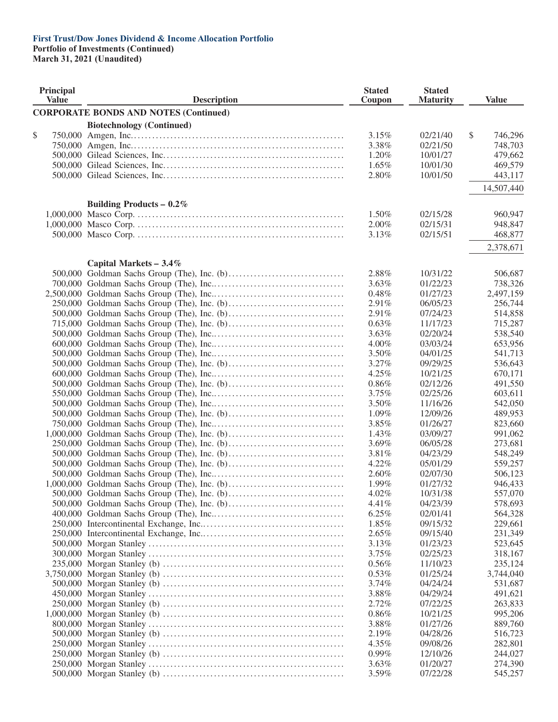#### **First Trust/Dow Jones Dividend & Income Allocation Portfolio Portfolio of Investments (Continued)**

| Principal<br><b>Value</b> | <b>Description</b>                           | <b>Stated</b><br>Coupon | <b>Stated</b><br><b>Maturity</b> | <b>Value</b>             |
|---------------------------|----------------------------------------------|-------------------------|----------------------------------|--------------------------|
|                           | <b>CORPORATE BONDS AND NOTES (Continued)</b> |                         |                                  |                          |
|                           |                                              |                         |                                  |                          |
| \$                        | <b>Biotechnology (Continued)</b>             | 3.15%                   | 02/21/40                         | $\mathcal{S}$<br>746,296 |
|                           |                                              | 3.38%                   | 02/21/50                         | 748,703                  |
|                           |                                              | 1.20%                   | 10/01/27                         | 479,662                  |
|                           |                                              | $1.65\%$                | 10/01/30                         | 469,579                  |
|                           |                                              | 2.80%                   | 10/01/50                         | 443,117                  |
|                           |                                              |                         |                                  |                          |
|                           |                                              |                         |                                  | 14,507,440               |
|                           | Building Products – $0.2\%$                  |                         |                                  |                          |
|                           |                                              | 1.50%                   | 02/15/28                         | 960,947                  |
|                           |                                              | $2.00\%$                | 02/15/31                         | 948,847                  |
|                           |                                              | 3.13%                   | 02/15/51                         | 468,877                  |
|                           |                                              |                         |                                  | 2,378,671                |
|                           |                                              |                         |                                  |                          |
|                           | Capital Markets $-3.4\%$                     |                         |                                  |                          |
|                           |                                              | 2.88%                   | 10/31/22                         | 506,687                  |
|                           |                                              | 3.63%                   | 01/22/23                         | 738,326                  |
|                           |                                              | 0.48%                   | 01/27/23                         | 2,497,159                |
|                           |                                              | 2.91%                   | 06/05/23                         | 256,744                  |
|                           |                                              | 2.91%                   | 07/24/23                         | 514,858                  |
|                           |                                              | 0.63%                   | 11/17/23                         | 715,287                  |
|                           |                                              | 3.63%                   | 02/20/24                         | 538,540                  |
|                           |                                              | $4.00\%$                | 03/03/24                         | 653,956                  |
|                           |                                              | 3.50%                   | 04/01/25                         | 541,713                  |
|                           |                                              | 3.27%                   | 09/29/25                         | 536,643                  |
|                           |                                              | 4.25%                   | 10/21/25                         | 670,171                  |
|                           |                                              | 0.86%                   | 02/12/26                         | 491,550                  |
|                           |                                              | 3.75%                   | 02/25/26                         | 603,611                  |
|                           |                                              | 3.50%                   | 11/16/26                         | 542,050                  |
|                           |                                              | 1.09%                   | 12/09/26                         | 489,953                  |
|                           |                                              | 3.85%                   | 01/26/27                         | 823,660                  |
|                           |                                              | 1.43%                   | 03/09/27                         | 991,062                  |
|                           |                                              | 3.69%                   | 06/05/28                         | 273,681                  |
|                           |                                              | 3.81%                   | 04/23/29                         | 548,249                  |
|                           |                                              | 4.22%                   | 05/01/29                         | 559,257                  |
|                           |                                              | 2.60%                   | 02/07/30                         | 506,123                  |
|                           |                                              | 1.99%                   | 01/27/32                         | 946,433                  |
|                           |                                              | 4.02%                   | 10/31/38                         | 557,070                  |
|                           |                                              | 4.41%                   | 04/23/39                         | 578,693                  |
|                           |                                              | 6.25%                   | 02/01/41                         | 564,328                  |
|                           |                                              | 1.85%                   | 09/15/32                         | 229,661                  |
|                           |                                              | $2.65\%$                | 09/15/40                         | 231,349                  |
|                           |                                              | 3.13%                   | 01/23/23                         | 523,645                  |
|                           |                                              | 3.75%                   | 02/25/23                         | 318,167                  |
|                           |                                              | 0.56%                   | 11/10/23                         | 235,124                  |
|                           |                                              | $0.53\%$                | 01/25/24                         | 3,744,040                |
|                           |                                              | $3.74\%$                | 04/24/24                         | 531,687                  |
|                           |                                              | 3.88%                   | 04/29/24                         | 491,621                  |
|                           |                                              | 2.72%                   | 07/22/25                         | 263,833                  |
|                           |                                              | $0.86\%$                | 10/21/25                         | 995,206                  |
|                           |                                              | 3.88%                   | 01/27/26                         | 889,760                  |
|                           |                                              | 2.19%                   | 04/28/26                         | 516,723                  |
|                           |                                              | 4.35%                   | 09/08/26                         | 282,801                  |
|                           |                                              | $0.99\%$                | 12/10/26                         | 244,027                  |
|                           |                                              | 3.63%                   | 01/20/27                         | 274,390                  |
|                           |                                              | 3.59%                   | 07/22/28                         | 545,257                  |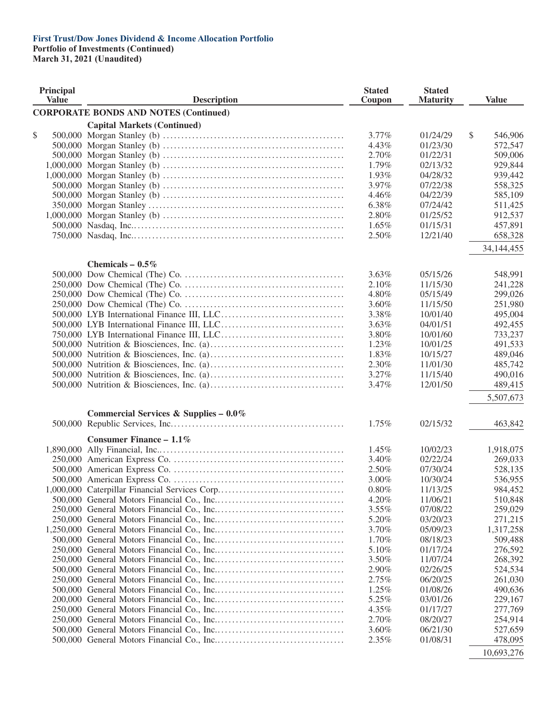**Portfolio of Investments (Continued)**

**March 31, 2021 (Unaudited)**

| Principal<br><b>Value</b> | <b>Description</b>                           | <b>Stated</b><br>Coupon | <b>Stated</b><br><b>Maturity</b> | <b>Value</b>  |
|---------------------------|----------------------------------------------|-------------------------|----------------------------------|---------------|
|                           | <b>CORPORATE BONDS AND NOTES (Continued)</b> |                         |                                  |               |
|                           | <b>Capital Markets (Continued)</b>           |                         |                                  |               |
| \$                        |                                              | $3.77\%$                | 01/24/29                         | \$<br>546,906 |
|                           |                                              | 4.43%                   | 01/23/30                         | 572,547       |
|                           |                                              | 2.70%                   | 01/22/31                         | 509,006       |
|                           |                                              | 1.79%                   | 02/13/32                         | 929,844       |
|                           |                                              | 1.93%                   | 04/28/32                         | 939,442       |
|                           |                                              | 3.97%                   | 07/22/38                         | 558,325       |
|                           |                                              | 4.46%                   | 04/22/39                         | 585,109       |
|                           |                                              | 6.38%                   | 07/24/42                         | 511,425       |
|                           |                                              | 2.80%                   | 01/25/52                         | 912,537       |
|                           |                                              | $1.65\%$                | 01/15/31                         | 457,891       |
|                           |                                              | 2.50%                   | 12/21/40                         | 658,328       |
|                           |                                              |                         |                                  | 34,144,455    |
|                           | Chemicals $-0.5\%$                           |                         |                                  |               |
|                           |                                              | $3.63\%$                | 05/15/26                         | 548,991       |
|                           |                                              | 2.10%                   | 11/15/30                         | 241,228       |
|                           |                                              | 4.80%                   | 05/15/49                         | 299,026       |
|                           |                                              | 3.60%                   | 11/15/50                         | 251,980       |
|                           |                                              | 3.38%                   | 10/01/40                         | 495,004       |
|                           |                                              | 3.63%                   | 04/01/51                         | 492,455       |
|                           |                                              | 3.80%                   | 10/01/60                         | 733,237       |
|                           |                                              | 1.23%                   | 10/01/25                         | 491,533       |
|                           |                                              | 1.83%                   | 10/15/27                         | 489,046       |
|                           |                                              | 2.30%                   | 11/01/30                         | 485,742       |
|                           |                                              | 3.27%                   | 11/15/40                         | 490,016       |
|                           |                                              | 3.47%                   | 12/01/50                         | 489,415       |
|                           |                                              |                         |                                  | 5,507,673     |
|                           | Commercial Services & Supplies - 0.0%        |                         |                                  |               |
|                           |                                              | 1.75%                   | 02/15/32                         | 463,842       |
|                           | Consumer Finance - $1.1\%$                   |                         |                                  |               |
|                           |                                              | 1.45%                   | 10/02/23                         | 1,918,075     |
|                           |                                              | 3.40%                   | 02/22/24                         | 269,033       |
|                           |                                              | 2.50%                   | 07/30/24                         | 528,135       |
|                           |                                              | 3.00%                   | 10/30/24                         | 536,955       |
|                           |                                              | 0.80%                   | 11/13/25                         | 984,452       |
|                           |                                              | 4.20%                   | 11/06/21                         | 510,848       |
|                           |                                              | $3.55\%$                | 07/08/22                         | 259,029       |
|                           |                                              | 5.20%                   | 03/20/23                         | 271,215       |
|                           |                                              | 3.70%                   | 05/09/23                         | 1,317,258     |
|                           |                                              | 1.70%                   | 08/18/23                         | 509,488       |
|                           |                                              | 5.10%                   | 01/17/24                         | 276,592       |
|                           |                                              | 3.50%                   | 11/07/24                         | 268,392       |
|                           |                                              | 2.90%                   | 02/26/25                         | 524,534       |
|                           |                                              | 2.75%                   | 06/20/25                         | 261,030       |
|                           |                                              | 1.25%                   | 01/08/26                         | 490,636       |
|                           |                                              | 5.25%                   | 03/01/26                         | 229,167       |
|                           |                                              | 4.35%                   | 01/17/27                         | 277,769       |
|                           |                                              | 2.70%                   | 08/20/27                         | 254,914       |
|                           |                                              | 3.60%                   | 06/21/30                         | 527,659       |
|                           |                                              | 2.35%                   | 01/08/31                         | 478,095       |
|                           |                                              |                         |                                  | 10.602.276    |

10,693,276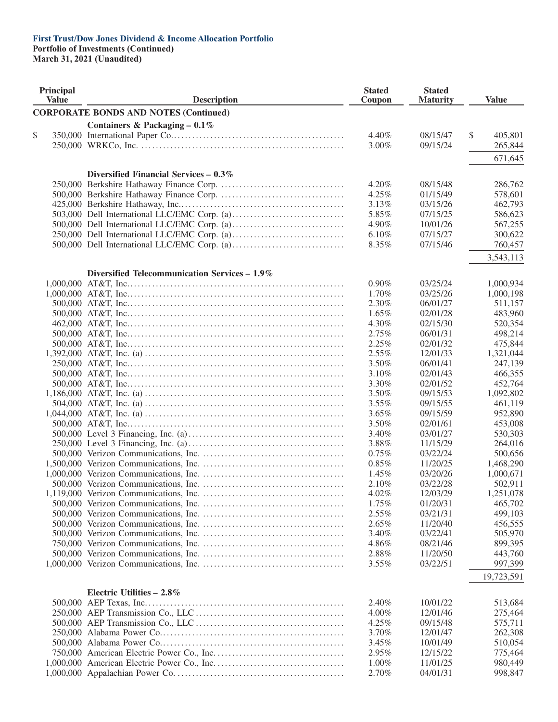**Portfolio of Investments (Continued)**

| <b>Principal</b><br><b>Value</b> | <b>Description</b>                            | <b>Stated</b><br>Coupon | <b>Stated</b><br><b>Maturity</b> | <b>Value</b>  |
|----------------------------------|-----------------------------------------------|-------------------------|----------------------------------|---------------|
|                                  | <b>CORPORATE BONDS AND NOTES (Continued)</b>  |                         |                                  |               |
|                                  | Containers & Packaging $-0.1\%$               |                         |                                  |               |
| \$                               |                                               | 4.40%                   | 08/15/47                         | \$<br>405,801 |
|                                  |                                               | 3.00%                   | 09/15/24                         | 265,844       |
|                                  |                                               |                         |                                  |               |
|                                  |                                               |                         |                                  | 671,645       |
|                                  | Diversified Financial Services $-0.3\%$       |                         |                                  |               |
|                                  |                                               | 4.20%                   | 08/15/48                         | 286,762       |
|                                  |                                               | 4.25%                   | 01/15/49                         | 578,601       |
|                                  |                                               | 3.13%                   | 03/15/26                         | 462,793       |
|                                  |                                               | 5.85%                   | 07/15/25                         | 586,623       |
|                                  |                                               | 4.90%                   | 10/01/26                         | 567,255       |
|                                  |                                               | 6.10%                   | 07/15/27                         | 300,622       |
|                                  |                                               | 8.35%                   | 07/15/46                         | 760,457       |
|                                  |                                               |                         |                                  | 3,543,113     |
|                                  |                                               |                         |                                  |               |
|                                  | Diversified Telecommunication Services - 1.9% |                         |                                  |               |
|                                  |                                               | $0.90\%$                | 03/25/24                         | 1,000,934     |
|                                  |                                               | 1.70%                   | 03/25/26                         | 1,000,198     |
|                                  |                                               | 2.30%                   | 06/01/27                         | 511,157       |
|                                  |                                               | 1.65%                   | 02/01/28                         | 483,960       |
|                                  |                                               | 4.30%                   | 02/15/30                         | 520,354       |
|                                  |                                               | 2.75%                   | 06/01/31                         | 498,214       |
|                                  |                                               | 2.25%                   | 02/01/32                         | 475,844       |
|                                  |                                               | $2.55\%$                | 12/01/33                         | 1,321,044     |
|                                  |                                               | 3.50%                   | 06/01/41                         | 247,139       |
|                                  |                                               | 3.10%                   | 02/01/43                         | 466,355       |
|                                  |                                               | 3.30%                   | 02/01/52                         | 452,764       |
|                                  |                                               | 3.50%                   | 09/15/53                         | 1,092,802     |
|                                  |                                               | 3.55%                   | 09/15/55                         | 461,119       |
|                                  |                                               | $3.65\%$                | 09/15/59                         | 952,890       |
|                                  |                                               | 3.50%                   | 02/01/61                         | 453,008       |
|                                  |                                               | 3.40%                   | 03/01/27                         | 530,303       |
|                                  |                                               | 3.88%                   | 11/15/29                         | 264,016       |
|                                  |                                               | 0.75%                   | 03/22/24                         | 500,656       |
|                                  |                                               | 0.85%                   | 11/20/25                         | 1,468,290     |
|                                  |                                               | 1.45%                   | 03/20/26                         | 1,000,671     |
|                                  |                                               | 2.10%                   | 03/22/28                         | 502,911       |
|                                  |                                               | 4.02%                   | 12/03/29                         | 1,251,078     |
|                                  |                                               | 1.75%                   | 01/20/31                         | 465,702       |
|                                  |                                               | 2.55%                   | 03/21/31                         | 499,103       |
|                                  |                                               | 2.65%                   | 11/20/40                         | 456,555       |
|                                  |                                               | 3.40%                   | 03/22/41                         | 505,970       |
|                                  |                                               | 4.86%                   | 08/21/46                         | 899,395       |
|                                  |                                               | 2.88%                   | 11/20/50                         | 443,760       |
|                                  |                                               | 3.55%                   | 03/22/51                         | 997,399       |
|                                  |                                               |                         |                                  | 19,723,591    |
|                                  |                                               |                         |                                  |               |
|                                  | Electric Utilities $-2.8\%$                   |                         |                                  |               |
|                                  |                                               | 2.40%                   | 10/01/22                         | 513,684       |
|                                  |                                               | 4.00%                   | 12/01/46                         | 275,464       |
|                                  |                                               | 4.25%                   | 09/15/48                         | 575,711       |
|                                  |                                               | 3.70%                   | 12/01/47                         | 262,308       |
|                                  |                                               | 3.45%                   | 10/01/49                         | 510,054       |
|                                  |                                               | 2.95%                   | 12/15/22                         | 775,464       |
|                                  |                                               | 1.00%                   | 11/01/25                         | 980,449       |
|                                  |                                               | 2.70%                   | 04/01/31                         | 998,847       |
|                                  |                                               |                         |                                  |               |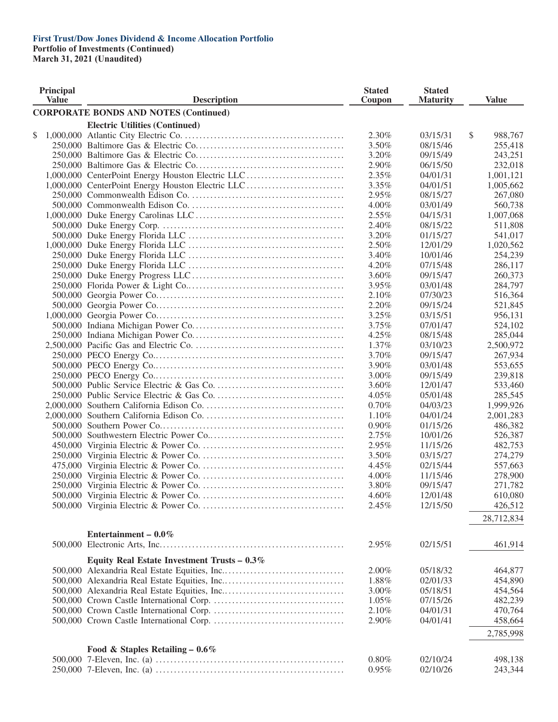**Portfolio of Investments (Continued)**

| <b>Principal</b><br><b>Value</b> |  | <b>Description</b>                                |          | <b>Stated</b><br><b>Maturity</b> | <b>Value</b>  |
|----------------------------------|--|---------------------------------------------------|----------|----------------------------------|---------------|
|                                  |  | <b>CORPORATE BONDS AND NOTES (Continued)</b>      |          |                                  |               |
|                                  |  | <b>Electric Utilities (Continued)</b>             |          |                                  |               |
| \$                               |  |                                                   | $2.30\%$ | 03/15/31                         | \$<br>988,767 |
|                                  |  |                                                   | 3.50%    | 08/15/46                         | 255,418       |
|                                  |  |                                                   | 3.20%    | 09/15/49                         | 243,251       |
|                                  |  |                                                   | 2.90%    | 06/15/50                         | 232,018       |
|                                  |  | 1,000,000 CenterPoint Energy Houston Electric LLC | 2.35%    | 04/01/31                         | 1,001,121     |
|                                  |  | 1,000,000 CenterPoint Energy Houston Electric LLC | 3.35%    | 04/01/51                         | 1,005,662     |
|                                  |  |                                                   | 2.95%    | 08/15/27                         | 267,080       |
|                                  |  |                                                   | 4.00%    | 03/01/49                         | 560,738       |
|                                  |  |                                                   | $2.55\%$ | 04/15/31                         | 1,007,068     |
|                                  |  |                                                   | 2.40%    | 08/15/22                         | 511,808       |
|                                  |  |                                                   | 3.20%    | 01/15/27                         | 541,017       |
|                                  |  |                                                   | 2.50%    | 12/01/29                         |               |
|                                  |  |                                                   |          |                                  | 1,020,562     |
|                                  |  |                                                   | 3.40%    | 10/01/46                         | 254,239       |
|                                  |  |                                                   | 4.20%    | 07/15/48                         | 286,117       |
|                                  |  |                                                   | 3.60%    | 09/15/47                         | 260,373       |
|                                  |  |                                                   | 3.95%    | 03/01/48                         | 284,797       |
|                                  |  |                                                   | 2.10%    | 07/30/23                         | 516,364       |
|                                  |  |                                                   | 2.20%    | 09/15/24                         | 521,845       |
|                                  |  |                                                   | 3.25%    | 03/15/51                         | 956,131       |
|                                  |  |                                                   | 3.75%    | 07/01/47                         | 524,102       |
|                                  |  |                                                   | 4.25%    | 08/15/48                         | 285,044       |
|                                  |  |                                                   | 1.37%    | 03/10/23                         | 2,500,972     |
|                                  |  |                                                   | 3.70%    | 09/15/47                         | 267,934       |
|                                  |  |                                                   | 3.90%    | 03/01/48                         | 553,655       |
|                                  |  |                                                   | 3.00%    | 09/15/49                         | 239,818       |
|                                  |  |                                                   | 3.60%    | 12/01/47                         | 533,460       |
|                                  |  |                                                   | $4.05\%$ | 05/01/48                         | 285,545       |
|                                  |  |                                                   | 0.70%    | 04/03/23                         | 1,999,926     |
|                                  |  |                                                   | 1.10%    | 04/01/24                         | 2,001,283     |
|                                  |  |                                                   | $0.90\%$ | 01/15/26                         | 486,382       |
|                                  |  |                                                   | 2.75%    | 10/01/26                         | 526,387       |
|                                  |  |                                                   | 2.95%    | 11/15/26                         | 482,753       |
|                                  |  |                                                   | 3.50%    | 03/15/27                         | 274,279       |
|                                  |  |                                                   | 4.45%    | 02/15/44                         | 557,663       |
|                                  |  |                                                   | $4.00\%$ | 11/15/46                         | 278,900       |
|                                  |  |                                                   | 3.80%    | 09/15/47                         | 271,782       |
|                                  |  |                                                   | 4.60%    | 12/01/48                         | 610,080       |
|                                  |  |                                                   | 2.45%    | 12/15/50                         | 426,512       |
|                                  |  |                                                   |          |                                  |               |
|                                  |  |                                                   |          |                                  | 28,712,834    |
|                                  |  | Entertainment – $0.0\%$                           |          |                                  |               |
|                                  |  |                                                   | 2.95%    | 02/15/51                         | 461,914       |
|                                  |  |                                                   |          |                                  |               |
|                                  |  | Equity Real Estate Investment Trusts $-0.3\%$     |          |                                  |               |
|                                  |  |                                                   | 2.00%    | 05/18/32                         | 464,877       |
|                                  |  |                                                   | 1.88%    | 02/01/33                         | 454,890       |
|                                  |  |                                                   | 3.00%    | 05/18/51                         | 454,564       |
|                                  |  |                                                   | $1.05\%$ | 07/15/26                         | 482,239       |
|                                  |  |                                                   | 2.10%    | 04/01/31                         | 470,764       |
|                                  |  |                                                   | 2.90%    | 04/01/41                         | 458,664       |
|                                  |  |                                                   |          |                                  | 2,785,998     |
|                                  |  |                                                   |          |                                  |               |
|                                  |  | Food & Staples Retailing - $0.6\%$                |          |                                  |               |
|                                  |  |                                                   | $0.80\%$ | 02/10/24                         | 498,138       |
|                                  |  |                                                   | 0.95%    | 02/10/26                         | 243,344       |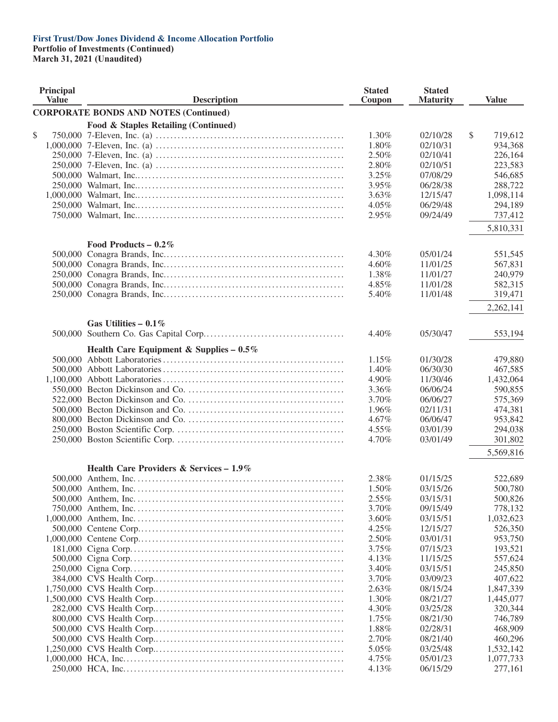**Portfolio of Investments (Continued)**

| Principal<br><b>Value</b> | <b>Description</b>                                                                                                                 | <b>Stated</b><br>Coupon | <b>Stated</b><br><b>Maturity</b> | <b>Value</b>         |  |
|---------------------------|------------------------------------------------------------------------------------------------------------------------------------|-------------------------|----------------------------------|----------------------|--|
|                           | <b>CORPORATE BONDS AND NOTES (Continued)</b>                                                                                       |                         |                                  |                      |  |
|                           | Food & Staples Retailing (Continued)                                                                                               |                         |                                  |                      |  |
| \$                        | 750,000 7-Eleven, Inc. (a) $\dots \dots \dots \dots \dots \dots \dots \dots \dots \dots \dots \dots \dots \dots \dots \dots \dots$ | 1.30%                   | 02/10/28                         | \$<br>719,612        |  |
|                           |                                                                                                                                    | 1.80%                   | 02/10/31                         | 934,368              |  |
|                           |                                                                                                                                    | 2.50%                   | 02/10/41                         | 226,164              |  |
|                           |                                                                                                                                    | 2.80%                   | 02/10/51                         | 223,583              |  |
|                           |                                                                                                                                    | 3.25%                   | 07/08/29                         | 546,685              |  |
|                           |                                                                                                                                    | 3.95%                   | 06/28/38                         | 288,722              |  |
|                           |                                                                                                                                    | 3.63%                   | 12/15/47                         | 1,098,114            |  |
|                           |                                                                                                                                    | 4.05%                   | 06/29/48                         | 294,189              |  |
|                           |                                                                                                                                    | 2.95%                   | 09/24/49                         | 737,412              |  |
|                           |                                                                                                                                    |                         |                                  | 5,810,331            |  |
|                           | Food Products – $0.2\%$                                                                                                            |                         |                                  |                      |  |
|                           |                                                                                                                                    | 4.30%                   | 05/01/24                         | 551,545              |  |
|                           |                                                                                                                                    | 4.60%                   | 11/01/25                         | 567,831              |  |
|                           |                                                                                                                                    | 1.38%                   | 11/01/27                         | 240,979              |  |
|                           |                                                                                                                                    | 4.85%                   | 11/01/28                         | 582,315              |  |
|                           |                                                                                                                                    | 5.40%                   | 11/01/48                         | 319,471              |  |
|                           |                                                                                                                                    |                         |                                  | 2,262,141            |  |
|                           | Gas Utilities – $0.1\%$                                                                                                            |                         |                                  |                      |  |
|                           |                                                                                                                                    | 4.40%                   | 05/30/47                         | 553,194              |  |
|                           | Health Care Equipment & Supplies - $0.5\%$                                                                                         |                         |                                  |                      |  |
|                           |                                                                                                                                    | 1.15%                   | 01/30/28                         | 479,880              |  |
|                           |                                                                                                                                    | 1.40%                   | 06/30/30                         | 467,585              |  |
|                           |                                                                                                                                    | 4.90%                   | 11/30/46                         | 1,432,064            |  |
|                           |                                                                                                                                    | 3.36%                   | 06/06/24                         | 590,855              |  |
|                           |                                                                                                                                    | 3.70%                   | 06/06/27                         | 575,369              |  |
|                           |                                                                                                                                    | 1.96%                   | 02/11/31                         | 474,381              |  |
|                           |                                                                                                                                    | 4.67%                   | 06/06/47                         | 953,842              |  |
|                           |                                                                                                                                    | 4.55%                   | 03/01/39                         | 294,038              |  |
|                           |                                                                                                                                    | 4.70%                   | 03/01/49                         | 301,802<br>5,569,816 |  |
|                           | Health Care Providers & Services - 1.9%                                                                                            |                         |                                  |                      |  |
|                           |                                                                                                                                    | 2.38%                   | 01/15/25                         | 522,689              |  |
|                           |                                                                                                                                    | 1.50%                   | 03/15/26                         | 500,780              |  |
|                           |                                                                                                                                    | $2.55\%$                | 03/15/31                         | 500,826              |  |
|                           |                                                                                                                                    | 3.70%                   | 09/15/49                         | 778,132              |  |
|                           |                                                                                                                                    | 3.60%                   | 03/15/51                         | 1,032,623            |  |
|                           |                                                                                                                                    | 4.25%                   | 12/15/27                         | 526,350              |  |
|                           |                                                                                                                                    | 2.50%                   | 03/01/31                         | 953,750              |  |
|                           |                                                                                                                                    | 3.75%                   | 07/15/23                         | 193,521              |  |
|                           |                                                                                                                                    | 4.13%                   | 11/15/25                         | 557,624              |  |
|                           |                                                                                                                                    | 3.40%                   | 03/15/51                         | 245,850              |  |
|                           |                                                                                                                                    | 3.70%                   | 03/09/23                         |                      |  |
|                           |                                                                                                                                    |                         |                                  | 407,622              |  |
|                           |                                                                                                                                    | 2.63%                   | 08/15/24                         | 1,847,339            |  |
|                           |                                                                                                                                    | 1.30%                   | 08/21/27                         | 1,445,077            |  |
|                           |                                                                                                                                    | 4.30%                   | 03/25/28                         | 320,344              |  |
|                           |                                                                                                                                    | 1.75%                   | 08/21/30                         | 746,789              |  |
|                           |                                                                                                                                    | 1.88%                   | 02/28/31                         | 468,909              |  |
|                           |                                                                                                                                    | 2.70%                   | 08/21/40                         | 460,296              |  |
|                           |                                                                                                                                    | 5.05%                   | 03/25/48                         | 1,532,142            |  |
|                           |                                                                                                                                    | 4.75%                   | 05/01/23                         | 1,077,733            |  |
|                           |                                                                                                                                    | 4.13%                   | 06/15/29                         | 277,161              |  |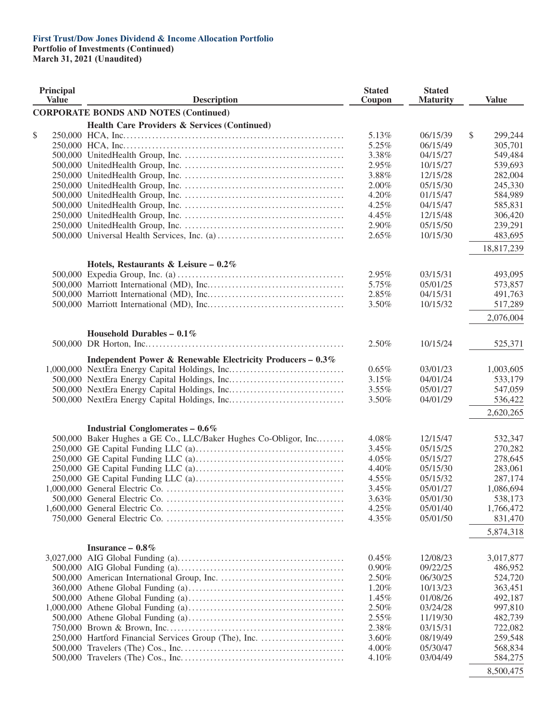**Portfolio of Investments (Continued)**

| Principal<br><b>Value</b> |  | <b>Description</b>                                              |       | <b>Stated</b><br><b>Maturity</b> | <b>Value</b>  |
|---------------------------|--|-----------------------------------------------------------------|-------|----------------------------------|---------------|
|                           |  | <b>CORPORATE BONDS AND NOTES (Continued)</b>                    |       |                                  |               |
|                           |  | <b>Health Care Providers &amp; Services (Continued)</b>         |       |                                  |               |
| \$                        |  |                                                                 | 5.13% | 06/15/39                         | \$<br>299,244 |
|                           |  |                                                                 | 5.25% | 06/15/49                         | 305,701       |
|                           |  |                                                                 | 3.38% | 04/15/27                         | 549,484       |
|                           |  |                                                                 | 2.95% | 10/15/27                         | 539,693       |
|                           |  |                                                                 | 3.88% | 12/15/28                         | 282,004       |
|                           |  |                                                                 | 2.00% | 05/15/30                         | 245,330       |
|                           |  |                                                                 | 4.20% | 01/15/47                         | 584,989       |
|                           |  |                                                                 | 4.25% | 04/15/47                         | 585,831       |
|                           |  |                                                                 | 4.45% | 12/15/48                         | 306,420       |
|                           |  |                                                                 | 2.90% | 05/15/50                         | 239,291       |
|                           |  |                                                                 | 2.65% | 10/15/30                         | 483,695       |
|                           |  |                                                                 |       |                                  |               |
|                           |  |                                                                 |       |                                  | 18,817,239    |
|                           |  | Hotels, Restaurants & Leisure – $0.2\%$                         |       |                                  |               |
|                           |  |                                                                 | 2.95% | 03/15/31                         | 493,095       |
|                           |  |                                                                 | 5.75% | 05/01/25                         | 573,857       |
|                           |  |                                                                 | 2.85% | 04/15/31                         | 491,763       |
|                           |  |                                                                 | 3.50% | 10/15/32                         | 517,289       |
|                           |  |                                                                 |       |                                  | 2,076,004     |
|                           |  |                                                                 |       |                                  |               |
|                           |  | Household Durables - $0.1\%$                                    |       |                                  |               |
|                           |  |                                                                 | 2.50% | 10/15/24                         | 525,371       |
|                           |  | Independent Power & Renewable Electricity Producers - 0.3%      |       |                                  |               |
|                           |  | 1,000,000 NextEra Energy Capital Holdings, Inc                  | 0.65% | 03/01/23                         | 1,003,605     |
|                           |  |                                                                 | 3.15% | 04/01/24                         | 533,179       |
|                           |  |                                                                 | 3.55% | 05/01/27                         | 547,059       |
|                           |  |                                                                 | 3.50% | 04/01/29                         | 536,422       |
|                           |  |                                                                 |       |                                  |               |
|                           |  |                                                                 |       |                                  | 2,620,265     |
|                           |  | <b>Industrial Conglomerates - 0.6%</b>                          |       |                                  |               |
|                           |  | 500,000 Baker Hughes a GE Co., LLC/Baker Hughes Co-Obligor, Inc | 4.08% | 12/15/47                         | 532,347       |
|                           |  |                                                                 | 3.45% | 05/15/25                         | 270,282       |
|                           |  |                                                                 | 4.05% | 05/15/27                         | 278,645       |
|                           |  |                                                                 | 4.40% | 05/15/30                         | 283,061       |
|                           |  |                                                                 | 4.55% | 05/15/32                         | 287,174       |
|                           |  |                                                                 | 3.45% | 05/01/27                         | 1,086,694     |
|                           |  |                                                                 | 3.63% | 05/01/30                         | 538,173       |
|                           |  |                                                                 | 4.25% | 05/01/40                         | 1,766,472     |
|                           |  |                                                                 | 4.35% | 05/01/50                         | 831,470       |
|                           |  |                                                                 |       |                                  | 5,874,318     |
|                           |  |                                                                 |       |                                  |               |
|                           |  | Insurance $-0.8\%$                                              |       |                                  |               |
|                           |  |                                                                 | 0.45% | 12/08/23                         | 3,017,877     |
|                           |  |                                                                 | 0.90% | 09/22/25                         | 486,952       |
|                           |  |                                                                 | 2.50% | 06/30/25                         | 524,720       |
|                           |  |                                                                 | 1.20% | 10/13/23                         | 363,451       |
|                           |  |                                                                 | 1.45% | 01/08/26                         | 492,187       |
|                           |  |                                                                 | 2.50% | 03/24/28                         | 997,810       |
|                           |  |                                                                 | 2.55% | 11/19/30                         | 482,739       |
|                           |  |                                                                 | 2.38% | 03/15/31                         | 722,082       |
|                           |  | 250,000 Hartford Financial Services Group (The), Inc.           | 3.60% | 08/19/49                         | 259,548       |
|                           |  |                                                                 | 4.00% | 05/30/47                         | 568,834       |
|                           |  |                                                                 | 4.10% | 03/04/49                         | 584,275       |
|                           |  |                                                                 |       |                                  | 8,500,475     |
|                           |  |                                                                 |       |                                  |               |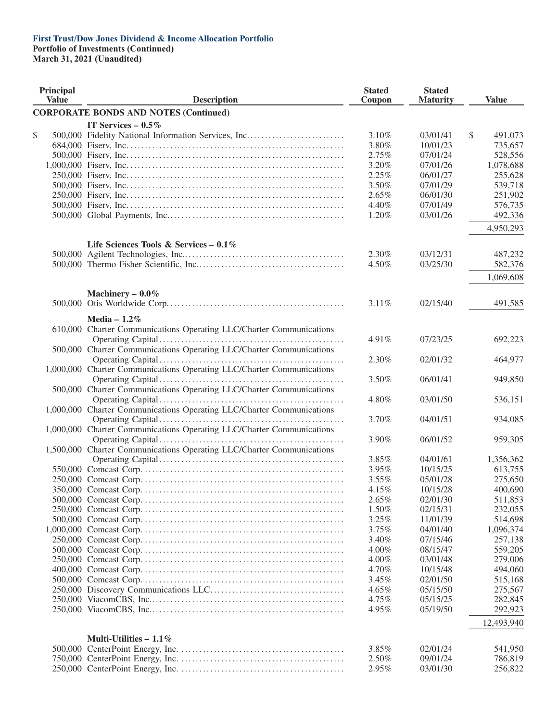**Portfolio of Investments (Continued)**

| Principal<br><b>Value</b> |  | <b>Description</b>                                                    |       | <b>Stated</b><br><b>Stated</b><br>Coupon<br><b>Maturity</b> |    | <b>Value</b> |
|---------------------------|--|-----------------------------------------------------------------------|-------|-------------------------------------------------------------|----|--------------|
|                           |  | <b>CORPORATE BONDS AND NOTES (Continued)</b>                          |       |                                                             |    |              |
|                           |  | IT Services $-0.5\%$                                                  |       |                                                             |    |              |
| \$                        |  | 500,000 Fidelity National Information Services, Inc                   | 3.10% | 03/01/41                                                    | \$ | 491,073      |
|                           |  |                                                                       | 3.80% | 10/01/23                                                    |    | 735,657      |
|                           |  |                                                                       | 2.75% | 07/01/24                                                    |    | 528,556      |
|                           |  |                                                                       | 3.20% | 07/01/26                                                    |    | 1,078,688    |
|                           |  |                                                                       | 2.25% | 06/01/27                                                    |    | 255,628      |
|                           |  |                                                                       | 3.50% | 07/01/29                                                    |    | 539,718      |
|                           |  |                                                                       | 2.65% | 06/01/30                                                    |    | 251,902      |
|                           |  |                                                                       | 4.40% | 07/01/49                                                    |    | 576,735      |
|                           |  |                                                                       | 1.20% | 03/01/26                                                    |    | 492,336      |
|                           |  |                                                                       |       |                                                             |    |              |
|                           |  |                                                                       |       |                                                             |    | 4,950,293    |
|                           |  | Life Sciences Tools & Services – $0.1\%$                              |       |                                                             |    |              |
|                           |  |                                                                       | 2.30% | 03/12/31                                                    |    | 487,232      |
|                           |  |                                                                       | 4.50% | 03/25/30                                                    |    | 582,376      |
|                           |  |                                                                       |       |                                                             |    | 1,069,608    |
|                           |  | Machinery $-0.0\%$                                                    |       |                                                             |    |              |
|                           |  |                                                                       | 3.11% | 02/15/40                                                    |    | 491,585      |
|                           |  |                                                                       |       |                                                             |    |              |
|                           |  | Media - $1.2\%$                                                       |       |                                                             |    |              |
|                           |  | 610,000 Charter Communications Operating LLC/Charter Communications   |       | 07/23/25                                                    |    |              |
|                           |  |                                                                       | 4.91% |                                                             |    | 692,223      |
|                           |  | 500,000 Charter Communications Operating LLC/Charter Communications   |       |                                                             |    |              |
|                           |  | 1,000,000 Charter Communications Operating LLC/Charter Communications | 2.30% | 02/01/32                                                    |    | 464,977      |
|                           |  |                                                                       |       |                                                             |    |              |
|                           |  |                                                                       | 3.50% | 06/01/41                                                    |    | 949,850      |
|                           |  | 500,000 Charter Communications Operating LLC/Charter Communications   |       |                                                             |    |              |
|                           |  |                                                                       | 4.80% | 03/01/50                                                    |    | 536,151      |
|                           |  | 1,000,000 Charter Communications Operating LLC/Charter Communications |       |                                                             |    |              |
|                           |  |                                                                       | 3.70% | 04/01/51                                                    |    | 934,085      |
|                           |  | 1,000,000 Charter Communications Operating LLC/Charter Communications |       |                                                             |    |              |
|                           |  |                                                                       | 3.90% | 06/01/52                                                    |    | 959,305      |
|                           |  | 1,500,000 Charter Communications Operating LLC/Charter Communications |       |                                                             |    |              |
|                           |  |                                                                       | 3.85% | 04/01/61                                                    |    | 1,356,362    |
|                           |  |                                                                       | 3.95% | 10/15/25                                                    |    | 613,755      |
|                           |  |                                                                       | 3.55% | 05/01/28                                                    |    | 275,650      |
|                           |  |                                                                       | 4.15% | 10/15/28                                                    |    | 400,690      |
|                           |  |                                                                       | 2.65% | 02/01/30                                                    |    | 511,853      |
|                           |  |                                                                       | 1.50% | 02/15/31                                                    |    | 232,055      |
|                           |  |                                                                       | 3.25% | 11/01/39                                                    |    | 514,698      |
|                           |  |                                                                       | 3.75% | 04/01/40                                                    |    | 1,096,374    |
|                           |  |                                                                       | 3.40% | 07/15/46                                                    |    | 257,138      |
|                           |  |                                                                       | 4.00% | 08/15/47                                                    |    | 559,205      |
|                           |  |                                                                       | 4.00% | 03/01/48                                                    |    | 279,006      |
|                           |  |                                                                       | 4.70% | 10/15/48                                                    |    | 494,060      |
|                           |  |                                                                       | 3.45% | 02/01/50                                                    |    | 515,168      |
|                           |  |                                                                       | 4.65% | 05/15/50                                                    |    | 275,567      |
|                           |  |                                                                       | 4.75% | 05/15/25                                                    |    | 282,845      |
|                           |  |                                                                       | 4.95% | 05/19/50                                                    |    | 292,923      |
|                           |  |                                                                       |       |                                                             |    | 12,493,940   |
|                           |  |                                                                       |       |                                                             |    |              |
|                           |  | Multi-Utilities $-1.1\%$                                              |       |                                                             |    |              |
|                           |  |                                                                       | 3.85% | 02/01/24                                                    |    | 541,950      |
|                           |  |                                                                       | 2.50% | 09/01/24                                                    |    | 786,819      |
|                           |  |                                                                       | 2.95% | 03/01/30                                                    |    | 256,822      |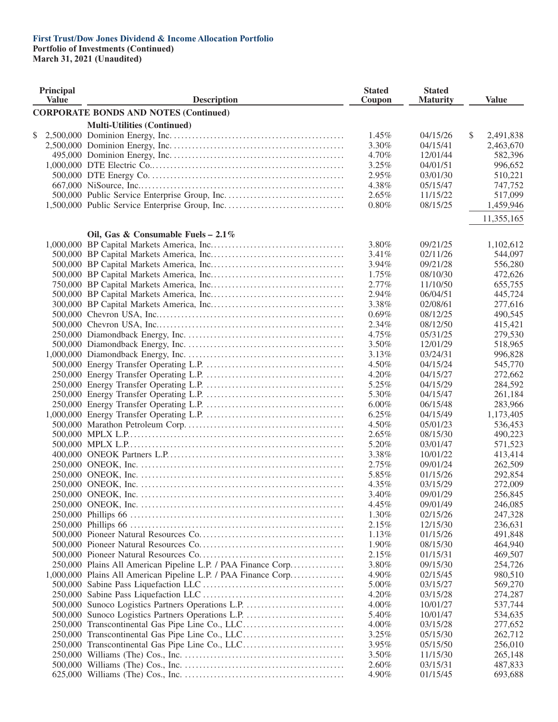#### **First Trust/Dow Jones Dividend & Income Allocation Portfolio Portfolio of Investments (Continued)**

| <b>Principal</b><br><b>Value</b> | <b>Description</b>                                             | <b>Stated</b><br>Coupon | <b>Stated</b><br><b>Maturity</b> | <b>Value</b>    |
|----------------------------------|----------------------------------------------------------------|-------------------------|----------------------------------|-----------------|
|                                  | <b>CORPORATE BONDS AND NOTES (Continued)</b>                   |                         |                                  |                 |
|                                  | <b>Multi-Utilities (Continued)</b>                             |                         |                                  |                 |
| \$                               |                                                                | 1.45%                   | 04/15/26                         | \$<br>2,491,838 |
|                                  |                                                                | 3.30%                   | 04/15/41                         | 2,463,670       |
|                                  |                                                                | 4.70%                   | 12/01/44                         | 582,396         |
|                                  |                                                                | 3.25%                   | 04/01/51                         | 996,652         |
|                                  |                                                                | 2.95%                   | 03/01/30                         | 510,221         |
|                                  |                                                                | 4.38%                   | 05/15/47                         | 747,752         |
|                                  |                                                                | 2.65%                   | 11/15/22                         | 517,099         |
|                                  |                                                                | 0.80%                   | 08/15/25                         | 1,459,946       |
|                                  |                                                                |                         |                                  | 11,355,165      |
|                                  |                                                                |                         |                                  |                 |
|                                  | Oil, Gas & Consumable Fuels - $2.1\%$                          |                         |                                  |                 |
|                                  |                                                                | 3.80%                   | 09/21/25                         | 1,102,612       |
|                                  |                                                                | 3.41%                   | 02/11/26                         | 544,097         |
|                                  |                                                                | 3.94%                   | 09/21/28                         | 556,280         |
|                                  |                                                                | 1.75%                   | 08/10/30                         | 472,626         |
|                                  |                                                                | 2.77%                   | 11/10/50                         | 655,755         |
|                                  |                                                                | 2.94%                   | 06/04/51                         | 445,724         |
|                                  |                                                                | 3.38%                   | 02/08/61                         | 277,616         |
|                                  |                                                                | 0.69%                   | 08/12/25                         | 490,545         |
|                                  |                                                                | 2.34%                   | 08/12/50                         | 415,421         |
|                                  |                                                                | 4.75%                   | 05/31/25                         | 279,530         |
|                                  |                                                                | 3.50%                   | 12/01/29                         | 518,965         |
|                                  |                                                                | 3.13%                   | 03/24/31                         | 996,828         |
|                                  |                                                                | 4.50%                   | 04/15/24                         | 545,770         |
|                                  |                                                                |                         |                                  |                 |
|                                  |                                                                | 4.20%                   | 04/15/27                         | 272,662         |
|                                  |                                                                | 5.25%                   | 04/15/29                         | 284,592         |
|                                  |                                                                | 5.30%                   | 04/15/47                         | 261,184         |
|                                  |                                                                | 6.00%                   | 06/15/48                         | 283,966         |
|                                  |                                                                | 6.25%                   | 04/15/49                         | 1,173,405       |
|                                  |                                                                | 4.50%                   | 05/01/23                         | 536,453         |
|                                  |                                                                | 2.65%                   | 08/15/30                         | 490,223         |
|                                  |                                                                | 5.20%                   | 03/01/47                         | 571,523         |
|                                  |                                                                | 3.38%                   | 10/01/22                         | 413,414         |
|                                  |                                                                | 2.75%                   | 09/01/24                         | 262,509         |
|                                  |                                                                | 5.85%                   | 01/15/26                         | 292,854         |
|                                  |                                                                | 4.35%                   | 03/15/29                         | 272,009         |
|                                  |                                                                | 3.40%                   | 09/01/29                         | 256,845         |
|                                  |                                                                | 4.45%                   | 09/01/49                         | 246,085         |
|                                  |                                                                | 1.30%                   | 02/15/26                         | 247,328         |
|                                  |                                                                | 2.15%                   | 12/15/30                         | 236,631         |
|                                  |                                                                |                         |                                  |                 |
|                                  |                                                                | 1.13%                   | 01/15/26                         | 491,848         |
|                                  |                                                                | 1.90%                   | 08/15/30                         | 464,940         |
|                                  |                                                                | 2.15%                   | 01/15/31                         | 469,507         |
|                                  | 250,000 Plains All American Pipeline L.P. / PAA Finance Corp   | 3.80%                   | 09/15/30                         | 254,726         |
|                                  | 1,000,000 Plains All American Pipeline L.P. / PAA Finance Corp | 4.90%                   | 02/15/45                         | 980,510         |
|                                  |                                                                | 5.00%                   | 03/15/27                         | 569,270         |
|                                  |                                                                | 4.20%                   | 03/15/28                         | 274,287         |
|                                  | 500,000 Sunoco Logistics Partners Operations L.P.              | 4.00%                   | 10/01/27                         | 537,744         |
|                                  | 500,000 Sunoco Logistics Partners Operations L.P.              | 5.40%                   | 10/01/47                         | 534,635         |
|                                  | 250,000 Transcontinental Gas Pipe Line Co., LLC                | 4.00%                   | 03/15/28                         | 277,652         |
|                                  | 250,000 Transcontinental Gas Pipe Line Co., LLC                | 3.25%                   | 05/15/30                         | 262,712         |
|                                  | 250,000 Transcontinental Gas Pipe Line Co., LLC                | 3.95%                   | 05/15/50                         | 256,010         |
|                                  |                                                                | 3.50%                   | 11/15/30                         | 265,148         |
|                                  |                                                                | 2.60%                   | 03/15/31                         | 487,833         |
|                                  |                                                                | 4.90%                   | 01/15/45                         | 693,688         |
|                                  |                                                                |                         |                                  |                 |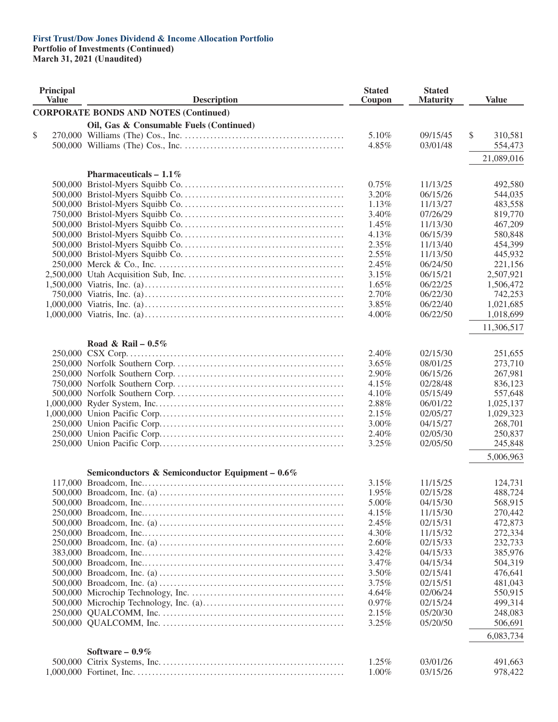**Portfolio of Investments (Continued)**

| Principal<br><b>Value</b> | <b>Description</b>                                 | <b>Stated</b><br>Coupon | <b>Stated</b><br><b>Maturity</b> | <b>Value</b>  |
|---------------------------|----------------------------------------------------|-------------------------|----------------------------------|---------------|
|                           | <b>CORPORATE BONDS AND NOTES (Continued)</b>       |                         |                                  |               |
|                           | Oil, Gas & Consumable Fuels (Continued)            |                         |                                  |               |
| \$                        |                                                    | 5.10%                   | 09/15/45                         | \$<br>310,581 |
|                           |                                                    | 4.85%                   | 03/01/48                         | 554,473       |
|                           |                                                    |                         |                                  | 21,089,016    |
|                           |                                                    |                         |                                  |               |
|                           | Pharmaceuticals $-1.1\%$                           |                         |                                  |               |
|                           |                                                    | 0.75%                   | 11/13/25                         | 492,580       |
|                           |                                                    | 3.20%                   | 06/15/26                         | 544,035       |
|                           |                                                    | 1.13%                   | 11/13/27                         | 483,558       |
|                           |                                                    | 3.40%                   | 07/26/29                         | 819,770       |
|                           |                                                    | 1.45%                   | 11/13/30                         | 467,209       |
|                           |                                                    | 4.13%                   | 06/15/39                         | 580,848       |
|                           |                                                    | 2.35%                   | 11/13/40                         | 454,399       |
|                           |                                                    | 2.55%                   | 11/13/50                         | 445,932       |
|                           |                                                    | 2.45%                   | 06/24/50                         | 221,156       |
|                           |                                                    | 3.15%                   | 06/15/21                         | 2,507,921     |
|                           |                                                    | 1.65%                   | 06/22/25                         | 1,506,472     |
|                           |                                                    | 2.70%                   | 06/22/30                         | 742,253       |
|                           |                                                    | 3.85%                   | 06/22/40                         | 1,021,685     |
|                           |                                                    | 4.00%                   | 06/22/50                         | 1,018,699     |
|                           |                                                    |                         |                                  | 11,306,517    |
|                           | Road & Rail – $0.5\%$                              |                         |                                  |               |
|                           |                                                    | 2.40%                   | 02/15/30                         | 251,655       |
|                           |                                                    | 3.65%                   | 08/01/25                         | 273,710       |
|                           |                                                    | 2.90%                   | 06/15/26                         | 267,981       |
|                           |                                                    | 4.15%                   | 02/28/48                         | 836,123       |
|                           |                                                    | 4.10%                   | 05/15/49                         | 557,648       |
|                           |                                                    | 2.88%                   | 06/01/22                         | 1,025,137     |
|                           |                                                    | 2.15%                   | 02/05/27                         | 1,029,323     |
|                           |                                                    | 3.00%                   | 04/15/27                         | 268,701       |
|                           |                                                    | 2.40%                   | 02/05/30                         | 250,837       |
|                           |                                                    | 3.25%                   | 02/05/50                         | 245,848       |
|                           |                                                    |                         |                                  | 5,006,963     |
|                           | Semiconductors & Semiconductor Equipment - $0.6\%$ |                         |                                  |               |
|                           |                                                    | 3.15%                   | 11/15/25                         | 124,731       |
|                           |                                                    | 1.95%                   | 02/15/28                         | 488,724       |
|                           |                                                    | 5.00%                   | 04/15/30                         | 568,915       |
|                           |                                                    | 4.15%                   | 11/15/30                         | 270,442       |
|                           |                                                    | 2.45%                   | 02/15/31                         | 472,873       |
|                           |                                                    | 4.30%                   | 11/15/32                         | 272,334       |
|                           |                                                    | 2.60%                   | 02/15/33                         | 232,733       |
|                           |                                                    | 3.42%                   | 04/15/33                         | 385,976       |
|                           |                                                    | 3.47%                   | 04/15/34                         | 504,319       |
|                           |                                                    | 3.50%                   | 02/15/41                         | 476,641       |
|                           |                                                    | 3.75%                   | 02/15/51                         | 481,043       |
|                           |                                                    | 4.64%                   | 02/06/24                         | 550,915       |
|                           |                                                    | 0.97%                   | 02/15/24                         | 499,314       |
|                           |                                                    | 2.15%                   | 05/20/30                         | 248,083       |
|                           |                                                    | 3.25%                   | 05/20/50                         | 506,691       |
|                           |                                                    |                         |                                  | 6,083,734     |
|                           | Software $-0.9\%$                                  |                         |                                  |               |
|                           |                                                    | 1.25%                   | 03/01/26                         | 491,663       |
|                           |                                                    | $1.00\%$                | 03/15/26                         | 978,422       |
|                           |                                                    |                         |                                  |               |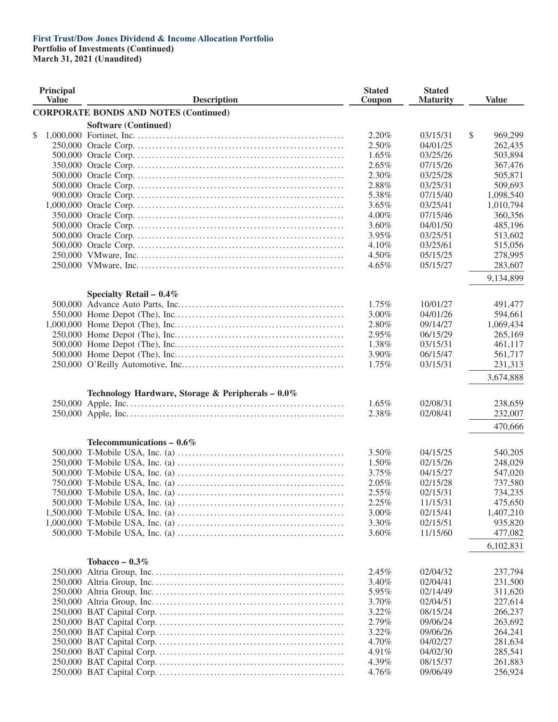**Portfolio of Investments (Continued)**

| Principal<br><b>Value</b> | <b>Description</b>                                | <b>Stated</b><br>Coupon | <b>Stated</b><br><b>Maturity</b> | <b>Value</b>  |
|---------------------------|---------------------------------------------------|-------------------------|----------------------------------|---------------|
|                           | <b>CORPORATE BONDS AND NOTES (Continued)</b>      |                         |                                  |               |
|                           | <b>Software (Continued)</b>                       |                         |                                  |               |
| \$                        |                                                   | 2.20%                   | 03/15/31                         | \$<br>969,299 |
|                           |                                                   | 2.50%                   | 04/01/25                         | 262,435       |
|                           |                                                   | 1.65%                   | 03/25/26                         | 503,894       |
|                           |                                                   | 2.65%                   | 07/15/26                         | 367,476       |
|                           |                                                   | 2.30%                   | 03/25/28                         | 505,871       |
|                           |                                                   | 2.88%                   | 03/25/31                         | 509,693       |
|                           |                                                   | 5.38%                   | 07/15/40                         | 1,098,540     |
|                           |                                                   | 3.65%                   | 03/25/41                         | 1,010,794     |
|                           |                                                   | 4.00%                   | 07/15/46                         | 360,356       |
|                           |                                                   | 3.60%                   | 04/01/50                         | 485,196       |
|                           |                                                   | 3.95%                   | 03/25/51                         | 513,602       |
|                           |                                                   | 4.10%                   | 03/25/61                         | 515,056       |
|                           |                                                   | 4.50%                   | 05/15/25                         | 278,995       |
|                           |                                                   | 4.65%                   | 05/15/27                         | 283,607       |
|                           |                                                   |                         |                                  |               |
|                           |                                                   |                         |                                  | 9,134,899     |
|                           | Specialty Retail - $0.4\%$                        |                         |                                  |               |
|                           |                                                   | 1.75%                   | 10/01/27                         | 491,477       |
|                           |                                                   | 3.00%                   | 04/01/26                         | 594,661       |
|                           |                                                   | 2.80%                   | 09/14/27                         | 1,069,434     |
|                           |                                                   | 2.95%                   | 06/15/29                         | 265,169       |
|                           |                                                   | 1.38%                   | 03/15/31                         | 461,117       |
|                           |                                                   | 3.90%                   | 06/15/47                         | 561,717       |
|                           |                                                   | 1.75%                   | 03/15/31                         | 231,313       |
|                           |                                                   |                         |                                  | 3,674,888     |
|                           | Technology Hardware, Storage & Peripherals - 0.0% |                         |                                  |               |
|                           |                                                   | 1.65%                   | 02/08/31                         | 238,659       |
|                           |                                                   | 2.38%                   | 02/08/41                         | 232,007       |
|                           |                                                   |                         |                                  | 470,666       |
|                           | Telecommunications $-0.6\%$                       |                         |                                  |               |
|                           |                                                   | 3.50%                   | 04/15/25                         | 540,205       |
|                           |                                                   | 1.50%                   | 02/15/26                         | 248,029       |
|                           |                                                   | 3.75%                   | 04/15/27                         | 547,020       |
|                           |                                                   | 2.05%                   | 02/15/28                         | 737,580       |
|                           |                                                   | 2.55%                   | 02/15/31                         | 734,235       |
|                           |                                                   | 2.25%                   | 11/15/31                         | 475,650       |
|                           |                                                   |                         |                                  |               |
|                           |                                                   | 3.00%                   | 02/15/41                         | 1,407,210     |
|                           |                                                   | 3.30%                   | 02/15/51                         | 935,820       |
|                           |                                                   | 3.60%                   | 11/15/60                         | 477,082       |
|                           |                                                   |                         |                                  | 6,102,831     |
|                           | Tobacco – $0.3\%$                                 |                         |                                  |               |
|                           |                                                   | 2.45%                   | 02/04/32                         | 237,794       |
|                           |                                                   | 3.40%                   | 02/04/41                         | 231,500       |
|                           |                                                   | 5.95%                   | 02/14/49                         | 311,620       |
|                           |                                                   | 3.70%                   | 02/04/51                         | 227,614       |
|                           |                                                   | 3.22%                   | 08/15/24                         | 266,237       |
|                           |                                                   | 2.79%                   | 09/06/24                         | 263,692       |
|                           |                                                   | 3.22%                   | 09/06/26                         | 264,241       |
|                           |                                                   | 4.70%                   | 04/02/27                         | 281,634       |
|                           |                                                   | 4.91%                   | 04/02/30                         | 285,541       |
|                           |                                                   | 4.39%                   | 08/15/37                         | 261,883       |
|                           |                                                   | 4.76%                   | 09/06/49                         | 256,924       |
|                           |                                                   |                         |                                  |               |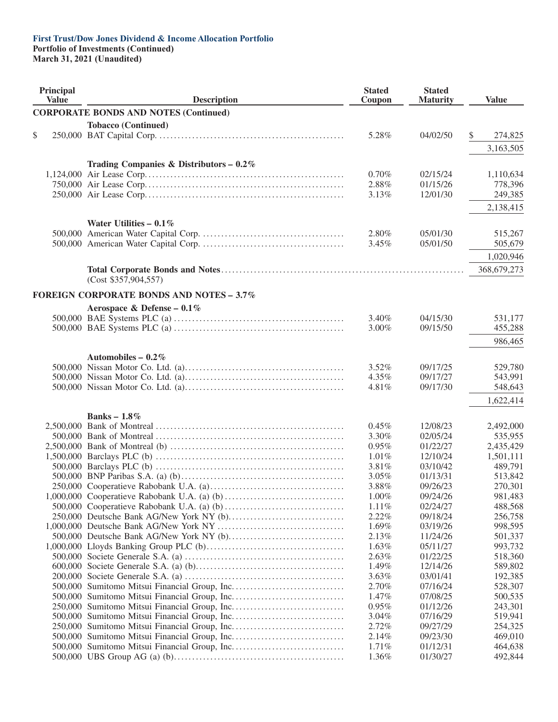**Portfolio of Investments (Continued)**

| Principal<br><b>Value</b> | <b>Description</b>                              | <b>Stated</b><br>Coupon | <b>Stated</b><br><b>Maturity</b> | <b>Value</b>  |
|---------------------------|-------------------------------------------------|-------------------------|----------------------------------|---------------|
|                           | <b>CORPORATE BONDS AND NOTES (Continued)</b>    |                         |                                  |               |
|                           | <b>Tobacco (Continued)</b>                      |                         |                                  |               |
| \$                        |                                                 | 5.28%                   | 04/02/50                         | \$<br>274,825 |
|                           |                                                 |                         |                                  | 3,163,505     |
|                           |                                                 |                         |                                  |               |
|                           | Trading Companies & Distributors $-0.2\%$       |                         |                                  |               |
|                           |                                                 | 0.70%                   | 02/15/24                         | 1,110,634     |
|                           |                                                 | 2.88%                   | 01/15/26                         | 778,396       |
|                           |                                                 | 3.13%                   | 12/01/30                         | 249,385       |
|                           |                                                 |                         |                                  | 2,138,415     |
|                           |                                                 |                         |                                  |               |
|                           | Water Utilities $-0.1\%$                        |                         |                                  |               |
|                           |                                                 | 2.80%                   | 05/01/30                         | 515,267       |
|                           |                                                 | 3.45%                   | 05/01/50                         | 505,679       |
|                           |                                                 |                         |                                  | 1,020,946     |
|                           |                                                 |                         |                                  | 368,679,273   |
|                           | (Cost \$357,904,557)                            |                         |                                  |               |
|                           |                                                 |                         |                                  |               |
|                           | <b>FOREIGN CORPORATE BONDS AND NOTES - 3.7%</b> |                         |                                  |               |
|                           | Aerospace & Defense - $0.1\%$                   |                         |                                  |               |
|                           |                                                 | 3.40%                   | 04/15/30                         | 531,177       |
|                           |                                                 | $3.00\%$                | 09/15/50                         | 455,288       |
|                           |                                                 |                         |                                  | 986,465       |
|                           |                                                 |                         |                                  |               |
|                           | Automobiles – $0.2\%$                           |                         |                                  |               |
|                           |                                                 | 3.52%                   | 09/17/25                         | 529,780       |
|                           |                                                 | 4.35%                   | 09/17/27                         | 543,991       |
|                           |                                                 | 4.81%                   | 09/17/30                         | 548,643       |
|                           |                                                 |                         |                                  | 1,622,414     |
|                           |                                                 |                         |                                  |               |
|                           | Banks – $1.8\%$                                 |                         |                                  |               |
|                           |                                                 | 0.45%                   | 12/08/23                         | 2,492,000     |
|                           |                                                 | 3.30%                   | 02/05/24                         | 535,955       |
|                           |                                                 | $0.95\%$                | 01/22/27                         | 2,435,429     |
|                           |                                                 | 1.01%                   | 12/10/24                         | 1,501,111     |
|                           |                                                 | 3.81%                   | 03/10/42                         | 489,791       |
|                           |                                                 | 3.05%                   | 01/13/31                         | 513,842       |
|                           |                                                 | 3.88%                   | 09/26/23                         | 270,301       |
|                           |                                                 | 1.00%                   | 09/24/26                         | 981,483       |
|                           |                                                 | 1.11%                   | 02/24/27                         | 488,568       |
|                           |                                                 | 2.22%                   | 09/18/24                         | 256,758       |
|                           |                                                 | 1.69%                   | 03/19/26                         | 998,595       |
|                           | 500,000 Deutsche Bank AG/New York NY (b)        | 2.13%                   | 11/24/26                         | 501,337       |
|                           |                                                 | 1.63%                   | 05/11/27                         | 993,732       |
|                           |                                                 | 2.63%                   | 01/22/25                         | 518,360       |
|                           |                                                 | 1.49%                   | 12/14/26                         | 589,802       |
|                           |                                                 | 3.63%                   | 03/01/41                         | 192,385       |
|                           |                                                 | 2.70%                   | 07/16/24                         | 528,307       |
|                           |                                                 | 1.47%                   | 07/08/25                         | 500,535       |
|                           |                                                 | 0.95%                   | 01/12/26                         | 243,301       |
|                           |                                                 | 3.04%                   | 07/16/29                         | 519,941       |
|                           |                                                 | 2.72%                   | 09/27/29                         | 254,325       |
|                           |                                                 | 2.14%                   | 09/23/30                         | 469,010       |
|                           |                                                 | $1.71\%$                | 01/12/31                         | 464,638       |
|                           |                                                 | 1.36%                   | 01/30/27                         | 492,844       |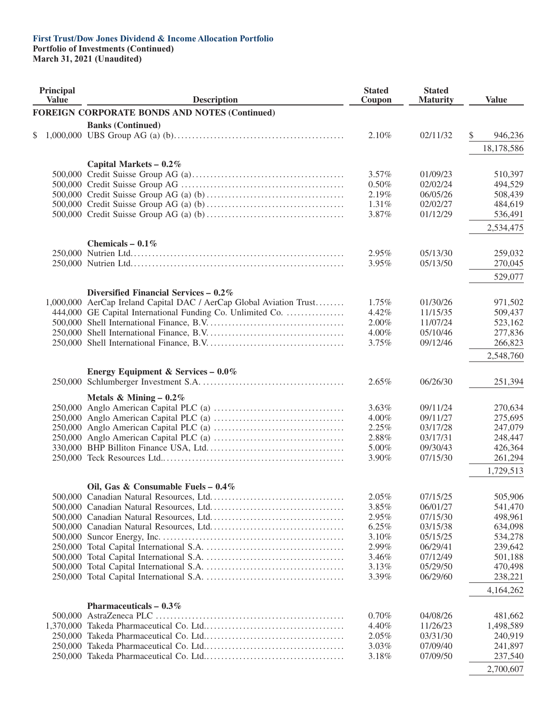**Portfolio of Investments (Continued)**

| Principal<br><b>Value</b> |  | <b>Description</b>                                                  |                   | <b>Stated</b><br><b>Maturity</b> | <b>Value</b>       |
|---------------------------|--|---------------------------------------------------------------------|-------------------|----------------------------------|--------------------|
|                           |  | <b>FOREIGN CORPORATE BONDS AND NOTES (Continued)</b>                |                   |                                  |                    |
|                           |  | <b>Banks (Continued)</b>                                            |                   |                                  |                    |
| \$                        |  |                                                                     | 2.10%             | 02/11/32                         | \$<br>946,236      |
|                           |  |                                                                     |                   |                                  | 18,178,586         |
|                           |  |                                                                     |                   |                                  |                    |
|                           |  | Capital Markets $-0.2\%$                                            |                   |                                  |                    |
|                           |  |                                                                     | $3.57\%$<br>0.50% | 01/09/23<br>02/02/24             | 510,397<br>494,529 |
|                           |  |                                                                     | 2.19%             | 06/05/26                         | 508,439            |
|                           |  |                                                                     | 1.31%             | 02/02/27                         | 484,619            |
|                           |  |                                                                     | 3.87%             | 01/12/29                         | 536,491            |
|                           |  |                                                                     |                   |                                  |                    |
|                           |  |                                                                     |                   |                                  | 2,534,475          |
|                           |  | Chemicals – $0.1\%$                                                 |                   |                                  |                    |
|                           |  |                                                                     | 2.95%             | 05/13/30                         | 259,032            |
|                           |  |                                                                     | 3.95%             | 05/13/50                         | 270,045            |
|                           |  |                                                                     |                   |                                  | 529,077            |
|                           |  | Diversified Financial Services $-0.2\%$                             |                   |                                  |                    |
|                           |  | 1,000,000 AerCap Ireland Capital DAC / AerCap Global Aviation Trust | 1.75%             | 01/30/26                         | 971,502            |
|                           |  | 444,000 GE Capital International Funding Co. Unlimited Co.          | 4.42%             | 11/15/35                         | 509,437            |
|                           |  |                                                                     | 2.00%             | 11/07/24                         | 523,162            |
|                           |  |                                                                     | 4.00%             | 05/10/46                         | 277,836            |
|                           |  |                                                                     | 3.75%             | 09/12/46                         | 266,823            |
|                           |  |                                                                     |                   |                                  | 2,548,760          |
|                           |  | Energy Equipment & Services - $0.0\%$                               |                   |                                  |                    |
|                           |  |                                                                     | 2.65%             | 06/26/30                         | 251,394            |
|                           |  |                                                                     |                   |                                  |                    |
|                           |  | Metals & Mining - $0.2\%$                                           |                   |                                  |                    |
|                           |  |                                                                     | 3.63%<br>4.00%    | 09/11/24<br>09/11/27             | 270,634<br>275,695 |
|                           |  |                                                                     | 2.25%             | 03/17/28                         | 247,079            |
|                           |  |                                                                     | 2.88%             | 03/17/31                         | 248,447            |
|                           |  |                                                                     | 5.00%             | 09/30/43                         | 426,364            |
|                           |  |                                                                     | 3.90%             | 07/15/30                         | 261,294            |
|                           |  |                                                                     |                   |                                  | 1,729,513          |
|                           |  |                                                                     |                   |                                  |                    |
|                           |  | Oil, Gas & Consumable Fuels - $0.4\%$                               |                   |                                  |                    |
|                           |  |                                                                     | 2.05%             | 07/15/25                         | 505,906            |
|                           |  |                                                                     | 3.85%             | 06/01/27                         | 541,470            |
|                           |  |                                                                     | 2.95%             | 07/15/30                         | 498,961            |
|                           |  |                                                                     | 6.25%             | 03/15/38                         | 634,098            |
|                           |  |                                                                     | 3.10%<br>2.99%    | 05/15/25<br>06/29/41             | 534,278<br>239,642 |
|                           |  |                                                                     | 3.46%             | 07/12/49                         | 501,188            |
|                           |  |                                                                     | 3.13%             | 05/29/50                         | 470,498            |
|                           |  |                                                                     | 3.39%             | 06/29/60                         | 238,221            |
|                           |  |                                                                     |                   |                                  |                    |
|                           |  |                                                                     |                   |                                  | 4,164,262          |
|                           |  | Pharmaceuticals $-0.3\%$                                            |                   |                                  |                    |
|                           |  |                                                                     | 0.70%             | 04/08/26                         | 481,662            |
|                           |  |                                                                     | 4.40%             | 11/26/23                         | 1,498,589          |
|                           |  |                                                                     | 2.05%<br>3.03%    | 03/31/30<br>07/09/40             | 240,919<br>241,897 |
|                           |  |                                                                     | 3.18%             | 07/09/50                         | 237,540            |
|                           |  |                                                                     |                   |                                  |                    |
|                           |  |                                                                     |                   |                                  | 2,700,607          |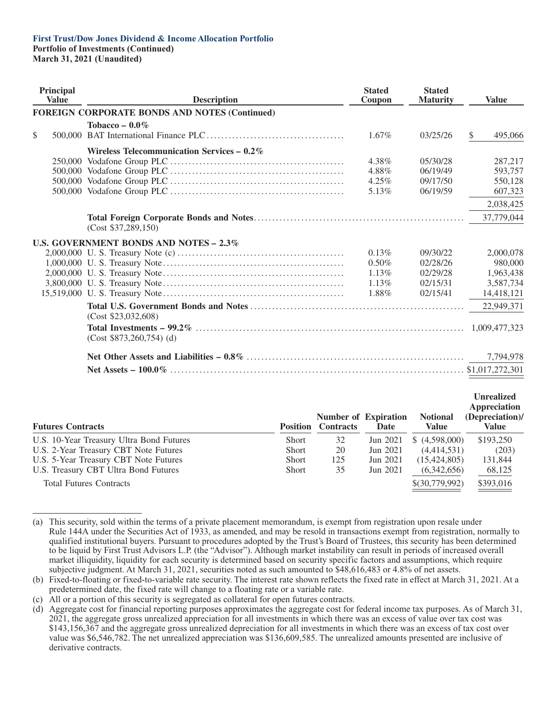#### **First Trust/Dow Jones Dividend & Income Allocation Portfolio Portfolio of Investments (Continued)**

|              | Principal<br><b>Value</b> | <b>Description</b>                                   | <b>Stated</b><br>Coupon                            | <b>Stated</b><br><b>Maturity</b>                         | <b>Value</b>                                                 |
|--------------|---------------------------|------------------------------------------------------|----------------------------------------------------|----------------------------------------------------------|--------------------------------------------------------------|
|              |                           | <b>FOREIGN CORPORATE BONDS AND NOTES (Continued)</b> |                                                    |                                                          |                                                              |
| $\mathbb{S}$ |                           | Tobacco – $0.0\%$                                    | $1.67\%$                                           | 03/25/26                                                 | 495,066<br>\$.                                               |
|              |                           | Wireless Telecommunication Services $-0.2\%$         | 4.38%<br>4.88%<br>$4.25\%$<br>5.13%                | 05/30/28<br>06/19/49<br>09/17/50<br>06/19/59             | 287,217<br>593,757<br>550,128<br>607,323                     |
|              |                           | (Cost \$37,289,150)                                  |                                                    |                                                          | 2,038,425<br>37,779,044                                      |
|              |                           | U.S. GOVERNMENT BONDS AND NOTES $-2.3\%$             |                                                    |                                                          |                                                              |
|              |                           |                                                      | 0.13%<br>$0.50\%$<br>$1.13\%$<br>$1.13\%$<br>1.88% | 09/30/22<br>02/28/26<br>02/29/28<br>02/15/31<br>02/15/41 | 2,000,078<br>980,000<br>1,963,438<br>3,587,734<br>14,418,121 |
|              |                           |                                                      |                                                    |                                                          | 22,949,371                                                   |
|              |                           | (Cost \$23,032,608)<br>$(Cost $873,260,754)$ (d)     |                                                    |                                                          |                                                              |
|              |                           |                                                      |                                                    |                                                          | 7,794,978                                                    |
|              |                           |                                                      |                                                    |                                                          | \$1,017,272,301                                              |
|              |                           |                                                      |                                                    |                                                          |                                                              |

| <b>Futures Contracts</b>                 |              | <b>Position</b> Contracts | <b>Number of Expiration</b><br>Date | <b>Notional</b><br><b>Value</b> | <b>Unrealized</b><br><b>Appreciation</b><br>(Depreciation)/<br>Value |
|------------------------------------------|--------------|---------------------------|-------------------------------------|---------------------------------|----------------------------------------------------------------------|
| U.S. 10-Year Treasury Ultra Bond Futures | <b>Short</b> | 32                        | Jun 2021                            | \$(4.598,000)                   | \$193,250                                                            |
| U.S. 2-Year Treasury CBT Note Futures    | <b>Short</b> | 20                        | Jun 2021                            | (4,414,531)                     | (203)                                                                |
| U.S. 5-Year Treasury CBT Note Futures    | <b>Short</b> | 125                       | Jun 2021                            | (15, 424, 805)                  | 131,844                                                              |
| U.S. Treasury CBT Ultra Bond Futures     | <b>Short</b> | 35                        | Jun 2021                            | (6,342,656)                     | 68,125                                                               |
| <b>Total Futures Contracts</b>           |              |                           |                                     | \$(30,779,992)                  | \$393,016                                                            |
|                                          |              |                           |                                     |                                 |                                                                      |

<sup>(</sup>a) This security, sold within the terms of a private placement memorandum, is exempt from registration upon resale under Rule 144A under the Securities Act of 1933, as amended, and may be resold in transactions exempt from registration, normally to qualified institutional buyers. Pursuant to procedures adopted by the Trust's Board of Trustees, this security has been determined to be liquid by First Trust Advisors L.P. (the "Advisor"). Although market instability can result in periods of increased overall market illiquidity, liquidity for each security is determined based on security specific factors and assumptions, which require subjective judgment. At March 31, 2021, securities noted as such amounted to \$48,616,483 or 4.8% of net assets.

<sup>(</sup>b) Fixed-to-floating or fixed-to-variable rate security. The interest rate shown reflects the fixed rate in effect at March 31, 2021. At a predetermined date, the fixed rate will change to a floating rate or a variable rate.

<sup>(</sup>c) All or a portion of this security is segregated as collateral for open futures contracts.

<sup>(</sup>d) Aggregate cost for financial reporting purposes approximates the aggregate cost for federal income tax purposes. As of March 31, 2021, the aggregate gross unrealized appreciation for all investments in which there was an excess of value over tax cost was \$143,156,367 and the aggregate gross unrealized depreciation for all investments in which there was an excess of tax cost over value was \$6,546,782. The net unrealized appreciation was \$136,609,585. The unrealized amounts presented are inclusive of derivative contracts.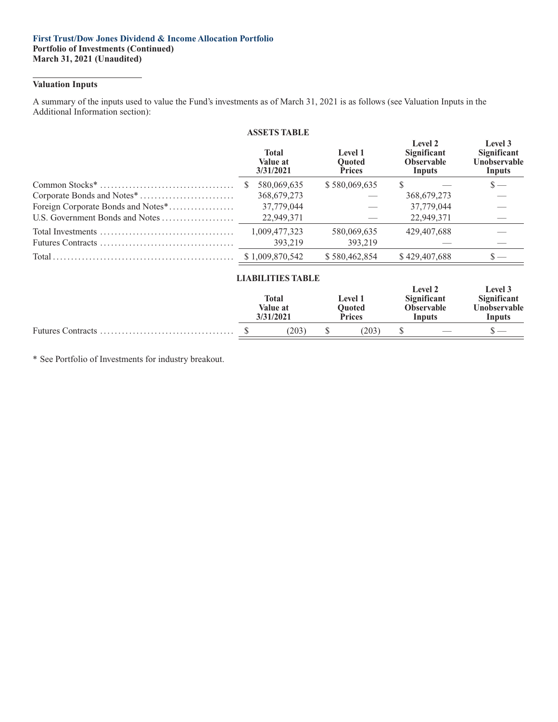#### **First Trust/Dow Jones Dividend & Income Allocation Portfolio Portfolio of Investments (Continued) March 31, 2021 (Unaudited)**

#### **Valuation Inputs**

A summary of the inputs used to value the Fund's investments as of March 31, 2021 is as follows (see Valuation Inputs in the Additional Information section):

|                                    | <b>ASSETS TABLE</b>                   |                                                  |                                                       |                                                         |
|------------------------------------|---------------------------------------|--------------------------------------------------|-------------------------------------------------------|---------------------------------------------------------|
|                                    | <b>Total</b><br>Value at<br>3/31/2021 | <b>Level 1</b><br><b>Ouoted</b><br><b>Prices</b> | Level 2<br>Significant<br><b>Observable</b><br>Inputs | Level 3<br><b>Significant</b><br>Unobservable<br>Inputs |
|                                    | 580,069,635                           | \$580,069,635                                    | S.                                                    | $\mathbf{S}$ —                                          |
|                                    | 368, 679, 273                         |                                                  | 368,679,273                                           |                                                         |
| Foreign Corporate Bonds and Notes* | 37,779,044                            |                                                  | 37,779,044                                            |                                                         |
| U.S. Government Bonds and Notes    | 22,949,371                            |                                                  | 22,949,371                                            |                                                         |
|                                    | 1,009,477,323                         | 580,069,635                                      | 429,407,688                                           |                                                         |
|                                    | 393,219                               | 393,219                                          |                                                       |                                                         |
|                                    | \$1,009,870,542                       | \$580,462,854                                    | \$429,407,688                                         | $\mathbf{s}$ —                                          |
|                                    | <b>LIABILITIES TABLE</b>              |                                                  |                                                       |                                                         |

|  | ------------------<br>Total<br>Value at<br>3/31/2021 | <b>Level 1</b><br><b>Ouoted</b><br><b>Prices</b> |               | <b>Level 2</b><br>Significant<br><b>Observable</b><br>Inputs |  | <b>Level</b> 3<br><b>Significant</b><br><b>Unobservable</b><br>Inputs |
|--|------------------------------------------------------|--------------------------------------------------|---------------|--------------------------------------------------------------|--|-----------------------------------------------------------------------|
|  | (203)                                                |                                                  | $203^{\circ}$ |                                                              |  |                                                                       |
|  |                                                      |                                                  |               |                                                              |  |                                                                       |

\* See Portfolio of Investments for industry breakout.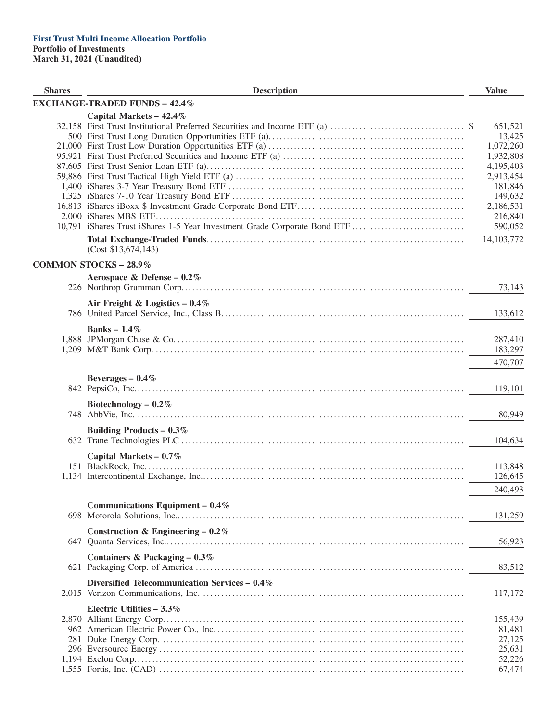| <b>Shares</b> | <b>Description</b>                            | <b>Value</b>                                                                                                                                   |
|---------------|-----------------------------------------------|------------------------------------------------------------------------------------------------------------------------------------------------|
|               | <b>EXCHANGE-TRADED FUNDS - 42.4%</b>          |                                                                                                                                                |
|               | Capital Markets - 42.4%                       | 651,521<br>13,425<br>1,072,260<br>1,932,808<br>4,195,403<br>2,913,454<br>181,846<br>149,632<br>2,186,531<br>216,840<br>590,052<br>14, 103, 772 |
|               | (Cost \$13,674,143)                           |                                                                                                                                                |
|               | <b>COMMON STOCKS - 28.9%</b>                  |                                                                                                                                                |
|               | Aerospace & Defense - $0.2\%$                 | 73,143                                                                                                                                         |
|               | Air Freight & Logistics $-0.4\%$              | 133,612                                                                                                                                        |
|               | Banks – $1.4\%$                               | 287,410<br>183,297                                                                                                                             |
|               | Beverages $-0.4\%$                            | 470,707                                                                                                                                        |
|               | Biotechnology $-0.2\%$                        | 119,101                                                                                                                                        |
|               |                                               | 80,949                                                                                                                                         |
|               | Building Products – $0.3\%$                   | 104,634                                                                                                                                        |
|               | Capital Markets $-0.7\%$                      | 113,848<br>126,645<br>240,493                                                                                                                  |
|               | Communications Equipment - $0.4\%$            | 131,259                                                                                                                                        |
|               | Construction & Engineering – $0.2\%$          | 56,923                                                                                                                                         |
|               | Containers & Packaging $-0.3\%$               | 83,512                                                                                                                                         |
|               | Diversified Telecommunication Services - 0.4% | 117,172                                                                                                                                        |
|               | Electric Utilities $-3.3\%$                   | 155,439<br>81,481<br>27,125<br>25,631<br>52,226<br>67,474                                                                                      |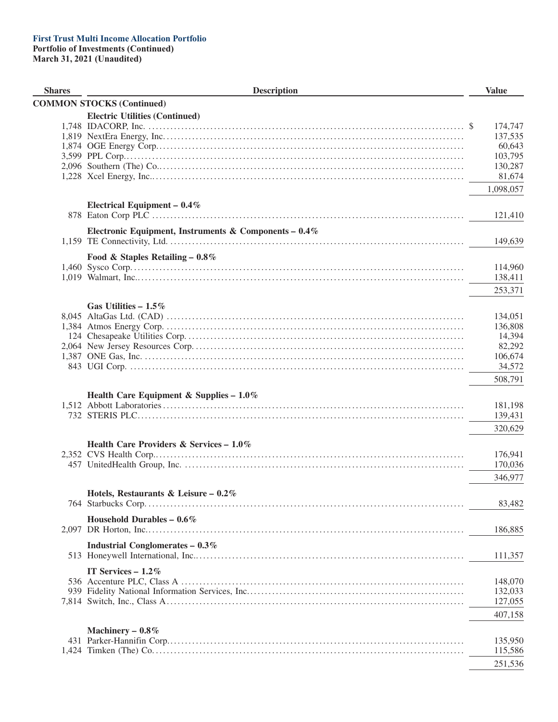| <b>Shares</b> | <b>Description</b>                                       | <b>Value</b> |
|---------------|----------------------------------------------------------|--------------|
|               | <b>COMMON STOCKS (Continued)</b>                         |              |
|               | <b>Electric Utilities (Continued)</b>                    |              |
|               |                                                          | 174,747      |
|               |                                                          | 137,535      |
|               |                                                          | 60,643       |
|               |                                                          | 103,795      |
|               |                                                          | 130,287      |
|               |                                                          | 81,674       |
|               |                                                          | 1,098,057    |
|               | Electrical Equipment $-0.4\%$                            |              |
|               |                                                          | 121,410      |
|               | Electronic Equipment, Instruments & Components – $0.4\%$ |              |
|               |                                                          | 149,639      |
|               | Food & Staples Retailing $-0.8\%$                        |              |
|               |                                                          | 114,960      |
|               |                                                          | 138,411      |
|               |                                                          | 253,371      |
|               | Gas Utilities $-1.5\%$                                   |              |
|               |                                                          | 134,051      |
|               |                                                          | 136,808      |
|               |                                                          | 14,394       |
|               |                                                          | 82,292       |
|               |                                                          | 106,674      |
|               |                                                          | 34,572       |
|               |                                                          | 508,791      |
|               |                                                          |              |
|               | Health Care Equipment & Supplies - 1.0%                  |              |
|               |                                                          | 181,198      |
|               |                                                          | 139,431      |
|               |                                                          | 320,629      |
|               | Health Care Providers & Services - $1.0\%$               |              |
|               |                                                          | 176,941      |
|               |                                                          | 170,036      |
|               |                                                          | 346,977      |
|               | Hotels, Restaurants & Leisure - 0.2%                     |              |
|               |                                                          | 83,482       |
|               |                                                          |              |
|               | Household Durables – $0.6\%$                             | 186,885      |
|               |                                                          |              |
|               | <b>Industrial Conglomerates - 0.3%</b>                   | 111,357      |
|               | IT Services $-1.2\%$                                     |              |
|               |                                                          | 148,070      |
|               |                                                          | 132,033      |
|               |                                                          | 127,055      |
|               |                                                          | 407,158      |
|               |                                                          |              |
|               | Machinery $-0.8\%$                                       |              |
|               |                                                          | 135,950      |
|               |                                                          | 115,586      |
|               |                                                          | 251,536      |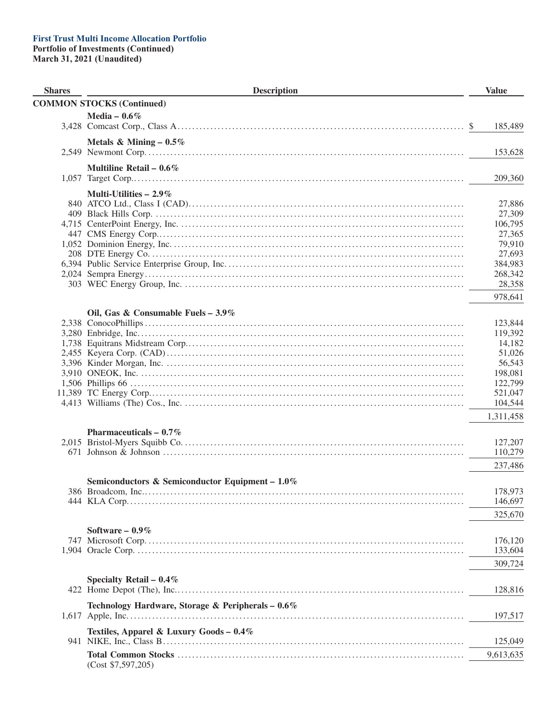#### **First Trust Multi Income Allocation Portfolio Portfolio of Investments (Continued)** March 31, 2021 (Unaudited)

 $(Cost $7,597,205)$ 

**Shares Description Value COMMON STOCKS (Continued)** Media  $-0.6\%$ 185,489 Metals & Mining  $-0.5\%$ 153,628 Multiline Retail –  $0.6\%$ 209,360 Multi-Utilities  $-2.9\%$ 27,886 27,309 106,795 27,365 79,910 27,693 384,983 268,342 28,358 978,641 Oil. Gas & Consumable Fuels  $-3.9\%$ 123,844 119,392 14,182 51,026 56,543 198,081 122,799 521,047 104,544 1,311,458 Pharmaceuticals  $-0.7\%$ 127,207 110,279 237,486 Semiconductors & Semiconductor Equipment  $-1.0\%$ 178.973 146,697 325,670 Software  $-0.9\%$ 176,120 133,604 309.724 Specialty Retail  $-0.4\%$ 128,816 Technology Hardware, Storage & Peripherals - 0.6% 197,517 Textiles, Apparel & Luxury Goods - 0.4% 125,049 9,613,635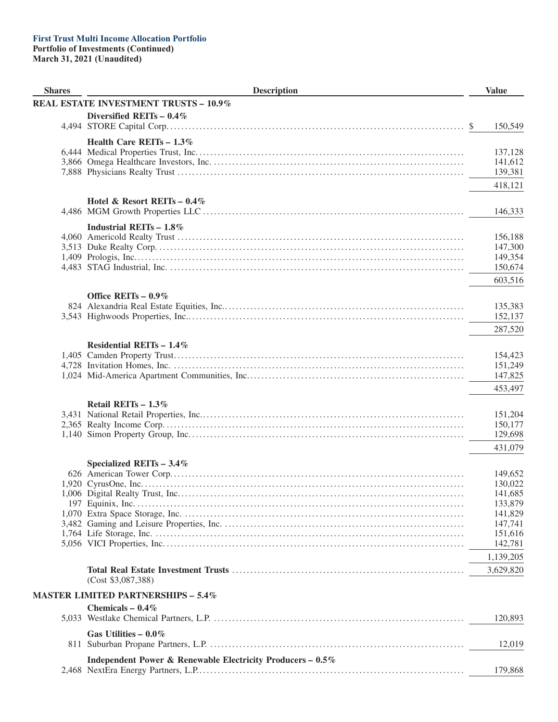| <b>Shares</b> | <b>Description</b>                                         | <b>Value</b>       |
|---------------|------------------------------------------------------------|--------------------|
|               | <b>REAL ESTATE INVESTMENT TRUSTS - 10.9%</b>               |                    |
|               | Diversified REITs $-0.4\%$                                 |                    |
|               |                                                            | 150,549<br>\$      |
|               | Health Care REITs - 1.3%                                   |                    |
|               |                                                            | 137,128            |
|               |                                                            | 141,612            |
|               |                                                            | 139,381            |
|               |                                                            | 418,121            |
|               | Hotel & Resort REITs $-0.4\%$                              |                    |
|               |                                                            | 146,333            |
|               |                                                            |                    |
|               | Industrial REITs $-1.8\%$                                  | 156,188            |
|               |                                                            | 147,300            |
|               |                                                            | 149,354            |
|               |                                                            | 150,674            |
|               |                                                            | 603,516            |
|               |                                                            |                    |
|               | Office REITs $-0.9\%$                                      |                    |
|               |                                                            | 135,383<br>152,137 |
|               |                                                            |                    |
|               |                                                            | 287,520            |
|               | Residential REITs $-1.4\%$                                 |                    |
|               |                                                            | 154,423            |
|               |                                                            | 151,249            |
|               |                                                            | 147,825            |
|               |                                                            | 453,497            |
|               | Retail REITs - 1.3%                                        |                    |
|               |                                                            | 151,204            |
|               |                                                            | 150,177            |
|               |                                                            | 129,698            |
|               |                                                            | 431,079            |
|               | Specialized REITs $-3.4\%$                                 |                    |
|               |                                                            | 149,652            |
|               |                                                            | 130,022            |
|               |                                                            | 141,685            |
|               |                                                            | 133,879<br>141,829 |
|               |                                                            | 147,741            |
|               |                                                            | 151,616            |
|               |                                                            | 142,781            |
|               |                                                            | 1,139,205          |
|               |                                                            | 3,629,820          |
|               | (Cost \$3,087,388)                                         |                    |
|               | <b>MASTER LIMITED PARTNERSHIPS - 5.4%</b>                  |                    |
|               | Chemicals - $0.4\%$                                        |                    |
|               |                                                            | 120,893            |
|               |                                                            |                    |
|               | Gas Utilities $-0.0\%$                                     |                    |
|               |                                                            | 12,019             |
|               | Independent Power & Renewable Electricity Producers - 0.5% |                    |
|               |                                                            | 179,868            |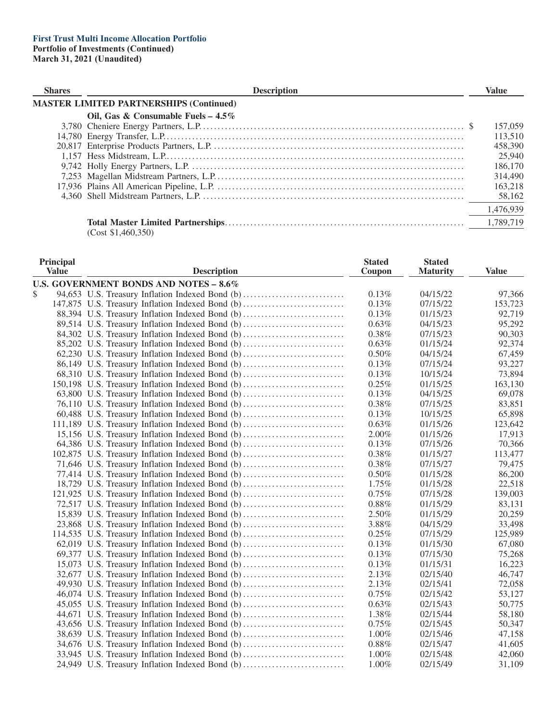| <b>Shares</b> | <b>Description</b>                             | Value     |
|---------------|------------------------------------------------|-----------|
|               | <b>MASTER LIMITED PARTNERSHIPS (Continued)</b> |           |
|               | Oil, Gas & Consumable Fuels – $4.5\%$          |           |
|               |                                                | 157,059   |
|               |                                                | 113,510   |
|               |                                                | 458,390   |
|               |                                                | 25,940    |
|               |                                                | 186,170   |
|               |                                                | 314,490   |
|               |                                                | 163,218   |
|               |                                                | 58,162    |
|               |                                                | 1,476,939 |
|               | (Cost \$1,460,350)                             | 1,789,719 |

| Principal<br><b>Value</b> | <b>Description</b>                               | <b>Stated</b><br>Coupon | <b>Stated</b><br><b>Maturity</b> | <b>Value</b> |
|---------------------------|--------------------------------------------------|-------------------------|----------------------------------|--------------|
|                           | U.S. GOVERNMENT BONDS AND NOTES - 8.6%           |                         |                                  |              |
| \$                        | 94,653 U.S. Treasury Inflation Indexed Bond (b)  | 0.13%                   | 04/15/22                         | 97,366       |
|                           | 147,875 U.S. Treasury Inflation Indexed Bond (b) | 0.13%                   | 07/15/22                         | 153,723      |
|                           | 88,394 U.S. Treasury Inflation Indexed Bond (b)  | 0.13%                   | 01/15/23                         | 92,719       |
|                           | 89,514 U.S. Treasury Inflation Indexed Bond (b)  | 0.63%                   | 04/15/23                         | 95,292       |
|                           | 84,302 U.S. Treasury Inflation Indexed Bond (b)  | 0.38%                   | 07/15/23                         | 90,303       |
|                           | 85,202 U.S. Treasury Inflation Indexed Bond (b)  | 0.63%                   | 01/15/24                         | 92,374       |
|                           | 62,230 U.S. Treasury Inflation Indexed Bond (b)  | 0.50%                   | 04/15/24                         | 67,459       |
|                           | 86,149 U.S. Treasury Inflation Indexed Bond (b)  | 0.13%                   | 07/15/24                         | 93,227       |
|                           | 68,310 U.S. Treasury Inflation Indexed Bond (b)  | 0.13%                   | 10/15/24                         | 73,894       |
|                           | 150,198 U.S. Treasury Inflation Indexed Bond (b) | 0.25%                   | 01/15/25                         | 163,130      |
|                           | 63,800 U.S. Treasury Inflation Indexed Bond (b)  | $0.13\%$                | 04/15/25                         | 69,078       |
|                           | 76,110 U.S. Treasury Inflation Indexed Bond (b)  | 0.38%                   | 07/15/25                         | 83,851       |
|                           | 60,488 U.S. Treasury Inflation Indexed Bond (b)  | 0.13%                   | 10/15/25                         | 65,898       |
|                           | 111,189 U.S. Treasury Inflation Indexed Bond (b) | 0.63%                   | 01/15/26                         | 123,642      |
|                           | 15,156 U.S. Treasury Inflation Indexed Bond (b)  | 2.00%                   | 01/15/26                         | 17,913       |
|                           | 64,386 U.S. Treasury Inflation Indexed Bond (b)  | 0.13%                   | 07/15/26                         | 70,366       |
|                           | 102,875 U.S. Treasury Inflation Indexed Bond (b) | 0.38%                   | 01/15/27                         | 113,477      |
|                           | 71,646 U.S. Treasury Inflation Indexed Bond (b)  | 0.38%                   | 07/15/27                         | 79,475       |
|                           | 77,414 U.S. Treasury Inflation Indexed Bond (b)  | 0.50%                   | 01/15/28                         | 86,200       |
|                           | 18,729 U.S. Treasury Inflation Indexed Bond (b)  | 1.75%                   | 01/15/28                         | 22,518       |
|                           | 121,925 U.S. Treasury Inflation Indexed Bond (b) | 0.75%                   | 07/15/28                         | 139,003      |
|                           | 72,517 U.S. Treasury Inflation Indexed Bond (b)  | $0.88\%$                | 01/15/29                         | 83,131       |
|                           | 15,839 U.S. Treasury Inflation Indexed Bond (b)  | 2.50%                   | 01/15/29                         | 20,259       |
|                           | 23,868 U.S. Treasury Inflation Indexed Bond (b)  | 3.88%                   | 04/15/29                         | 33,498       |
|                           | 114,535 U.S. Treasury Inflation Indexed Bond (b) | 0.25%                   | 07/15/29                         | 125,989      |
|                           | 62,019 U.S. Treasury Inflation Indexed Bond (b)  | 0.13%                   | 01/15/30                         | 67,080       |
|                           | 69,377 U.S. Treasury Inflation Indexed Bond (b)  | 0.13%                   | 07/15/30                         | 75,268       |
|                           | 15,073 U.S. Treasury Inflation Indexed Bond (b)  | 0.13%                   | 01/15/31                         | 16,223       |
|                           | 32,677 U.S. Treasury Inflation Indexed Bond (b)  | 2.13%                   | 02/15/40                         | 46,747       |
|                           | 49,930 U.S. Treasury Inflation Indexed Bond (b)  | 2.13%                   | 02/15/41                         | 72,058       |
|                           | 46,074 U.S. Treasury Inflation Indexed Bond (b)  | 0.75%                   | 02/15/42                         | 53,127       |
|                           | 45,055 U.S. Treasury Inflation Indexed Bond (b)  | 0.63%                   | 02/15/43                         | 50,775       |
|                           | 44,671 U.S. Treasury Inflation Indexed Bond (b)  | 1.38%                   | 02/15/44                         | 58,180       |
|                           | 43,656 U.S. Treasury Inflation Indexed Bond (b)  | 0.75%                   | 02/15/45                         | 50,347       |
|                           | 38,639 U.S. Treasury Inflation Indexed Bond (b)  | $1.00\%$                | 02/15/46                         | 47,158       |
|                           | 34,676 U.S. Treasury Inflation Indexed Bond (b)  | $0.88\%$                | 02/15/47                         | 41,605       |
|                           | 33,945 U.S. Treasury Inflation Indexed Bond (b)  | 1.00%                   | 02/15/48                         | 42,060       |
|                           | 24,949 U.S. Treasury Inflation Indexed Bond (b)  | 1.00%                   | 02/15/49                         | 31,109       |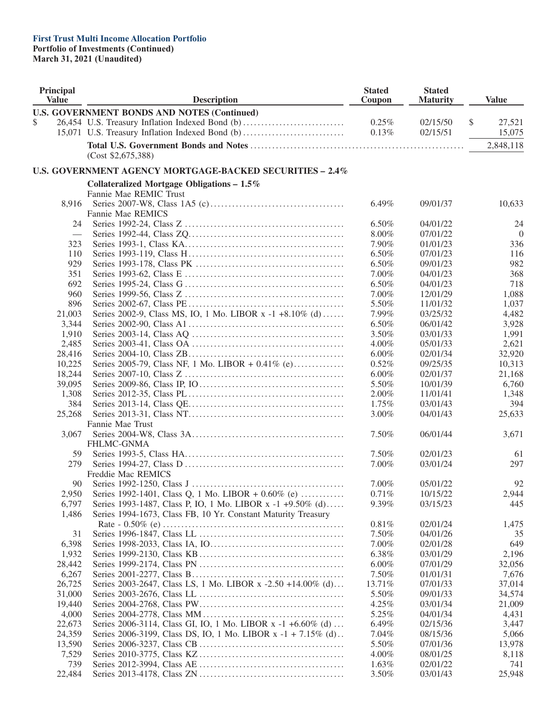| <b>Principal</b><br><b>Value</b> | <b>Description</b>                                            |                | <b>Stated</b><br><b>Maturity</b> | <b>Value</b>   |  |
|----------------------------------|---------------------------------------------------------------|----------------|----------------------------------|----------------|--|
|                                  | <b>U.S. GOVERNMENT BONDS AND NOTES (Continued)</b>            |                |                                  |                |  |
| S.                               | 26,454 U.S. Treasury Inflation Indexed Bond (b)               | 0.25%          | 02/15/50                         | \$<br>27,521   |  |
|                                  | 15,071 U.S. Treasury Inflation Indexed Bond (b)               | 0.13%          | 02/15/51                         | 15,075         |  |
|                                  |                                                               |                |                                  | 2,848,118      |  |
|                                  | (Cost \$2,675,388)                                            |                |                                  |                |  |
|                                  | U.S. GOVERNMENT AGENCY MORTGAGE-BACKED SECURITIES - 2.4%      |                |                                  |                |  |
|                                  | Collateralized Mortgage Obligations $-1.5\%$                  |                |                                  |                |  |
|                                  | Fannie Mae REMIC Trust                                        |                |                                  |                |  |
| 8,916                            |                                                               | 6.49%          | 09/01/37                         | 10,633         |  |
|                                  | <b>Fannie Mae REMICS</b>                                      |                |                                  |                |  |
| 24                               |                                                               | $6.50\%$       | 04/01/22                         | 24             |  |
| $\overline{\phantom{0}}$         |                                                               | 8.00%          | 07/01/22                         | $\overline{0}$ |  |
| 323                              |                                                               | 7.90%          | 01/01/23                         | 336            |  |
| 110                              |                                                               | 6.50%          | 07/01/23                         | 116            |  |
| 929                              |                                                               | 6.50%          | 09/01/23                         | 982            |  |
| 351                              |                                                               | 7.00%          | 04/01/23                         | 368            |  |
| 692                              |                                                               | 6.50%          | 04/01/23                         | 718            |  |
| 960                              |                                                               | 7.00%          | 12/01/29                         | 1,088          |  |
| 896                              |                                                               | 5.50%          | 11/01/32                         | 1,037          |  |
| 21,003                           | Series 2002-9, Class MS, IO, 1 Mo. LIBOR x -1 +8.10% (d)      | 7.99%          | 03/25/32                         | 4,482          |  |
| 3,344                            |                                                               | 6.50%          | 06/01/42                         | 3,928          |  |
| 1,910                            |                                                               | 3.50%          | 03/01/33                         | 1,991          |  |
| 2,485                            |                                                               | 4.00%          | 05/01/33                         | 2,621          |  |
| 28,416                           |                                                               | $6.00\%$       | 02/01/34                         | 32,920         |  |
| 10,225                           | Series 2005-79, Class NF, 1 Mo. LIBOR + 0.41% (e)             | 0.52%          | 09/25/35                         | 10,313         |  |
| 18,244                           |                                                               | $6.00\%$       | 02/01/37                         | 21,168         |  |
| 39,095                           |                                                               | 5.50%          | 10/01/39                         | 6,760          |  |
| 1,308                            |                                                               | 2.00%          | 11/01/41                         | 1,348          |  |
| 384                              |                                                               | 1.75%          | 03/01/43                         | 394            |  |
| 25,268                           |                                                               | 3.00%          | 04/01/43                         | 25,633         |  |
|                                  | Fannie Mae Trust                                              |                |                                  |                |  |
| 3,067                            |                                                               | 7.50%          | 06/01/44                         | 3,671          |  |
|                                  | <b>FHLMC-GNMA</b>                                             |                |                                  |                |  |
| 59                               |                                                               | 7.50%          | 02/01/23                         | 61             |  |
| 279                              |                                                               | 7.00%          | 03/01/24                         | 297            |  |
|                                  | Freddie Mac REMICS                                            |                |                                  |                |  |
| 90                               |                                                               | 7.00%          | 05/01/22                         | 92             |  |
| 2,950                            | Series 1992-1401, Class Q, 1 Mo. LIBOR + 0.60% (e)            | $0.71\%$       | 10/15/22                         | 2,944          |  |
| 6,797                            | Series 1993-1487, Class P, IO, 1 Mo. LIBOR x -1 +9.50% (d)    | 9.39%          | 03/15/23                         | 445            |  |
| 1,486                            | Series 1994-1673, Class FB, 10 Yr. Constant Maturity Treasury |                |                                  |                |  |
|                                  |                                                               | 0.81%          | 02/01/24                         | 1,475          |  |
| 31                               |                                                               | 7.50%          | 04/01/26                         | 35             |  |
| 6,398                            |                                                               | 7.00%          | 02/01/28                         | 649            |  |
| 1,932                            |                                                               | 6.38%          | 03/01/29                         | 2,196          |  |
| 28,442                           |                                                               | 6.00%          | 07/01/29                         | 32,056         |  |
| 6,267                            |                                                               | 7.50%          | 01/01/31                         | 7,676          |  |
| 26,725                           | Series 2003-2647, Class LS, 1 Mo. LIBOR x -2.50 +14.00% (d)   | 13.71%         | 07/01/33                         | 37,014         |  |
| 31,000                           |                                                               | 5.50%          | 09/01/33                         | 34,574         |  |
| 19,440                           |                                                               | 4.25%          | 03/01/34                         | 21,009         |  |
| 4,000                            |                                                               | 5.25%          | 04/01/34                         | 4,431          |  |
| 22,673                           | Series 2006-3114, Class GI, IO, 1 Mo. LIBOR x -1 +6.60% (d)   | 6.49%          | 02/15/36                         | 3,447          |  |
| 24,359                           | Series 2006-3199, Class DS, IO, 1 Mo. LIBOR x -1 + 7.15% (d). | 7.04%          | 08/15/36                         | 5,066          |  |
| 13,590                           |                                                               | 5.50%          | 07/01/36                         | 13,978         |  |
| 7,529                            |                                                               | $4.00\%$       | 08/01/25                         | 8,118          |  |
| 739                              |                                                               |                | 02/01/22                         |                |  |
| 22,484                           |                                                               | 1.63%<br>3.50% | 03/01/43                         | 741<br>25,948  |  |
|                                  |                                                               |                |                                  |                |  |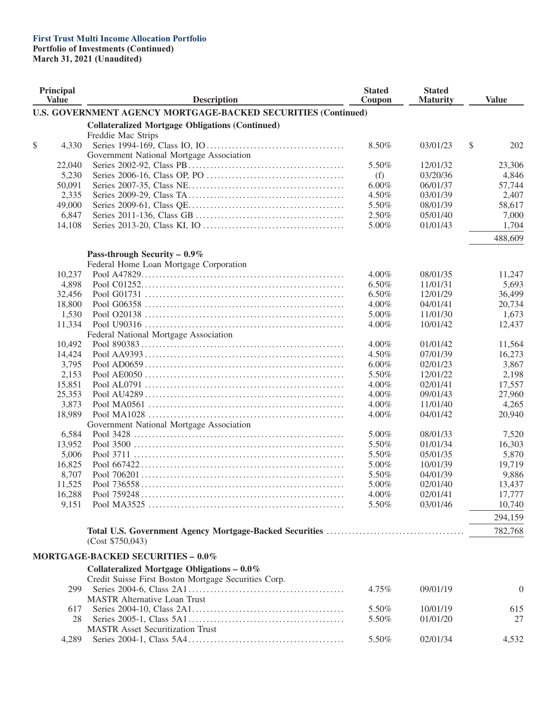#### **First Trust Multi Income Allocation Portfolio Portfolio of Investments (Continued)**

| Principal<br><b>Value</b> | <b>Description</b>                                                   | <b>Stated</b><br>Coupon | <b>Stated</b><br><b>Maturity</b> |    | <b>Value</b>   |  |
|---------------------------|----------------------------------------------------------------------|-------------------------|----------------------------------|----|----------------|--|
|                           | <b>U.S. GOVERNMENT AGENCY MORTGAGE-BACKED SECURITIES (Continued)</b> |                         |                                  |    |                |  |
|                           | <b>Collateralized Mortgage Obligations (Continued)</b>               |                         |                                  |    |                |  |
|                           | Freddie Mac Strips                                                   |                         |                                  |    |                |  |
| \$<br>4,330               |                                                                      | 8.50%                   | 03/01/23                         | \$ | 202            |  |
|                           | Government National Mortgage Association                             |                         |                                  |    |                |  |
| 22,040                    |                                                                      | 5.50%                   | 12/01/32                         |    | 23,306         |  |
| 5,230                     |                                                                      | (f)                     | 03/20/36                         |    | 4,846          |  |
| 50,091                    |                                                                      | 6.00%                   | 06/01/37                         |    | 57,744         |  |
| 2,335                     |                                                                      | 4.50%                   | 03/01/39                         |    | 2,407          |  |
| 49,000                    |                                                                      | 5.50%                   | 08/01/39                         |    | 58,617         |  |
| 6,847                     |                                                                      | 2.50%                   | 05/01/40                         |    | 7,000          |  |
| 14,108                    |                                                                      | 5.00%                   | 01/01/43                         |    | 1,704          |  |
|                           |                                                                      |                         |                                  |    |                |  |
|                           |                                                                      |                         |                                  |    | 488,609        |  |
|                           | Pass-through Security - $0.9\%$                                      |                         |                                  |    |                |  |
|                           | Federal Home Loan Mortgage Corporation                               |                         |                                  |    |                |  |
| 10,237                    |                                                                      | $4.00\%$                | 08/01/35                         |    | 11,247         |  |
| 4,898                     |                                                                      | 6.50%                   | 11/01/31                         |    | 5,693          |  |
| 32,456                    |                                                                      | 6.50%                   | 12/01/29                         |    | 36,499         |  |
| 18,800                    |                                                                      | $4.00\%$                | 04/01/41                         |    | 20,734         |  |
| 1,530                     |                                                                      | 5.00%                   | 11/01/30                         |    | 1,673          |  |
| 11,334                    |                                                                      | 4.00%                   | 10/01/42                         |    | 12,437         |  |
|                           | Federal National Mortgage Association                                |                         |                                  |    |                |  |
| 10,492                    |                                                                      | $4.00\%$                | 01/01/42                         |    | 11,564         |  |
| 14,424                    |                                                                      | 4.50%                   | 07/01/39                         |    | 16,273         |  |
| 3,795                     |                                                                      | $6.00\%$                | 02/01/23                         |    | 3,867          |  |
| 2,153                     |                                                                      | 5.50%                   | 12/01/22                         |    | 2,198          |  |
| 15,851                    |                                                                      | 4.00%                   | 02/01/41                         |    | 17,557         |  |
| 25,353                    |                                                                      | 4.00%                   | 09/01/43                         |    | 27,960         |  |
| 3,873                     |                                                                      | 4.00%                   | 11/01/40                         |    | 4,265          |  |
| 18,989                    |                                                                      | 4.00%                   | 04/01/42                         |    | 20,940         |  |
|                           | Government National Mortgage Association                             |                         |                                  |    |                |  |
| 6,584                     |                                                                      | 5.00%                   | 08/01/33                         |    | 7,520          |  |
| 13,952                    |                                                                      | 5.50%                   | 01/01/34                         |    | 16,303         |  |
| 5,006                     |                                                                      | 5.50%                   | 05/01/35                         |    | 5,870          |  |
| 16,825                    |                                                                      | 5.00%                   | 10/01/39                         |    | 19,719         |  |
| 8,707                     |                                                                      | 5.50%                   | 04/01/39                         |    | 9,886          |  |
| 11,525                    |                                                                      | 5.00%                   | 02/01/40                         |    | 13,437         |  |
| 16,288                    |                                                                      | 4.00%                   | 02/01/41                         |    | 17,777         |  |
|                           |                                                                      |                         | 03/01/46                         |    |                |  |
| 9,151                     |                                                                      | 5.50%                   |                                  |    | 10,740         |  |
|                           |                                                                      |                         |                                  |    | 294,159        |  |
|                           |                                                                      |                         |                                  |    | 782,768        |  |
|                           | (Cost \$750,043)                                                     |                         |                                  |    |                |  |
|                           |                                                                      |                         |                                  |    |                |  |
|                           | <b>MORTGAGE-BACKED SECURITIES - 0.0%</b>                             |                         |                                  |    |                |  |
|                           | Collateralized Mortgage Obligations $-0.0\%$                         |                         |                                  |    |                |  |
|                           | Credit Suisse First Boston Mortgage Securities Corp.                 |                         |                                  |    |                |  |
| 299                       |                                                                      | 4.75%                   | 09/01/19                         |    | $\overline{0}$ |  |
|                           | <b>MASTR Alternative Loan Trust</b>                                  |                         |                                  |    |                |  |
| 617                       |                                                                      | 5.50%                   | 10/01/19                         |    | 615            |  |
| 28                        |                                                                      | 5.50%                   | 01/01/20                         |    | 27             |  |
|                           | <b>MASTR Asset Securitization Trust</b>                              |                         |                                  |    |                |  |
| 4,289                     |                                                                      | 5.50%                   | 02/01/34                         |    | 4,532          |  |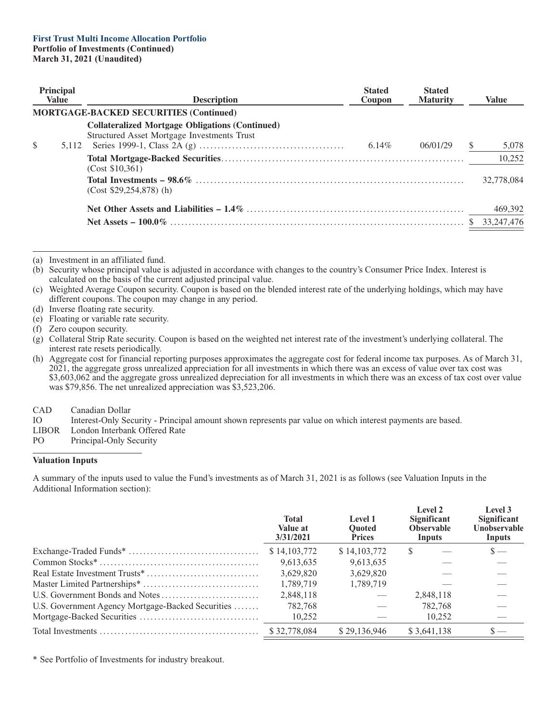| <b>Principal</b><br><b>Value</b> |       | <b>Description</b>                                                                                    | <b>Stated</b><br>Coupon | <b>Stated</b><br><b>Maturity</b> | <b>Value</b> |  |
|----------------------------------|-------|-------------------------------------------------------------------------------------------------------|-------------------------|----------------------------------|--------------|--|
|                                  |       | <b>MORTGAGE-BACKED SECURITIES (Continued)</b>                                                         |                         |                                  |              |  |
| \$                               | 5.112 | <b>Collateralized Mortgage Obligations (Continued)</b><br>Structured Asset Mortgage Investments Trust | 6.14%                   | 06/01/29                         | 5,078        |  |
|                                  |       | (Cost \$10,361)                                                                                       |                         |                                  | 10,252       |  |
|                                  |       | $(Cost $29.254.878)$ (h)                                                                              |                         |                                  | 32,778,084   |  |
|                                  |       |                                                                                                       |                         |                                  | 469,392      |  |
|                                  |       |                                                                                                       |                         |                                  | 33, 247, 476 |  |

(a) Investment in an affiliated fund.

(b) Security whose principal value is adjusted in accordance with changes to the country's Consumer Price Index. Interest is calculated on the basis of the current adjusted principal value.

(c) Weighted Average Coupon security. Coupon is based on the blended interest rate of the underlying holdings, which may have different coupons. The coupon may change in any period.

- (d) Inverse floating rate security.
- (e) Floating or variable rate security.

(g) Collateral Strip Rate security. Coupon is based on the weighted net interest rate of the investment's underlying collateral. The interest rate resets periodically.

(h) Aggregate cost for financial reporting purposes approximates the aggregate cost for federal income tax purposes. As of March 31, 2021, the aggregate gross unrealized appreciation for all investments in which there was an excess of value over tax cost was \$3,603,062 and the aggregate gross unrealized depreciation for all investments in which there was an excess of tax cost over value was \$79,856. The net unrealized appreciation was \$3,523,206.

- CAD Canadian Dollar
- IO Interest-Only Security Principal amount shown represents par value on which interest payments are based.
- LIBOR London Interbank Offered Rate<br>PO Principal-Only Security
- Principal-Only Security

#### **Valuation Inputs**

A summary of the inputs used to value the Fund's investments as of March 31, 2021 is as follows (see Valuation Inputs in the Additional Information section):

|                                                   | <b>Total</b><br>Value at<br>3/31/2021 | Level 1<br><b>Ouoted</b><br><b>Prices</b> | Level 2<br>Significant<br><b>Observable</b><br>Inputs | Level 3<br><b>Significant</b><br><b>Unobservable</b><br>Inputs |
|---------------------------------------------------|---------------------------------------|-------------------------------------------|-------------------------------------------------------|----------------------------------------------------------------|
|                                                   | \$14,103,772                          | \$14,103,772                              | S                                                     | $\mathbf{s}$ —                                                 |
|                                                   | 9,613,635                             | 9,613,635                                 |                                                       |                                                                |
|                                                   | 3,629,820                             | 3,629,820                                 |                                                       |                                                                |
|                                                   | 1,789,719                             | 1.789.719                                 |                                                       |                                                                |
|                                                   | 2,848,118                             |                                           | 2,848,118                                             |                                                                |
| U.S. Government Agency Mortgage-Backed Securities | 782,768                               |                                           | 782,768                                               |                                                                |
|                                                   | 10,252                                |                                           | 10,252                                                |                                                                |
|                                                   | \$32,778,084                          | \$29,136,946                              | \$3,641,138                                           |                                                                |

\* See Portfolio of Investments for industry breakout.

<sup>(</sup>f) Zero coupon security.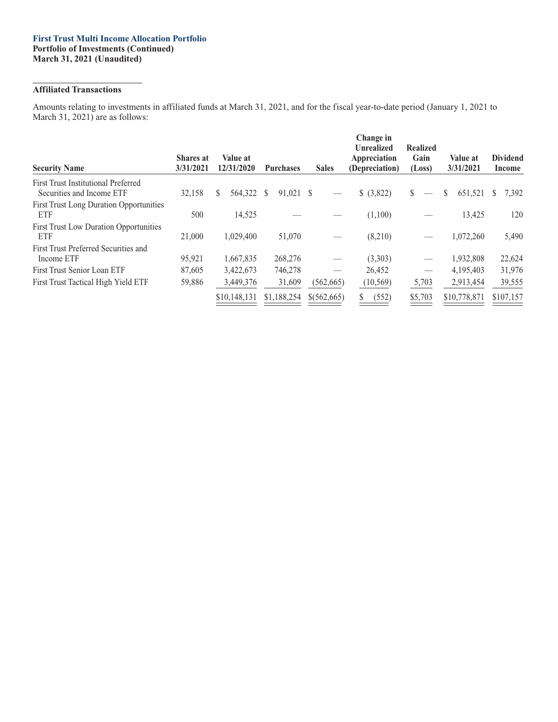## **Affiliated Transactions**

Amounts relating to investments in affiliated funds at March 31, 2021, and for the fiscal year-to-date period (January 1, 2021 to March 31, 2021) are as follows:

| <b>Security Name</b>                                                    | <b>Shares</b> at<br>3/31/2021 | Value at<br>12/31/2020 | <b>Purchases</b> | <b>Sales</b>      | Change in<br><b>Unrealized</b><br>Appreciation<br>(Depreciation) | <b>Realized</b><br>Gain<br>(Loss) | Value at<br>3/31/2021   | <b>Dividend</b><br>Income |
|-------------------------------------------------------------------------|-------------------------------|------------------------|------------------|-------------------|------------------------------------------------------------------|-----------------------------------|-------------------------|---------------------------|
| <b>First Trust Institutional Preferred</b><br>Securities and Income ETF | 32,158                        | \$<br>564,322          | 91,021 \$<br>-S  | $\hspace{0.05cm}$ | \$ (3,822)                                                       | <sup>S</sup><br>$\hspace{0.05cm}$ | 651,521<br><sup>S</sup> | S.<br>7,392               |
| <b>First Trust Long Duration Opportunities</b><br>ETF                   | 500                           | 14,525                 |                  |                   | (1,100)                                                          |                                   | 13,425                  | 120                       |
| <b>First Trust Low Duration Opportunities</b><br>ETF                    | 21,000                        | 1,029,400              | 51,070           |                   | (8,210)                                                          | $\hspace{0.05cm}$                 | 1,072,260               | 5,490                     |
| First Trust Preferred Securities and<br>Income ETF                      | 95,921                        | 1,667,835              | 268,276          | $\hspace{0.05cm}$ | (3,303)                                                          | $\hspace{0.05cm}$                 | 1,932,808               | 22,624                    |
| First Trust Senior Loan ETF                                             | 87,605                        | 3,422,673              | 746,278          |                   | 26,452                                                           | $\hspace{0.05cm}$                 | 4,195,403               | 31,976                    |
| First Trust Tactical High Yield ETF                                     | 59,886                        | 3,449,376              | 31,609           | (562, 665)        | (10, 569)                                                        | 5,703                             | 2,913,454               | 39,555                    |
|                                                                         |                               | \$10,148,131           | \$1,188,254      | \$(562,665)       | S<br>(552)                                                       | \$5,703                           | \$10,778,871            | \$107,157                 |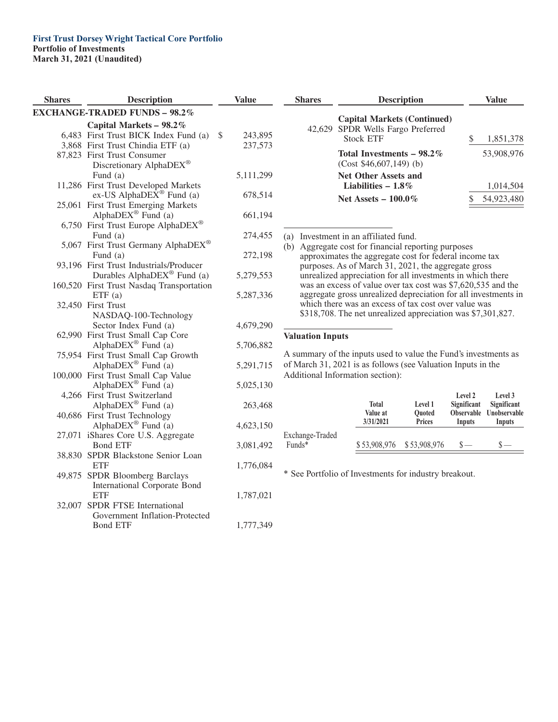| <b>Shares</b> | Description                                    | Value         |
|---------------|------------------------------------------------|---------------|
|               | <b>EXCHANGE-TRADED FUNDS - 98.2%</b>           |               |
|               | Capital Markets - 98.2%                        |               |
|               | 6,483 First Trust BICK Index Fund (a)          | \$<br>243,895 |
|               | 3,868 First Trust Chindia ETF (a)              | 237,573       |
|               | 87,823 First Trust Consumer                    |               |
|               | Discretionary AlphaDEX®                        |               |
|               | Fund (a)                                       | 5,111,299     |
| 11,286        | <b>First Trust Developed Markets</b>           |               |
|               | ex-US AlphaDE $\bar{X}^{\circledast}$ Fund (a) | 678,514       |
|               | 25,061 First Trust Emerging Markets            |               |
|               | AlphaDEX <sup>®</sup> Fund (a)                 | 661,194       |
|               | 6,750 First Trust Europe AlphaDEX®             |               |
|               | Fund (a)                                       | 274,455       |
|               | 5,067 First Trust Germany AlphaDEX®            |               |
|               | Fund $(a)$                                     | 272,198       |
|               | 93,196 First Trust Industrials/Producer        |               |
|               | Durables AlphaDEX <sup>®</sup> Fund (a)        | 5,279,553     |
|               | 160,520 First Trust Nasdaq Transportation      |               |
|               | ETF(a)<br>32,450 First Trust                   | 5,287,336     |
|               | NASDAQ-100-Technology                          |               |
|               | Sector Index Fund (a)                          | 4,679,290     |
|               | 62,990 First Trust Small Cap Core              |               |
|               | AlphaDEX® Fund (a)                             | 5,706,882     |
|               | 75,954 First Trust Small Cap Growth            |               |
|               | AlphaDEX <sup>®</sup> Fund (a)                 | 5,291,715     |
|               | 100,000 First Trust Small Cap Value            |               |
|               | AlphaDE $X^{\otimes}$ Fund (a)                 | 5,025,130     |
|               | 4,266 First Trust Switzerland                  |               |
|               | Alpha $DEX^{\circledR}$ Fund (a)               | 263,468       |
| 40,686        | <b>First Trust Technology</b>                  |               |
|               | Alpha $DEX^{\circledR}$ Fund (a)               | 4,623,150     |
| 27,071        | iShares Core U.S. Aggregate                    |               |
|               | <b>Bond ETF</b>                                | 3,081,492     |
| 38,830        | SPDR Blackstone Senior Loan                    |               |
|               | <b>ETF</b>                                     | 1,776,084     |
| 49,875        | SPDR Bloomberg Barclays                        |               |
|               | <b>International Corporate Bond</b>            |               |
|               | <b>ETF</b>                                     | 1,787,021     |
| 32,007        | SPDR FTSE International                        |               |
|               | Government Inflation-Protected                 |               |
|               | <b>Bond ETF</b>                                | 1,777,349     |

| <b>Shares</b> | <b>Description</b>                                                                          | Value      |  |
|---------------|---------------------------------------------------------------------------------------------|------------|--|
|               | <b>Capital Markets (Continued)</b><br>42,629 SPDR Wells Fargo Preferred<br><b>Stock ETF</b> | 1,851,378  |  |
|               | Total Investments $-98.2\%$<br>$(Cost $46,607,149)$ (b)                                     | 53,908,976 |  |
|               | <b>Net Other Assets and</b><br>Liabilities $-1.8\%$                                         | 1,014,504  |  |
|               | Net Assets $-100.0\%$                                                                       | 54,923,480 |  |

(a) Investment in an affiliated fund.

(b) Aggregate cost for financial reporting purposes approximates the aggregate cost for federal income tax purposes. As of March 31, 2021, the aggregate gross unrealized appreciation for all investments in which there was an excess of value over tax cost was \$7,620,535 and the aggregate gross unrealized depreciation for all investments in which there was an excess of tax cost over value was \$318,708. The net unrealized appreciation was \$7,301,827.

### **Valuation Inputs**

A summary of the inputs used to value the Fund's investments as of March 31, 2021 is as follows (see Valuation Inputs in the Additional Information section):

|                 | <b>Total</b><br>Value at<br>3/31/2021 | Level 1<br><b>Ouoted</b><br><b>Prices</b> | Level 2<br>Significant<br>Inputs | Level 3<br>Significant<br>Observable Unobservable<br>Inputs |
|-----------------|---------------------------------------|-------------------------------------------|----------------------------------|-------------------------------------------------------------|
| Exchange-Traded |                                       |                                           |                                  |                                                             |
| $Funds*$        |                                       | \$53,908,976 \$53,908,976                 | $s-$                             |                                                             |

\* See Portfolio of Investments for industry breakout.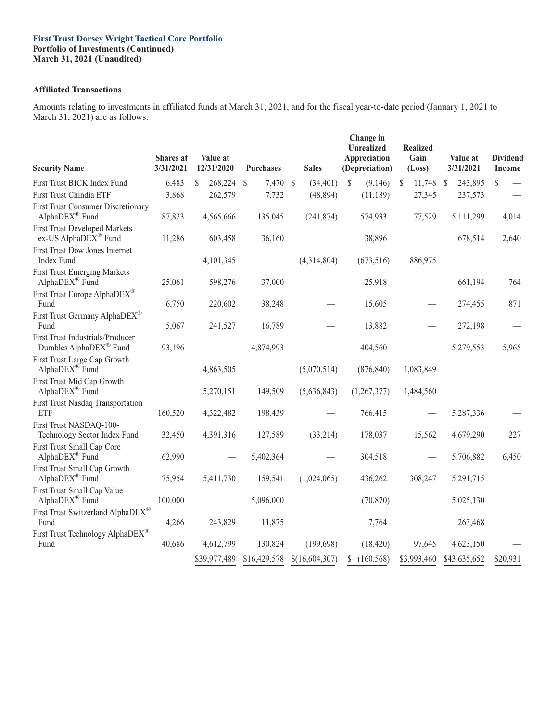#### **First Trust Dorsey Wright Tactical Core Portfolio Portfolio of Investments (Continued) March 31, 2021 (Unaudited)**

## **Affiliated Transactions**

Amounts relating to investments in affiliated funds at March 31, 2021, and for the fiscal year-to-date period (January 1, 2021 to March 31, 2021) are as follows:

| <b>Security Name</b>                                                     | <b>Shares</b> at<br>3/31/2021 | Value at<br>12/31/2020 | <b>Purchases</b> | <b>Sales</b>   | Change in<br><b>Unrealized</b><br>Appreciation<br>(Depreciation) | <b>Realized</b><br>Gain<br>(Loss) | Value at<br>3/31/2021 | <b>Dividend</b><br><b>Income</b> |
|--------------------------------------------------------------------------|-------------------------------|------------------------|------------------|----------------|------------------------------------------------------------------|-----------------------------------|-----------------------|----------------------------------|
| First Trust BICK Index Fund                                              | 6,483                         | 268,224 \$<br>\$       | 7,470 \$         | (34, 401)      | $\mathbb{S}$<br>(9,146)                                          | $\mathbb{S}$<br>11,748            | \$<br>243,895         | $\mathbb{S}$                     |
| First Trust Chindia ETF                                                  | 3,868                         | 262,579                | 7,732            | (48, 894)      | (11, 189)                                                        | 27,345                            | 237,573               |                                  |
| <b>First Trust Consumer Discretionary</b><br>AlphaDEX® Fund              | 87,823                        | 4,565,666              | 135,045          | (241, 874)     | 574,933                                                          | 77,529                            | 5,111,299             | 4,014                            |
| <b>First Trust Developed Markets</b><br>ex-US AlphaDEX <sup>®</sup> Fund | 11,286                        | 603,458                | 36,160           |                | 38,896                                                           |                                   | 678,514               | 2,640                            |
| <b>First Trust Dow Jones Internet</b><br>Index Fund                      |                               | 4,101,345              |                  | (4,314,804)    | (673, 516)                                                       | 886,975                           |                       |                                  |
| <b>First Trust Emerging Markets</b><br>AlphaDEX® Fund                    | 25,061                        | 598,276                | 37,000           |                | 25,918                                                           |                                   | 661,194               | 764                              |
| First Trust Europe AlphaDEX <sup>®</sup><br>Fund                         | 6,750                         | 220,602                | 38,248           |                | 15,605                                                           |                                   | 274,455               | 871                              |
| First Trust Germany AlphaDEX®<br>Fund                                    | 5,067                         | 241,527                | 16,789           |                | 13,882                                                           |                                   | 272,198               |                                  |
| First Trust Industrials/Producer<br>Durables AlphaDEX <sup>®</sup> Fund  | 93,196                        |                        | 4,874,993        |                | 404,560                                                          |                                   | 5,279,553             | 5,965                            |
| First Trust Large Cap Growth<br>AlphaDEX <sup>®</sup> Fund               |                               | 4,863,505              |                  | (5,070,514)    | (876, 840)                                                       | 1,083,849                         |                       |                                  |
| First Trust Mid Cap Growth<br>AlphaDEX <sup>®</sup> Fund                 |                               | 5,270,151              | 149,509          | (5,636,843)    | (1,267,377)                                                      | 1,484,560                         |                       |                                  |
| First Trust Nasdaq Transportation<br><b>ETF</b>                          | 160,520                       | 4,322,482              | 198,439          |                | 766,415                                                          |                                   | 5,287,336             |                                  |
| First Trust NASDAQ-100-<br>Technology Sector Index Fund                  | 32,450                        | 4,391,316              | 127,589          | (33,214)       | 178,037                                                          | 15,562                            | 4,679,290             | 227                              |
| First Trust Small Cap Core<br>AlphaDEX® Fund                             | 62,990                        |                        | 5,402,364        |                | 304,518                                                          |                                   | 5,706,882             | 6,450                            |
| First Trust Small Cap Growth<br>AlphaDEX <sup>®</sup> Fund               | 75,954                        | 5,411,730              | 159,541          | (1,024,065)    | 436,262                                                          | 308,247                           | 5,291,715             |                                  |
| First Trust Small Cap Value<br>AlphaDEX <sup>®</sup> Fund                | 100,000                       |                        | 5,096,000        |                | (70, 870)                                                        |                                   | 5,025,130             |                                  |
| First Trust Switzerland AlphaDEX®<br>Fund                                | 4,266                         | 243,829                | 11,875           |                | 7,764                                                            |                                   | 263,468               |                                  |
| First Trust Technology AlphaDEX <sup>®</sup><br>Fund                     | 40,686                        | 4,612,799              | 130,824          | (199, 698)     | (18, 420)                                                        | 97,645                            | 4,623,150             |                                  |
|                                                                          |                               | \$39,977,489           | \$16,429,578     | \$(16,604,307) | (160, 568)<br>\$                                                 | \$3,993,460                       | \$43,635,652          | \$20,931                         |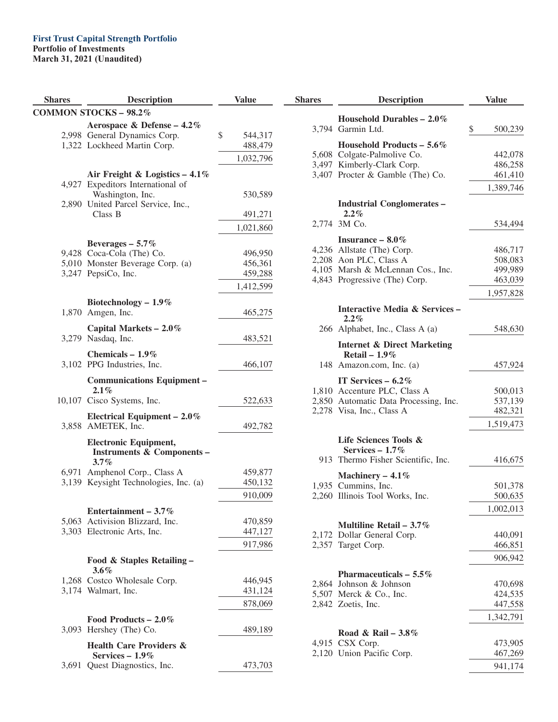## **First Trust Capital Strength Portfolio**

**Portfolio of Investments**

**March 31, 2021 (Unaudited)**

| <b>Shares</b> | <b>Description</b>                                             | <b>Value</b>       |
|---------------|----------------------------------------------------------------|--------------------|
|               | <b>COMMON STOCKS - 98.2%</b>                                   |                    |
|               | Aerospace & Defense - 4.2%                                     |                    |
|               | 2,998 General Dynamics Corp.                                   | \$<br>544,317      |
|               | 1,322 Lockheed Martin Corp.                                    | 488,479            |
|               |                                                                | 1,032,796          |
|               | Air Freight & Logistics $-4.1\%$                               |                    |
| 4.927         | Expeditors International of                                    |                    |
|               | Washington, Inc.                                               | 530,589            |
|               | 2,890 United Parcel Service, Inc.,                             |                    |
|               | Class B                                                        | 491,271            |
|               |                                                                | 1,021,860          |
|               | Beverages $-5.7\%$                                             |                    |
|               | 9,428 Coca-Cola (The) Co.                                      | 496,950            |
|               | 5,010 Monster Beverage Corp. (a)                               | 456,361            |
|               | 3,247 PepsiCo, Inc.                                            | 459,288            |
|               |                                                                | 1,412,599          |
|               | Biotechnology - 1.9%                                           |                    |
|               | 1,870 Amgen, Inc.                                              | 465,275            |
|               | Capital Markets $-2.0\%$                                       |                    |
|               | 3,279 Nasdaq, Inc.                                             | 483,521            |
|               | Chemicals $-1.9\%$                                             |                    |
|               | 3,102 PPG Industries, Inc.                                     | 466,107            |
|               |                                                                |                    |
|               | <b>Communications Equipment -</b><br>$2.1\%$                   |                    |
|               | 10,107 Cisco Systems, Inc.                                     | 522,633            |
|               |                                                                |                    |
|               | Electrical Equipment $-2.0\%$<br>3,858 AMETEK, Inc.            | 492,782            |
|               |                                                                |                    |
|               | <b>Electronic Equipment,</b>                                   |                    |
|               | <b>Instruments &amp; Components-</b><br>$3.7\%$                |                    |
|               | 6,971 Amphenol Corp., Class A                                  | 459,877            |
|               | 3,139 Keysight Technologies, Inc. (a)                          | 450,132            |
|               |                                                                | 910,009            |
|               |                                                                |                    |
|               | Entertainment - $3.7\%$                                        |                    |
|               | 5,063 Activision Blizzard, Inc.<br>3,303 Electronic Arts, Inc. | 470,859<br>447,127 |
|               |                                                                | 917,986            |
|               |                                                                |                    |
|               | Food & Staples Retailing -                                     |                    |
|               | 3.6%                                                           |                    |
|               | 1,268 Costco Wholesale Corp.<br>3,174 Walmart, Inc.            | 446,945<br>431,124 |
|               |                                                                |                    |
|               |                                                                | 878,069            |
|               | Food Products $-2.0\%$                                         |                    |
|               | 3,093 Hershey (The) Co.                                        | 489,189            |
|               | <b>Health Care Providers &amp;</b>                             |                    |
|               | Services $-1.9\%$                                              |                    |
|               | 3,691 Quest Diagnostics, Inc.                                  | 473,703            |

| <b>Shares</b> | <b>Description</b>                                        | <b>Value</b>       |
|---------------|-----------------------------------------------------------|--------------------|
|               | Household Durables $-2.0\%$<br>3,794 Garmin Ltd.          | \$<br>500,239      |
|               | Household Products $-5.6\%$                               |                    |
|               | 5,608 Colgate-Palmolive Co.                               | 442,078            |
|               | 3,497 Kimberly-Clark Corp.                                | 486,258            |
|               | 3,407 Procter & Gamble (The) Co.                          | 461,410            |
|               |                                                           | 1,389,746          |
|               | <b>Industrial Conglomerates -</b>                         |                    |
|               | $2.2\%$<br>2,774 3M Co.                                   | 534,494            |
|               | Insurance $-8.0\%$                                        |                    |
|               | 4,236 Allstate (The) Corp.                                | 486,717            |
|               | 2,208 Aon PLC, Class A                                    | 508,083            |
|               | 4,105 Marsh & McLennan Cos., Inc.                         | 499,989            |
|               | 4,843 Progressive (The) Corp.                             | 463,039            |
|               |                                                           | 1,957,828          |
|               | <b>Interactive Media &amp; Services -</b><br>$2.2\%$      |                    |
|               | 266 Alphabet, Inc., Class A (a)                           | 548,630            |
|               | <b>Internet &amp; Direct Marketing</b><br>Retail $-1.9\%$ |                    |
|               | 148 Amazon.com, Inc. (a)                                  | 457,924            |
|               | IT Services $-6.2\%$                                      |                    |
|               | 1,810 Accenture PLC, Class A                              | 500,013            |
|               | 2,850 Automatic Data Processing, Inc.                     | 537,139            |
|               | 2,278 Visa, Inc., Class A                                 | 482,321            |
|               |                                                           | 1,519,473          |
|               | Life Sciences Tools &                                     |                    |
|               | Services $-1.7\%$                                         |                    |
|               | 913 Thermo Fisher Scientific, Inc.                        | 416,675            |
|               | Machinery $-4.1\%$                                        |                    |
|               | 1,935 Cummins, Inc.<br>2,260 Illinois Tool Works, Inc.    | 501,378<br>500,635 |
|               |                                                           | 1,002,013          |
|               |                                                           |                    |
|               | Multiline Retail $-3.7\%$<br>2,172 Dollar General Corp.   | 440,091            |
|               | 2,357 Target Corp.                                        | 466,851            |
|               |                                                           | 906,942            |
|               |                                                           |                    |
|               | Pharmaceuticals $-5.5\%$<br>2,864 Johnson & Johnson       | 470,698            |
|               | 5,507 Merck & Co., Inc.                                   | 424,535            |
|               | 2,842 Zoetis, Inc.                                        | 447,558            |
|               |                                                           | 1,342,791          |
|               | Road & Rail – $3.8\%$                                     |                    |
|               | 4,915 CSX Corp.                                           | 473,905            |
|               | 2,120 Union Pacific Corp.                                 | 467,269            |
|               |                                                           | 941,174            |
|               |                                                           |                    |

J.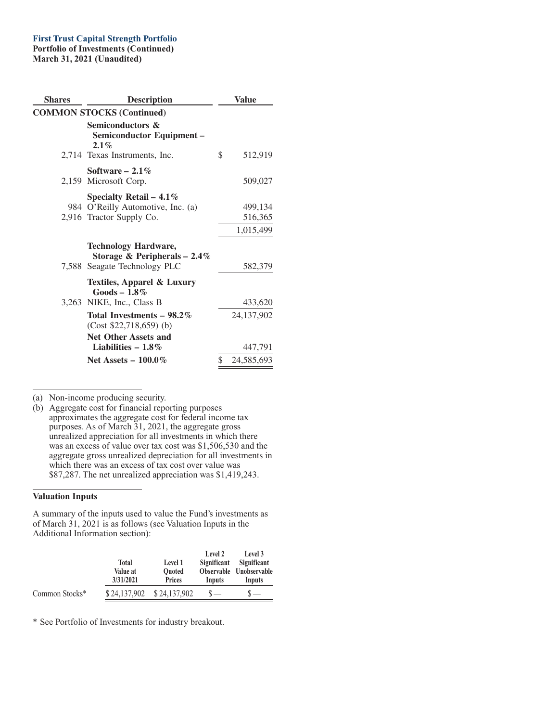## **First Trust Capital Strength Portfolio**

**Portfolio of Investments (Continued) March 31, 2021 (Unaudited)**

| <b>Shares</b> | <b>Description</b>                                                                                              | <b>Value</b>                    |
|---------------|-----------------------------------------------------------------------------------------------------------------|---------------------------------|
|               | <b>COMMON STOCKS (Continued)</b>                                                                                |                                 |
|               | <b>Semiconductors &amp;</b><br>Semiconductor Equipment-<br>$2.1\%$<br>2,714 Texas Instruments, Inc.             | \$<br>512,919                   |
|               |                                                                                                                 |                                 |
|               | Software $-2.1\%$<br>2,159 Microsoft Corp.                                                                      | 509,027                         |
|               | Specialty Retail – $4.1\%$<br>984 O'Reilly Automotive, Inc. (a)<br>2,916 Tractor Supply Co.                     | 499,134<br>516,365<br>1,015,499 |
|               | <b>Technology Hardware,</b><br>Storage & Peripherals $-2.4\%$                                                   |                                 |
|               | 7,588 Seagate Technology PLC<br><b>Textiles, Apparel &amp; Luxury</b><br>$Goods - 1.8\%$                        | 582,379                         |
|               | 3,263 NIKE, Inc., Class B                                                                                       | 433,620                         |
|               | Total Investments – $98.2\%$<br>$(Cost $22,718,659)$ (b)<br><b>Net Other Assets and</b><br>Liabilities $-1.8\%$ | 24, 137, 902<br>447,791         |
|               | Net Assets $-100.0\%$                                                                                           | \$<br>24,585,693                |
|               |                                                                                                                 |                                 |

(a) Non-income producing security.

(b) Aggregate cost for financial reporting purposes approximates the aggregate cost for federal income tax purposes. As of March 31, 2021, the aggregate gross unrealized appreciation for all investments in which there was an excess of value over tax cost was \$1,506,530 and the aggregate gross unrealized depreciation for all investments in which there was an excess of tax cost over value was \$87,287. The net unrealized appreciation was \$1,419,243.

### **Valuation Inputs**

A summary of the inputs used to value the Fund's investments as of March 31, 2021 is as follows (see Valuation Inputs in the Additional Information section):

|                |              |                           | Level 2     | Level 3                 |
|----------------|--------------|---------------------------|-------------|-------------------------|
|                | <b>Total</b> | Level 1                   | Significant | Significant             |
|                | Value at     | <b>Ouoted</b>             |             | Observable Unobservable |
|                | 3/31/2021    | <b>Prices</b>             | Inputs      | Inputs                  |
| Common Stocks* |              | \$24,137,902 \$24,137,902 | $S -$       | $s-$                    |

\* See Portfolio of Investments for industry breakout.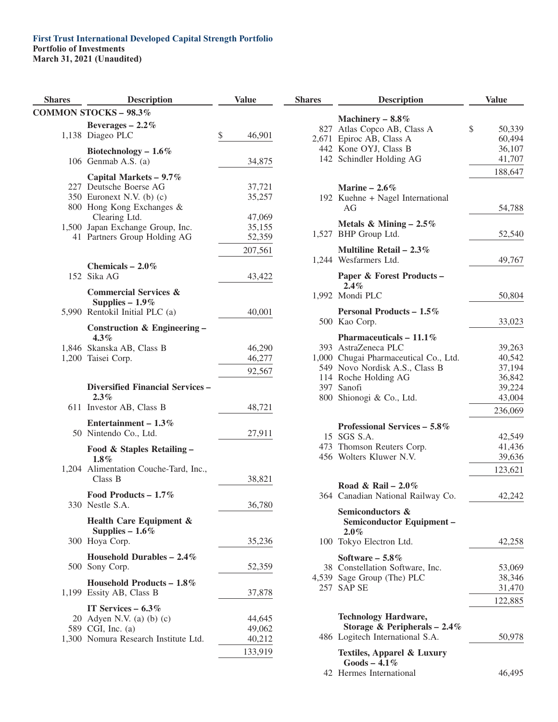| <b>Shares</b> | <b>Description</b>                                                                                                            | <b>Value</b>                          |
|---------------|-------------------------------------------------------------------------------------------------------------------------------|---------------------------------------|
|               | <b>COMMON STOCKS - 98.3%</b>                                                                                                  |                                       |
|               | Beverages $-2.2\%$<br>1,138 Diageo PLC                                                                                        | \$<br>46,901                          |
|               | Biotechnology - $1.6\%$<br>106 Genmab A.S. $(a)$                                                                              | 34,875                                |
|               | Capital Markets - 9.7%<br>227 Deutsche Boerse AG<br>350 Euronext N.V. (b) $(c)$<br>800 Hong Kong Exchanges &<br>Clearing Ltd. | 37,721<br>35,257<br>47,069            |
| 41            | 1,500 Japan Exchange Group, Inc.<br>Partners Group Holding AG                                                                 | 35,155<br>52,359                      |
|               |                                                                                                                               | 207,561                               |
|               | Chemicals $-2.0\%$<br>152 Sika AG                                                                                             | 43,422                                |
|               | <b>Commercial Services &amp;</b><br>Supplies $-1.9\%$                                                                         |                                       |
|               | 5,990 Rentokil Initial PLC (a)                                                                                                | 40,001                                |
|               | Construction & Engineering -<br>$4.3\%$                                                                                       |                                       |
|               | 1,846 Skanska AB, Class B<br>1,200 Taisei Corp.                                                                               | 46,290<br>46,277                      |
|               |                                                                                                                               | 92,567                                |
|               | Diversified Financial Services –<br>$2.3\%$                                                                                   |                                       |
|               | 611 Investor AB, Class B                                                                                                      | 48,721                                |
|               | Entertainment – $1.3\%$<br>50 Nintendo Co., Ltd.                                                                              | 27,911                                |
|               | Food & Staples Retailing –<br>$1.8\%$                                                                                         |                                       |
|               | 1,204 Alimentation Couche-Tard, Inc.,<br>Class B                                                                              | 38,821                                |
|               | Food Products – $1.7\%$<br>330 Nestle S.A.                                                                                    | 36,780                                |
|               | Health Care Equipment &<br>Supplies $-1.6\%$<br>300 Hoya Corp.                                                                | 35,236                                |
|               | Household Durables $-2.4\%$<br>500 Sony Corp.                                                                                 | 52,359                                |
|               | Household Products - $1.8\%$<br>1,199 Essity AB, Class B                                                                      | 37,878                                |
|               | IT Services $-6.3\%$<br>20 Adyen N.V. (a) (b) $(c)$<br>589 CGI, Inc. (a)<br>1,300 Nomura Research Institute Ltd.              | 44,645<br>49,062<br>40,212<br>133,919 |
|               |                                                                                                                               |                                       |

| <b>Shares</b> | <b>Description</b>                                         | <b>Value</b>      |
|---------------|------------------------------------------------------------|-------------------|
| 827           | Machinery $-8.8\%$<br>Atlas Copco AB, Class A              | \$<br>50,339      |
|               | 2,671 Epiroc AB, Class A                                   | 60,494            |
|               | 442 Kone OYJ, Class B                                      | 36,107            |
|               | 142 Schindler Holding AG                                   | 41,707            |
|               |                                                            | 188,647           |
|               | Marine $-2.6\%$                                            |                   |
|               | 192 Kuehne + Nagel International<br>AG                     | 54,788            |
|               | Metals & Mining $-2.5\%$<br>1,527 BHP Group Ltd.           | 52,540            |
|               | Multiline Retail $-2.3\%$<br>1,244 Wesfarmers Ltd.         | 49,767            |
|               | Paper & Forest Products -<br>2.4%                          |                   |
|               | 1,992 Mondi PLC                                            | 50,804            |
|               | Personal Products - 1.5%<br>500 Kao Corp.                  | 33,023            |
|               | Pharmaceuticals - $11.1\%$<br>393 AstraZeneca PLC          |                   |
|               | 1,000 Chugai Pharmaceutical Co., Ltd.                      | 39,263<br>40,542  |
|               | 549 Novo Nordisk A.S., Class B                             | 37,194            |
|               | 114 Roche Holding AG                                       | 36,842            |
|               | 397 Sanofi                                                 | 39,224            |
|               | 800 Shionogi & Co., Ltd.                                   | 43,004            |
|               |                                                            | 236,069           |
|               | Professional Services - 5.8%                               |                   |
|               | 15 SGS S.A.                                                | 42,549            |
|               | 473 Thomson Reuters Corp.                                  | 41,436            |
|               | 456 Wolters Kluwer N.V.                                    | 39,636<br>123,621 |
|               | Road & Rail - $2.0\%$<br>364 Canadian National Railway Co. |                   |
|               |                                                            | 42,242            |
|               | Semiconductors &<br>Semiconductor Equipment-<br>$2.0\%$    |                   |
|               | 100 Tokyo Electron Ltd.                                    | 42,258            |
|               | Software - 5.8%<br>38 Constellation Software, Inc.         | 53,069            |
|               | 4,539 Sage Group (The) PLC                                 | 38,346            |
|               | 257 SAP SE                                                 | 31,470            |
|               |                                                            | 122,885           |
|               | <b>Technology Hardware,</b>                                |                   |
|               | Storage & Peripherals $-2.4\%$                             |                   |
|               | 486 Logitech International S.A.                            | 50,978            |
|               | Textiles, Apparel & Luxury<br>$Goods - 4.1\%$              |                   |
|               | 42 Hermes International                                    | 46,495            |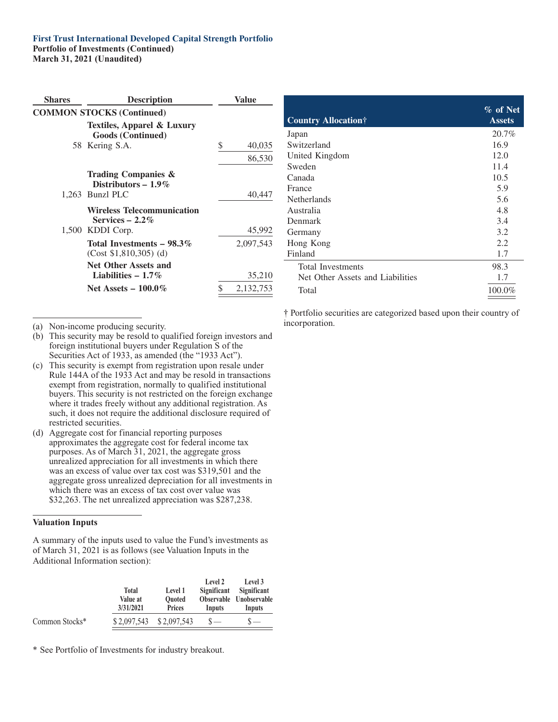## **First Trust International Developed Capital Strength Portfolio Portfolio of Investments (Continued)**

**March 31, 2021 (Unaudited)**

| <b>Shares</b> | <b>Description</b>                                     | Value |           |
|---------------|--------------------------------------------------------|-------|-----------|
|               | <b>COMMON STOCKS (Continued)</b>                       |       |           |
|               | Textiles, Apparel & Luxury<br><b>Goods (Continued)</b> |       |           |
|               | 58 Kering S.A.                                         | S     | 40,035    |
|               |                                                        |       | 86,530    |
|               | Trading Companies &<br>Distributors $-1.9\%$           |       |           |
|               | 1,263 Bunzl PLC                                        |       | 40,447    |
|               | <b>Wireless Telecommunication</b><br>Services $-2.2\%$ |       |           |
|               | 1,500 KDDI Corp.                                       |       | 45,992    |
|               | Total Investments $-98.3\%$<br>$(Cost $1,810,305)$ (d) |       | 2,097,543 |
|               | <b>Net Other Assets and</b><br>Liabilities $-1.7\%$    |       | 35,210    |
|               | Net Assets $-100.0\%$                                  |       | 2,132,753 |
|               |                                                        |       |           |

| <b>Country Allocation</b> †      | $\%$ of Net<br><b>Assets</b> |
|----------------------------------|------------------------------|
| Japan                            | 20.7%                        |
| Switzerland                      | 16.9                         |
| United Kingdom                   | 12.0                         |
| Sweden                           | 11.4                         |
| Canada                           | 10.5                         |
| France                           | 5.9                          |
| <b>Netherlands</b>               | 5.6                          |
| Australia                        | 4.8                          |
| Denmark                          | 3.4                          |
| Germany                          | 3.2                          |
| Hong Kong                        | 2.2                          |
| Finland                          | 1.7                          |
| Total Investments                | 98.3                         |
| Net Other Assets and Liabilities | 1.7                          |
| Total                            | 100.0%                       |

(a) Non-income producing security.

- (b) This security may be resold to qualified foreign investors and foreign institutional buyers under Regulation S of the Securities Act of 1933, as amended (the "1933 Act").
- (c) This security is exempt from registration upon resale under Rule 144A of the 1933 Act and may be resold in transactions exempt from registration, normally to qualified institutional buyers. This security is not restricted on the foreign exchange where it trades freely without any additional registration. As such, it does not require the additional disclosure required of restricted securities.
- (d) Aggregate cost for financial reporting purposes approximates the aggregate cost for federal income tax purposes. As of March 31, 2021, the aggregate gross unrealized appreciation for all investments in which there was an excess of value over tax cost was \$319,501 and the aggregate gross unrealized depreciation for all investments in which there was an excess of tax cost over value was \$32,263. The net unrealized appreciation was \$287,238.

#### **Valuation Inputs**

A summary of the inputs used to value the Fund's investments as of March 31, 2021 is as follows (see Valuation Inputs in the Additional Information section):

|                | Total<br>Value at<br>3/31/2021 | Level 1<br><b>Ouoted</b><br><b>Prices</b> | Level 2<br>Significant<br>Inputs | Level 3<br>Significant<br>Observable Unobservable<br>Inputs |
|----------------|--------------------------------|-------------------------------------------|----------------------------------|-------------------------------------------------------------|
| Common Stocks* | \$2,097,543                    | \$2,097,543                               |                                  | $\overline{\phantom{a}}$                                    |

\* See Portfolio of Investments for industry breakout.

† Portfolio securities are categorized based upon their country of incorporation.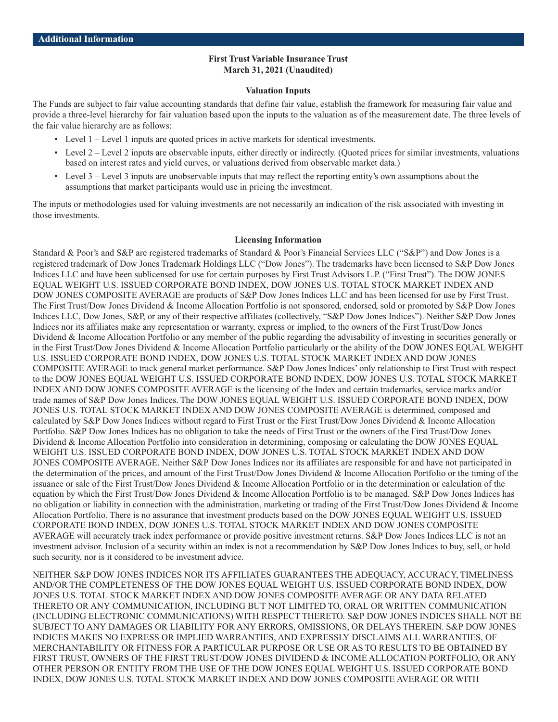#### **First Trust Variable Insurance Trust March 31, 2021 (Unaudited)**

#### **Valuation Inputs**

The Funds are subject to fair value accounting standards that define fair value, establish the framework for measuring fair value and provide a three-level hierarchy for fair valuation based upon the inputs to the valuation as of the measurement date. The three levels of the fair value hierarchy are as follows:

- Level 1 Level 1 inputs are quoted prices in active markets for identical investments.
- Level 2 Level 2 inputs are observable inputs, either directly or indirectly. (Quoted prices for similar investments, valuations based on interest rates and yield curves, or valuations derived from observable market data.)
- Level 3 Level 3 inputs are unobservable inputs that may reflect the reporting entity's own assumptions about the assumptions that market participants would use in pricing the investment.

The inputs or methodologies used for valuing investments are not necessarily an indication of the risk associated with investing in those investments.

#### **Licensing Information**

Standard & Poor's and S&P are registered trademarks of Standard & Poor's Financial Services LLC ("S&P") and Dow Jones is a registered trademark of Dow Jones Trademark Holdings LLC ("Dow Jones"). The trademarks have been licensed to S&P Dow Jones Indices LLC and have been sublicensed for use for certain purposes by First Trust Advisors L.P. ("First Trust"). The DOW JONES EQUAL WEIGHT U.S. ISSUED CORPORATE BOND INDEX, DOW JONES U.S. TOTAL STOCK MARKET INDEX AND DOW JONES COMPOSITE AVERAGE are products of S&P Dow Jones Indices LLC and has been licensed for use by First Trust. The First Trust/Dow Jones Dividend & Income Allocation Portfolio is not sponsored, endorsed, sold or promoted by S&P Dow Jones Indices LLC, Dow Jones, S&P, or any of their respective affiliates (collectively, "S&P Dow Jones Indices"). Neither S&P Dow Jones Indices nor its affiliates make any representation or warranty, express or implied, to the owners of the First Trust/Dow Jones Dividend & Income Allocation Portfolio or any member of the public regarding the advisability of investing in securities generally or in the First Trust/Dow Jones Dividend & Income Allocation Portfolio particularly or the ability of the DOW JONES EQUAL WEIGHT U.S. ISSUED CORPORATE BOND INDEX, DOW JONES U.S. TOTAL STOCK MARKET INDEX AND DOW JONES COMPOSITE AVERAGE to track general market performance. S&P Dow Jones Indices' only relationship to First Trust with respect to the DOW JONES EQUAL WEIGHT U.S. ISSUED CORPORATE BOND INDEX, DOW JONES U.S. TOTAL STOCK MARKET INDEX AND DOW JONES COMPOSITE AVERAGE is the licensing of the Index and certain trademarks, service marks and/or trade names of S&P Dow Jones Indices. The DOW JONES EQUAL WEIGHT U.S. ISSUED CORPORATE BOND INDEX, DOW JONES U.S. TOTAL STOCK MARKET INDEX AND DOW JONES COMPOSITE AVERAGE is determined, composed and calculated by S&P Dow Jones Indices without regard to First Trust or the First Trust/Dow Jones Dividend & Income Allocation Portfolio. S&P Dow Jones Indices has no obligation to take the needs of First Trust or the owners of the First Trust/Dow Jones Dividend & Income Allocation Portfolio into consideration in determining, composing or calculating the DOW JONES EQUAL WEIGHT U.S. ISSUED CORPORATE BOND INDEX, DOW JONES U.S. TOTAL STOCK MARKET INDEX AND DOW JONES COMPOSITE AVERAGE. Neither S&P Dow Jones Indices nor its affiliates are responsible for and have not participated in the determination of the prices, and amount of the First Trust/Dow Jones Dividend & Income Allocation Portfolio or the timing of the issuance or sale of the First Trust/Dow Jones Dividend & Income Allocation Portfolio or in the determination or calculation of the equation by which the First Trust/Dow Jones Dividend & Income Allocation Portfolio is to be managed. S&P Dow Jones Indices has no obligation or liability in connection with the administration, marketing or trading of the First Trust/Dow Jones Dividend & Income Allocation Portfolio. There is no assurance that investment products based on the DOW JONES EQUAL WEIGHT U.S. ISSUED CORPORATE BOND INDEX, DOW JONES U.S. TOTAL STOCK MARKET INDEX AND DOW JONES COMPOSITE AVERAGE will accurately track index performance or provide positive investment returns. S&P Dow Jones Indices LLC is not an investment advisor. Inclusion of a security within an index is not a recommendation by S&P Dow Jones Indices to buy, sell, or hold such security, nor is it considered to be investment advice.

NEITHER S&P DOW JONES INDICES NOR ITS AFFILIATES GUARANTEES THE ADEQUACY, ACCURACY, TIMELINESS AND/OR THE COMPLETENESS OF THE DOW JONES EQUAL WEIGHT U.S. ISSUED CORPORATE BOND INDEX, DOW JONES U.S. TOTAL STOCK MARKET INDEX AND DOW JONES COMPOSITE AVERAGE OR ANY DATA RELATED THERETO OR ANY COMMUNICATION, INCLUDING BUT NOT LIMITED TO, ORAL OR WRITTEN COMMUNICATION (INCLUDING ELECTRONIC COMMUNICATIONS) WITH RESPECT THERETO. S&P DOW JONES INDICES SHALL NOT BE SUBJECT TO ANY DAMAGES OR LIABILITY FOR ANY ERRORS, OMISSIONS, OR DELAYS THEREIN. S&P DOW JONES INDICES MAKES NO EXPRESS OR IMPLIED WARRANTIES, AND EXPRESSLY DISCLAIMS ALL WARRANTIES, OF MERCHANTABILITY OR FITNESS FOR A PARTICULAR PURPOSE OR USE OR AS TO RESULTS TO BE OBTAINED BY FIRST TRUST, OWNERS OF THE FIRST TRUST/DOW JONES DIVIDEND & INCOME ALLOCATION PORTFOLIO, OR ANY OTHER PERSON OR ENTITY FROM THE USE OF THE DOW JONES EQUAL WEIGHT U.S. ISSUED CORPORATE BOND INDEX, DOW JONES U.S. TOTAL STOCK MARKET INDEX AND DOW JONES COMPOSITE AVERAGE OR WITH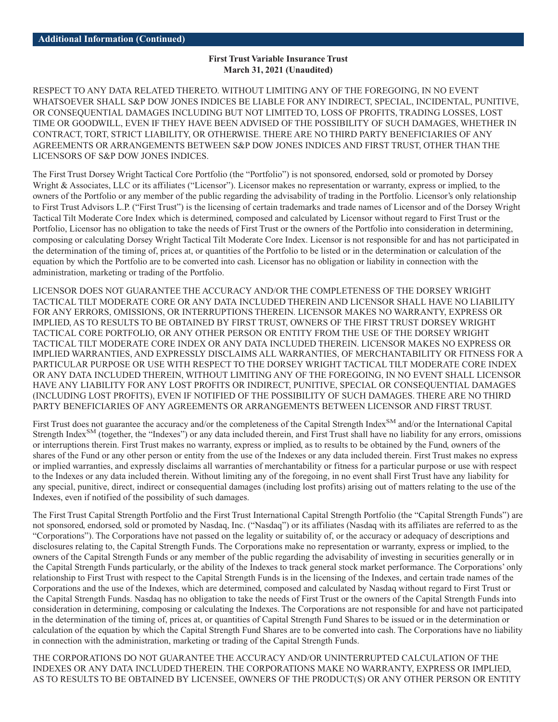#### **First Trust Variable Insurance Trust March 31, 2021 (Unaudited)**

RESPECT TO ANY DATA RELATED THERETO. WITHOUT LIMITING ANY OF THE FOREGOING, IN NO EVENT WHATSOEVER SHALL S&P DOW JONES INDICES BE LIABLE FOR ANY INDIRECT, SPECIAL, INCIDENTAL, PUNITIVE, OR CONSEQUENTIAL DAMAGES INCLUDING BUT NOT LIMITED TO, LOSS OF PROFITS, TRADING LOSSES, LOST TIME OR GOODWILL, EVEN IF THEY HAVE BEEN ADVISED OF THE POSSIBILITY OF SUCH DAMAGES, WHETHER IN CONTRACT, TORT, STRICT LIABILITY, OR OTHERWISE. THERE ARE NO THIRD PARTY BENEFICIARIES OF ANY AGREEMENTS OR ARRANGEMENTS BETWEEN S&P DOW JONES INDICES AND FIRST TRUST, OTHER THAN THE LICENSORS OF S&P DOW JONES INDICES.

The First Trust Dorsey Wright Tactical Core Portfolio (the "Portfolio") is not sponsored, endorsed, sold or promoted by Dorsey Wright & Associates, LLC or its affiliates ("Licensor"). Licensor makes no representation or warranty, express or implied, to the owners of the Portfolio or any member of the public regarding the advisability of trading in the Portfolio. Licensor's only relationship to First Trust Advisors L.P. ("First Trust") is the licensing of certain trademarks and trade names of Licensor and of the Dorsey Wright Tactical Tilt Moderate Core Index which is determined, composed and calculated by Licensor without regard to First Trust or the Portfolio, Licensor has no obligation to take the needs of First Trust or the owners of the Portfolio into consideration in determining, composing or calculating Dorsey Wright Tactical Tilt Moderate Core Index. Licensor is not responsible for and has not participated in the determination of the timing of, prices at, or quantities of the Portfolio to be listed or in the determination or calculation of the equation by which the Portfolio are to be converted into cash. Licensor has no obligation or liability in connection with the administration, marketing or trading of the Portfolio.

LICENSOR DOES NOT GUARANTEE THE ACCURACY AND/OR THE COMPLETENESS OF THE DORSEY WRIGHT TACTICAL TILT MODERATE CORE OR ANY DATA INCLUDED THEREIN AND LICENSOR SHALL HAVE NO LIABILITY FOR ANY ERRORS, OMISSIONS, OR INTERRUPTIONS THEREIN. LICENSOR MAKES NO WARRANTY, EXPRESS OR IMPLIED, AS TO RESULTS TO BE OBTAINED BY FIRST TRUST, OWNERS OF THE FIRST TRUST DORSEY WRIGHT TACTICAL CORE PORTFOLIO, OR ANY OTHER PERSON OR ENTITY FROM THE USE OF THE DORSEY WRIGHT TACTICAL TILT MODERATE CORE INDEX OR ANY DATA INCLUDED THEREIN. LICENSOR MAKES NO EXPRESS OR IMPLIED WARRANTIES, AND EXPRESSLY DISCLAIMS ALL WARRANTIES, OF MERCHANTABILITY OR FITNESS FOR A PARTICULAR PURPOSE OR USE WITH RESPECT TO THE DORSEY WRIGHT TACTICAL TILT MODERATE CORE INDEX OR ANY DATA INCLUDED THEREIN, WITHOUT LIMITING ANY OF THE FOREGOING, IN NO EVENT SHALL LICENSOR HAVE ANY LIABILITY FOR ANY LOST PROFITS OR INDIRECT, PUNITIVE, SPECIAL OR CONSEQUENTIAL DAMAGES (INCLUDING LOST PROFITS), EVEN IF NOTIFIED OF THE POSSIBILITY OF SUCH DAMAGES. THERE ARE NO THIRD PARTY BENEFICIARIES OF ANY AGREEMENTS OR ARRANGEMENTS BETWEEN LICENSOR AND FIRST TRUST.

First Trust does not guarantee the accuracy and/or the completeness of the Capital Strength Index<sup>SM</sup> and/or the International Capital Strength Index<sup>SM</sup> (together, the "Indexes") or any data included therein, and First Trust shall have no liability for any errors, omissions or interruptions therein. First Trust makes no warranty, express or implied, as to results to be obtained by the Fund, owners of the shares of the Fund or any other person or entity from the use of the Indexes or any data included therein. First Trust makes no express or implied warranties, and expressly disclaims all warranties of merchantability or fitness for a particular purpose or use with respect to the Indexes or any data included therein. Without limiting any of the foregoing, in no event shall First Trust have any liability for any special, punitive, direct, indirect or consequential damages (including lost profits) arising out of matters relating to the use of the Indexes, even if notified of the possibility of such damages.

The First Trust Capital Strength Portfolio and the First Trust International Capital Strength Portfolio (the "Capital Strength Funds") are not sponsored, endorsed, sold or promoted by Nasdaq, Inc. ("Nasdaq") or its affiliates (Nasdaq with its affiliates are referred to as the "Corporations"). The Corporations have not passed on the legality or suitability of, or the accuracy or adequacy of descriptions and disclosures relating to, the Capital Strength Funds. The Corporations make no representation or warranty, express or implied, to the owners of the Capital Strength Funds or any member of the public regarding the advisability of investing in securities generally or in the Capital Strength Funds particularly, or the ability of the Indexes to track general stock market performance. The Corporations' only relationship to First Trust with respect to the Capital Strength Funds is in the licensing of the Indexes, and certain trade names of the Corporations and the use of the Indexes, which are determined, composed and calculated by Nasdaq without regard to First Trust or the Capital Strength Funds. Nasdaq has no obligation to take the needs of First Trust or the owners of the Capital Strength Funds into consideration in determining, composing or calculating the Indexes. The Corporations are not responsible for and have not participated in the determination of the timing of, prices at, or quantities of Capital Strength Fund Shares to be issued or in the determination or calculation of the equation by which the Capital Strength Fund Shares are to be converted into cash. The Corporations have no liability in connection with the administration, marketing or trading of the Capital Strength Funds.

THE CORPORATIONS DO NOT GUARANTEE THE ACCURACY AND/OR UNINTERRUPTED CALCULATION OF THE INDEXES OR ANY DATA INCLUDED THEREIN. THE CORPORATIONS MAKE NO WARRANTY, EXPRESS OR IMPLIED, AS TO RESULTS TO BE OBTAINED BY LICENSEE, OWNERS OF THE PRODUCT(S) OR ANY OTHER PERSON OR ENTITY